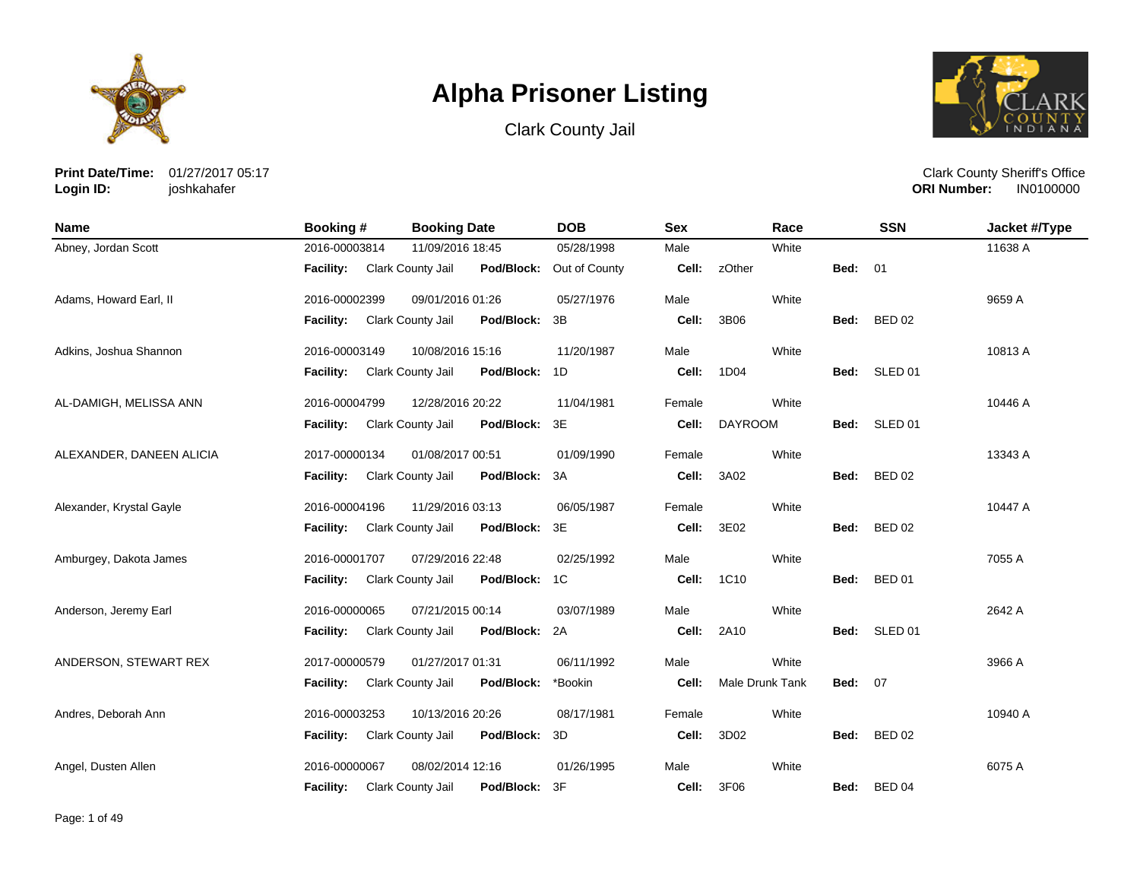





**Print Date/Time:** 01/27/2017 05:17 **Login ID:** joshkahafer

| <b>Name</b>              | Booking #        | <b>Booking Date</b> |            | <b>DOB</b>    | <b>Sex</b> | Race            |                | <b>SSN</b>         | Jacket #/Type |
|--------------------------|------------------|---------------------|------------|---------------|------------|-----------------|----------------|--------------------|---------------|
| Abney, Jordan Scott      | 2016-00003814    | 11/09/2016 18:45    |            | 05/28/1998    | Male       | White           |                |                    | 11638 A       |
|                          | <b>Facility:</b> | Clark County Jail   | Pod/Block: | Out of County | Cell:      | zOther          | Bed:           | 01                 |               |
| Adams, Howard Earl, II   | 2016-00002399    | 09/01/2016 01:26    |            | 05/27/1976    | Male       | White           |                |                    | 9659 A        |
|                          | Facility:        | Clark County Jail   | Pod/Block: | 3B            | Cell:      | 3B06            | Bed:           | <b>BED 02</b>      |               |
| Adkins, Joshua Shannon   | 2016-00003149    | 10/08/2016 15:16    |            | 11/20/1987    | Male       | White           |                |                    | 10813 A       |
|                          | Facility:        | Clark County Jail   | Pod/Block: | 1D            | Cell:      | 1D04            | Bed:           | SLED <sub>01</sub> |               |
| AL-DAMIGH, MELISSA ANN   | 2016-00004799    | 12/28/2016 20:22    |            | 11/04/1981    | Female     | White           |                |                    | 10446 A       |
|                          | <b>Facility:</b> | Clark County Jail   | Pod/Block: | 3E            | Cell:      | <b>DAYROOM</b>  | Bed:           | SLED 01            |               |
| ALEXANDER, DANEEN ALICIA | 2017-00000134    | 01/08/2017 00:51    |            | 01/09/1990    | Female     | White           |                |                    | 13343 A       |
|                          | <b>Facility:</b> | Clark County Jail   | Pod/Block: | 3A            | Cell:      | 3A02            | Bed:           | <b>BED 02</b>      |               |
| Alexander, Krystal Gayle | 2016-00004196    | 11/29/2016 03:13    |            | 06/05/1987    | Female     | White           |                |                    | 10447 A       |
|                          | <b>Facility:</b> | Clark County Jail   | Pod/Block: | 3E            | Cell:      | 3E02            | Bed:           | <b>BED 02</b>      |               |
| Amburgey, Dakota James   | 2016-00001707    | 07/29/2016 22:48    |            | 02/25/1992    | Male       | White           |                |                    | 7055 A        |
|                          | <b>Facility:</b> | Clark County Jail   | Pod/Block: | 1C            | Cell:      | 1C10            | Bed:           | <b>BED 01</b>      |               |
| Anderson, Jeremy Earl    | 2016-00000065    | 07/21/2015 00:14    |            | 03/07/1989    | Male       | White           |                |                    | 2642 A        |
|                          | <b>Facility:</b> | Clark County Jail   | Pod/Block: | 2A            | Cell:      | 2A10            |                | Bed: SLED 01       |               |
| ANDERSON, STEWART REX    | 2017-00000579    | 01/27/2017 01:31    |            | 06/11/1992    | Male       | White           |                |                    | 3966 A        |
|                          | Facility:        | Clark County Jail   | Pod/Block: | *Bookin       | Cell:      | Male Drunk Tank | <b>Bed: 07</b> |                    |               |
| Andres, Deborah Ann      | 2016-00003253    | 10/13/2016 20:26    |            | 08/17/1981    | Female     | White           |                |                    | 10940 A       |
|                          | Facility:        | Clark County Jail   | Pod/Block: | 3D            | Cell:      | 3D02            | Bed:           | <b>BED 02</b>      |               |
| Angel, Dusten Allen      | 2016-00000067    | 08/02/2014 12:16    |            | 01/26/1995    | Male       | White           |                |                    | 6075 A        |
|                          | <b>Facility:</b> | Clark County Jail   | Pod/Block: | 3F            | Cell:      | 3F06            | Bed:           | <b>BED 04</b>      |               |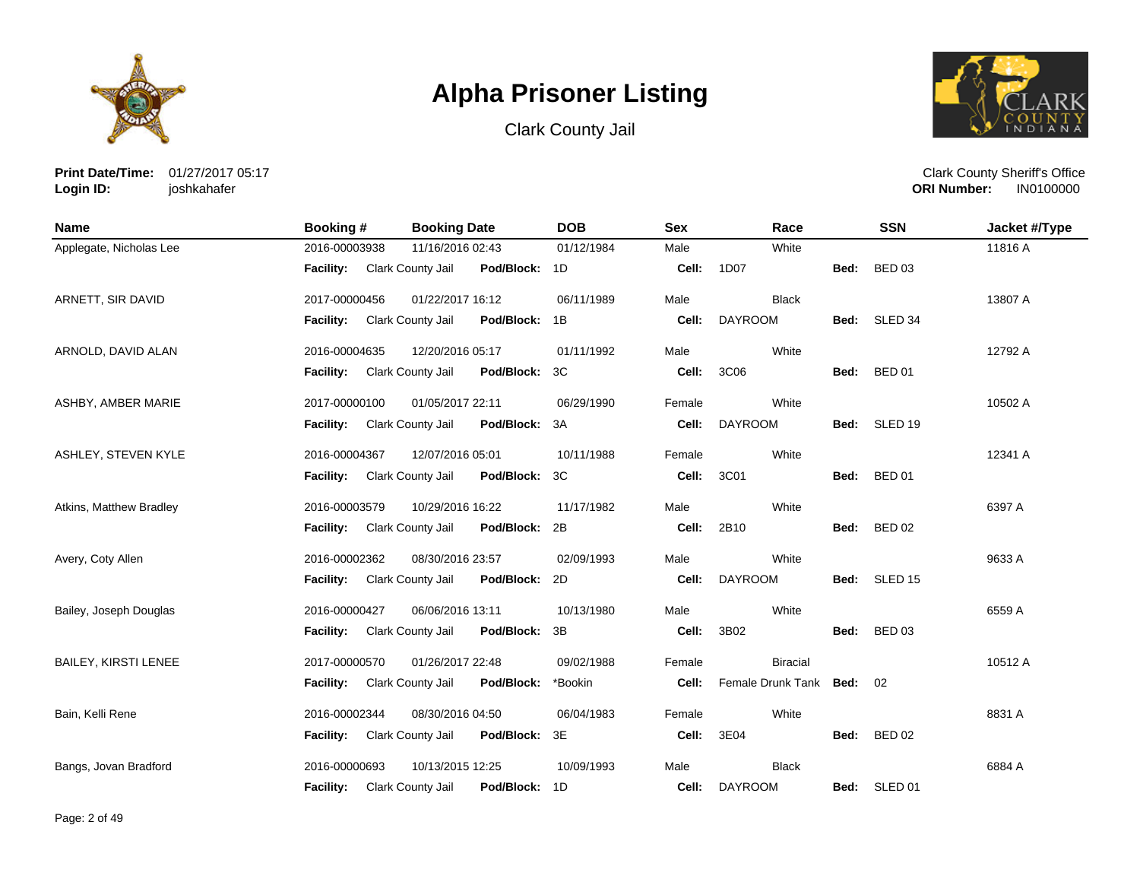





**Print Date/Time:** 01/27/2017 05:17 **Login ID:** joshkahafer

| Name                        | Booking #        | <b>Booking Date</b>                | <b>DOB</b> | <b>Sex</b> | Race                      |      | <b>SSN</b>    | Jacket #/Type |
|-----------------------------|------------------|------------------------------------|------------|------------|---------------------------|------|---------------|---------------|
| Applegate, Nicholas Lee     | 2016-00003938    | 11/16/2016 02:43                   | 01/12/1984 | Male       | White                     |      |               | 11816 A       |
|                             | <b>Facility:</b> | Clark County Jail<br>Pod/Block: 1D |            | Cell:      | 1D07                      | Bed: | <b>BED 03</b> |               |
| ARNETT, SIR DAVID           | 2017-00000456    | 01/22/2017 16:12                   | 06/11/1989 | Male       | <b>Black</b>              |      |               | 13807 A       |
|                             | <b>Facility:</b> | Clark County Jail<br>Pod/Block: 1B |            | Cell:      | <b>DAYROOM</b>            |      | Bed: SLED 34  |               |
| ARNOLD, DAVID ALAN          | 2016-00004635    | 12/20/2016 05:17                   | 01/11/1992 | Male       | White                     |      |               | 12792 A       |
|                             | Facility:        | Clark County Jail<br>Pod/Block: 3C |            | Cell:      | 3C06                      | Bed: | <b>BED 01</b> |               |
| ASHBY, AMBER MARIE          | 2017-00000100    | 01/05/2017 22:11                   | 06/29/1990 | Female     | White                     |      |               | 10502 A       |
|                             | <b>Facility:</b> | Pod/Block: 3A<br>Clark County Jail |            | Cell:      | <b>DAYROOM</b>            |      | Bed: SLED 19  |               |
| ASHLEY, STEVEN KYLE         | 2016-00004367    | 12/07/2016 05:01                   | 10/11/1988 | Female     | White                     |      |               | 12341 A       |
|                             | Facility:        | Clark County Jail<br>Pod/Block: 3C |            | Cell:      | 3C01                      |      | Bed: BED 01   |               |
| Atkins, Matthew Bradley     | 2016-00003579    | 10/29/2016 16:22                   | 11/17/1982 | Male       | White                     |      |               | 6397 A        |
|                             | <b>Facility:</b> | Clark County Jail<br>Pod/Block: 2B |            | Cell:      | 2B10                      | Bed: | <b>BED 02</b> |               |
| Avery, Coty Allen           | 2016-00002362    | 08/30/2016 23:57                   | 02/09/1993 | Male       | White                     |      |               | 9633 A        |
|                             | Facility:        | Clark County Jail<br>Pod/Block: 2D |            | Cell:      | <b>DAYROOM</b>            |      | Bed: SLED 15  |               |
| Bailey, Joseph Douglas      | 2016-00000427    | 06/06/2016 13:11                   | 10/13/1980 | Male       | White                     |      |               | 6559 A        |
|                             | Facility:        | Clark County Jail<br>Pod/Block: 3B |            | Cell:      | 3B02                      | Bed: | <b>BED 03</b> |               |
| <b>BAILEY, KIRSTI LENEE</b> | 2017-00000570    | 01/26/2017 22:48                   | 09/02/1988 | Female     | <b>Biracial</b>           |      |               | 10512 A       |
|                             | <b>Facility:</b> | Clark County Jail<br>Pod/Block:    | *Bookin    | Cell:      | Female Drunk Tank Bed: 02 |      |               |               |
| Bain, Kelli Rene            | 2016-00002344    | 08/30/2016 04:50                   | 06/04/1983 | Female     | White                     |      |               | 8831 A        |
|                             | <b>Facility:</b> | Clark County Jail<br>Pod/Block: 3E |            | Cell:      | 3E04                      | Bed: | <b>BED 02</b> |               |
| Bangs, Jovan Bradford       | 2016-00000693    | 10/13/2015 12:25                   | 10/09/1993 | Male       | <b>Black</b>              |      |               | 6884 A        |
|                             | Facility:        | Clark County Jail<br>Pod/Block: 1D |            | Cell:      | <b>DAYROOM</b>            |      | Bed: SLED 01  |               |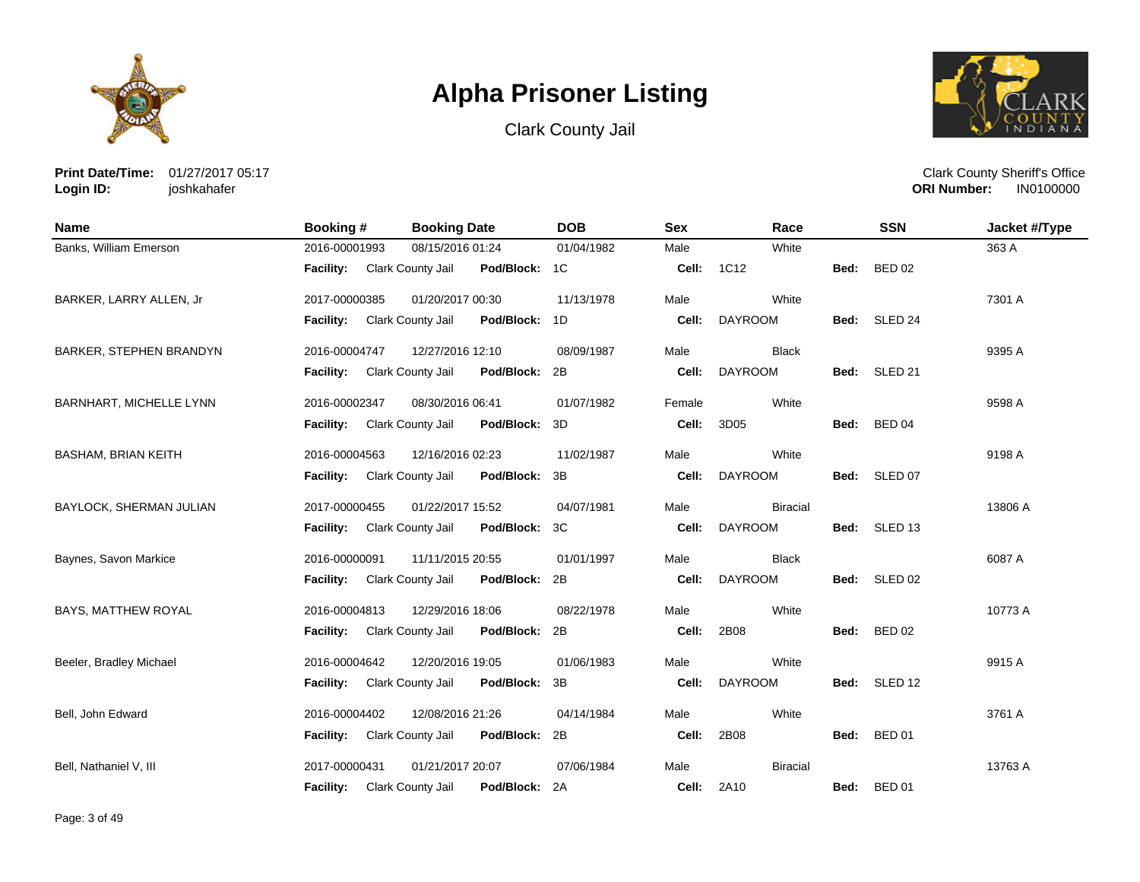





**Print Date/Time:** 01/27/2017 05:17 **Login ID:** joshkahafer

| <b>Name</b>                | Booking#         | <b>Booking Date</b>                | <b>DOB</b> | <b>Sex</b> | Race              |      | <b>SSN</b>    | Jacket #/Type |
|----------------------------|------------------|------------------------------------|------------|------------|-------------------|------|---------------|---------------|
| Banks, William Emerson     | 2016-00001993    | 08/15/2016 01:24                   | 01/04/1982 | Male       | White             |      |               | 363 A         |
|                            | <b>Facility:</b> | Pod/Block: 1C<br>Clark County Jail |            | Cell:      | 1C12              | Bed: | <b>BED 02</b> |               |
| BARKER, LARRY ALLEN, Jr    | 2017-00000385    | 01/20/2017 00:30                   | 11/13/1978 | Male       | White             |      |               | 7301 A        |
|                            | <b>Facility:</b> | Clark County Jail<br>Pod/Block:    | 1D         | Cell:      | <b>DAYROOM</b>    |      | Bed: SLED 24  |               |
| BARKER, STEPHEN BRANDYN    | 2016-00004747    | 12/27/2016 12:10                   | 08/09/1987 | Male       | <b>Black</b>      |      |               | 9395 A        |
|                            | <b>Facility:</b> | Clark County Jail<br>Pod/Block: 2B |            | Cell:      | <b>DAYROOM</b>    | Bed: | SLED 21       |               |
| BARNHART, MICHELLE LYNN    | 2016-00002347    | 08/30/2016 06:41                   | 01/07/1982 | Female     | White             |      |               | 9598 A        |
|                            | <b>Facility:</b> | Clark County Jail<br>Pod/Block:    | 3D         | Cell:      | 3D05              | Bed: | <b>BED 04</b> |               |
| <b>BASHAM, BRIAN KEITH</b> | 2016-00004563    | 12/16/2016 02:23                   | 11/02/1987 | Male       | White             |      |               | 9198 A        |
|                            | <b>Facility:</b> | Clark County Jail<br>Pod/Block:    | 3B         | Cell:      | <b>DAYROOM</b>    |      | Bed: SLED 07  |               |
| BAYLOCK, SHERMAN JULIAN    | 2017-00000455    | 01/22/2017 15:52                   | 04/07/1981 | Male       | <b>Biracial</b>   |      |               | 13806 A       |
|                            | <b>Facility:</b> | Pod/Block:<br>Clark County Jail    | 3C         | Cell:      | <b>DAYROOM</b>    | Bed: | SLED 13       |               |
| Baynes, Savon Markice      | 2016-00000091    | 11/11/2015 20:55                   | 01/01/1997 | Male       | <b>Black</b>      |      |               | 6087 A        |
|                            | <b>Facility:</b> | Clark County Jail<br>Pod/Block: 2B |            | Cell:      | <b>DAYROOM</b>    |      | Bed: SLED 02  |               |
| BAYS, MATTHEW ROYAL        | 2016-00004813    | 12/29/2016 18:06                   | 08/22/1978 | Male       | White             |      |               | 10773 A       |
|                            | <b>Facility:</b> | Clark County Jail<br>Pod/Block:    | 2B         | Cell:      | 2B08              | Bed: | <b>BED 02</b> |               |
| Beeler, Bradley Michael    | 2016-00004642    | 12/20/2016 19:05                   | 01/06/1983 | Male       | White             |      |               | 9915 A        |
|                            | <b>Facility:</b> | Clark County Jail<br>Pod/Block:    | 3B         | Cell:      | <b>DAYROOM</b>    | Bed: | SLED 12       |               |
| Bell, John Edward          | 2016-00004402    | 12/08/2016 21:26                   | 04/14/1984 | Male       | White             |      |               | 3761 A        |
|                            | <b>Facility:</b> | Clark County Jail<br>Pod/Block:    | 2B         | Cell:      | 2B08              | Bed: | <b>BED 01</b> |               |
| Bell, Nathaniel V, III     | 2017-00000431    | 01/21/2017 20:07                   | 07/06/1984 | Male       | <b>Biracial</b>   |      |               | 13763 A       |
|                            | <b>Facility:</b> | Clark County Jail<br>Pod/Block: 2A |            |            | <b>Cell: 2A10</b> |      | Bed: BED 01   |               |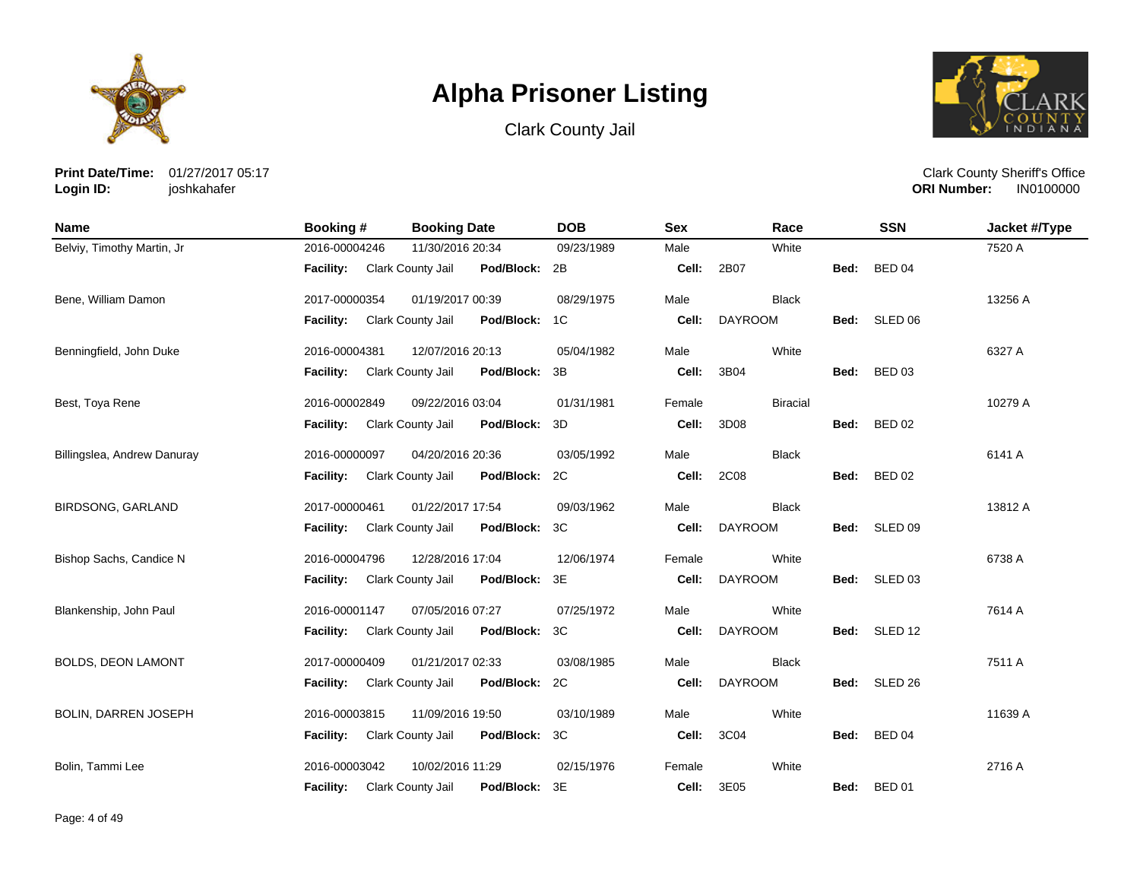





**Print Date/Time:** 01/27/2017 05:17 **Login ID:** joshkahafer

| <b>Name</b>                 | Booking #        | <b>Booking Date</b>                | <b>DOB</b> | <b>Sex</b> | Race            |      | <b>SSN</b>         | Jacket #/Type |
|-----------------------------|------------------|------------------------------------|------------|------------|-----------------|------|--------------------|---------------|
| Belviy, Timothy Martin, Jr  | 2016-00004246    | 11/30/2016 20:34                   | 09/23/1989 | Male       | White           |      |                    | 7520 A        |
|                             | <b>Facility:</b> | Clark County Jail<br>Pod/Block: 2B |            | Cell:      | 2B07            | Bed: | <b>BED 04</b>      |               |
| Bene, William Damon         | 2017-00000354    | 01/19/2017 00:39                   | 08/29/1975 | Male       | <b>Black</b>    |      |                    | 13256 A       |
|                             | Facility:        | Clark County Jail<br>Pod/Block: 1C |            | Cell:      | <b>DAYROOM</b>  |      | Bed: SLED 06       |               |
| Benningfield, John Duke     | 2016-00004381    | 12/07/2016 20:13                   | 05/04/1982 | Male       | White           |      |                    | 6327 A        |
|                             | Facility:        | Clark County Jail<br>Pod/Block:    | 3B         | Cell:      | 3B04            | Bed: | <b>BED 03</b>      |               |
| Best, Toya Rene             | 2016-00002849    | 09/22/2016 03:04                   | 01/31/1981 | Female     | <b>Biracial</b> |      |                    | 10279 A       |
|                             | Facility:        | Clark County Jail<br>Pod/Block:    | -3D        | Cell:      | 3D08            | Bed: | <b>BED 02</b>      |               |
| Billingslea, Andrew Danuray | 2016-00000097    | 04/20/2016 20:36                   | 03/05/1992 | Male       | <b>Black</b>    |      |                    | 6141 A        |
|                             | <b>Facility:</b> | Clark County Jail<br>Pod/Block: 2C |            | Cell:      | 2C08            | Bed: | <b>BED 02</b>      |               |
| <b>BIRDSONG, GARLAND</b>    | 2017-00000461    | 01/22/2017 17:54                   | 09/03/1962 | Male       | <b>Black</b>    |      |                    | 13812 A       |
|                             | <b>Facility:</b> | Clark County Jail<br>Pod/Block:    | 3C         | Cell:      | <b>DAYROOM</b>  | Bed: | SLED 09            |               |
| Bishop Sachs, Candice N     | 2016-00004796    | 12/28/2016 17:04                   | 12/06/1974 | Female     | White           |      |                    | 6738 A        |
|                             | Facility:        | Clark County Jail<br>Pod/Block: 3E |            | Cell:      | <b>DAYROOM</b>  |      | Bed: SLED 03       |               |
| Blankenship, John Paul      | 2016-00001147    | 07/05/2016 07:27                   | 07/25/1972 | Male       | White           |      |                    | 7614 A        |
|                             | <b>Facility:</b> | Clark County Jail<br>Pod/Block: 3C |            | Cell:      | <b>DAYROOM</b>  |      | Bed: SLED 12       |               |
| <b>BOLDS, DEON LAMONT</b>   | 2017-00000409    | 01/21/2017 02:33                   | 03/08/1985 | Male       | <b>Black</b>    |      |                    | 7511 A        |
|                             | <b>Facility:</b> | Clark County Jail<br>Pod/Block: 2C |            | Cell:      | <b>DAYROOM</b>  | Bed: | SLED <sub>26</sub> |               |
| BOLIN, DARREN JOSEPH        | 2016-00003815    | 11/09/2016 19:50                   | 03/10/1989 | Male       | White           |      |                    | 11639 A       |
|                             | Facility:        | Clark County Jail<br>Pod/Block: 3C |            | Cell:      | 3C04            | Bed: | <b>BED 04</b>      |               |
| Bolin, Tammi Lee            | 2016-00003042    | 10/02/2016 11:29                   | 02/15/1976 | Female     | White           |      |                    | 2716 A        |
|                             | <b>Facility:</b> | Clark County Jail<br>Pod/Block: 3E |            | Cell:      | 3E05            |      | Bed: BED 01        |               |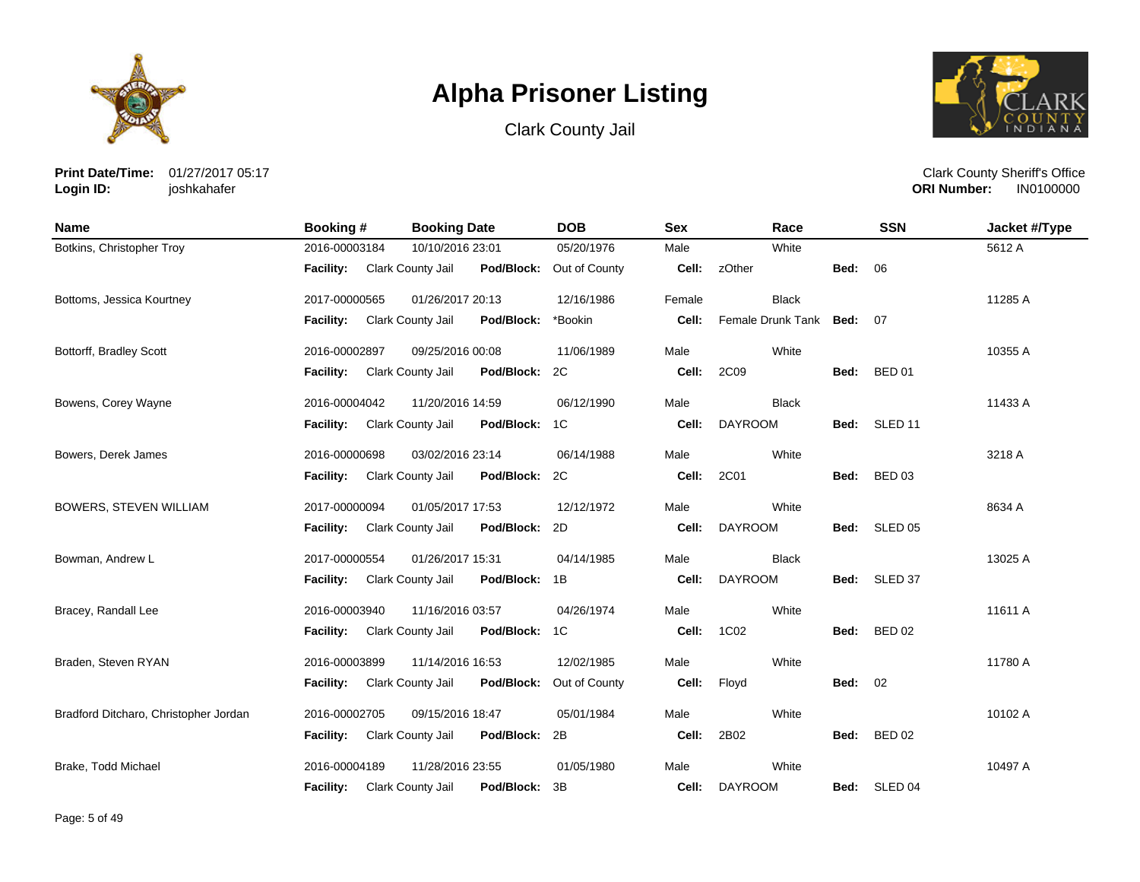





**Print Date/Time:** 01/27/2017 05:17 **Login ID:** joshkahafer

| <b>Name</b>                           | <b>Booking#</b>  | <b>Booking Date</b> |            | <b>DOB</b>    | <b>Sex</b> | Race                   |                | <b>SSN</b>         | Jacket #/Type |
|---------------------------------------|------------------|---------------------|------------|---------------|------------|------------------------|----------------|--------------------|---------------|
| Botkins, Christopher Troy             | 2016-00003184    | 10/10/2016 23:01    |            | 05/20/1976    | Male       | White                  |                |                    | 5612 A        |
|                                       | <b>Facility:</b> | Clark County Jail   | Pod/Block: | Out of County | Cell:      | zOther                 | Bed:           | 06                 |               |
| Bottoms, Jessica Kourtney             | 2017-00000565    | 01/26/2017 20:13    |            | 12/16/1986    | Female     | <b>Black</b>           |                |                    | 11285 A       |
|                                       | <b>Facility:</b> | Clark County Jail   | Pod/Block: | *Bookin       | Cell:      | Female Drunk Tank Bed: |                | 07                 |               |
| Bottorff, Bradley Scott               | 2016-00002897    | 09/25/2016 00:08    |            | 11/06/1989    | Male       | White                  |                |                    | 10355 A       |
|                                       | Facility:        | Clark County Jail   | Pod/Block: | 2C            | Cell:      | 2C09                   | Bed:           | <b>BED 01</b>      |               |
| Bowens, Corey Wayne                   | 2016-00004042    | 11/20/2016 14:59    |            | 06/12/1990    | Male       | <b>Black</b>           |                |                    | 11433 A       |
|                                       | Facility:        | Clark County Jail   | Pod/Block: | 1C            | Cell:      | <b>DAYROOM</b>         | Bed:           | SLED <sub>11</sub> |               |
| Bowers, Derek James                   | 2016-00000698    | 03/02/2016 23:14    |            | 06/14/1988    | Male       | White                  |                |                    | 3218 A        |
|                                       | <b>Facility:</b> | Clark County Jail   | Pod/Block: | 2C            | Cell:      | 2C01                   | Bed:           | <b>BED 03</b>      |               |
| BOWERS, STEVEN WILLIAM                | 2017-00000094    | 01/05/2017 17:53    |            | 12/12/1972    | Male       | White                  |                |                    | 8634 A        |
|                                       | <b>Facility:</b> | Clark County Jail   | Pod/Block: | 2D            | Cell:      | <b>DAYROOM</b>         | Bed:           | SLED <sub>05</sub> |               |
| Bowman, Andrew L                      | 2017-00000554    | 01/26/2017 15:31    |            | 04/14/1985    | Male       | <b>Black</b>           |                |                    | 13025 A       |
|                                       | Facility:        | Clark County Jail   | Pod/Block: | 1B            | Cell:      | <b>DAYROOM</b>         |                | Bed: SLED 37       |               |
| Bracey, Randall Lee                   | 2016-00003940    | 11/16/2016 03:57    |            | 04/26/1974    | Male       | White                  |                |                    | 11611 A       |
|                                       | <b>Facility:</b> | Clark County Jail   | Pod/Block: | 1C            | Cell:      | 1C02                   | Bed:           | <b>BED 02</b>      |               |
| Braden, Steven RYAN                   | 2016-00003899    | 11/14/2016 16:53    |            | 12/02/1985    | Male       | White                  |                |                    | 11780 A       |
|                                       | <b>Facility:</b> | Clark County Jail   | Pod/Block: | Out of County | Cell:      | Floyd                  | <b>Bed: 02</b> |                    |               |
| Bradford Ditcharo, Christopher Jordan | 2016-00002705    | 09/15/2016 18:47    |            | 05/01/1984    | Male       | White                  |                |                    | 10102 A       |
|                                       | Facility:        | Clark County Jail   | Pod/Block: | 2B            | Cell:      | 2B02                   | Bed:           | <b>BED 02</b>      |               |
| Brake, Todd Michael                   | 2016-00004189    | 11/28/2016 23:55    |            | 01/05/1980    | Male       | White                  |                |                    | 10497 A       |
|                                       | <b>Facility:</b> | Clark County Jail   | Pod/Block: | 3B            | Cell:      | <b>DAYROOM</b>         | Bed:           | SLED <sub>04</sub> |               |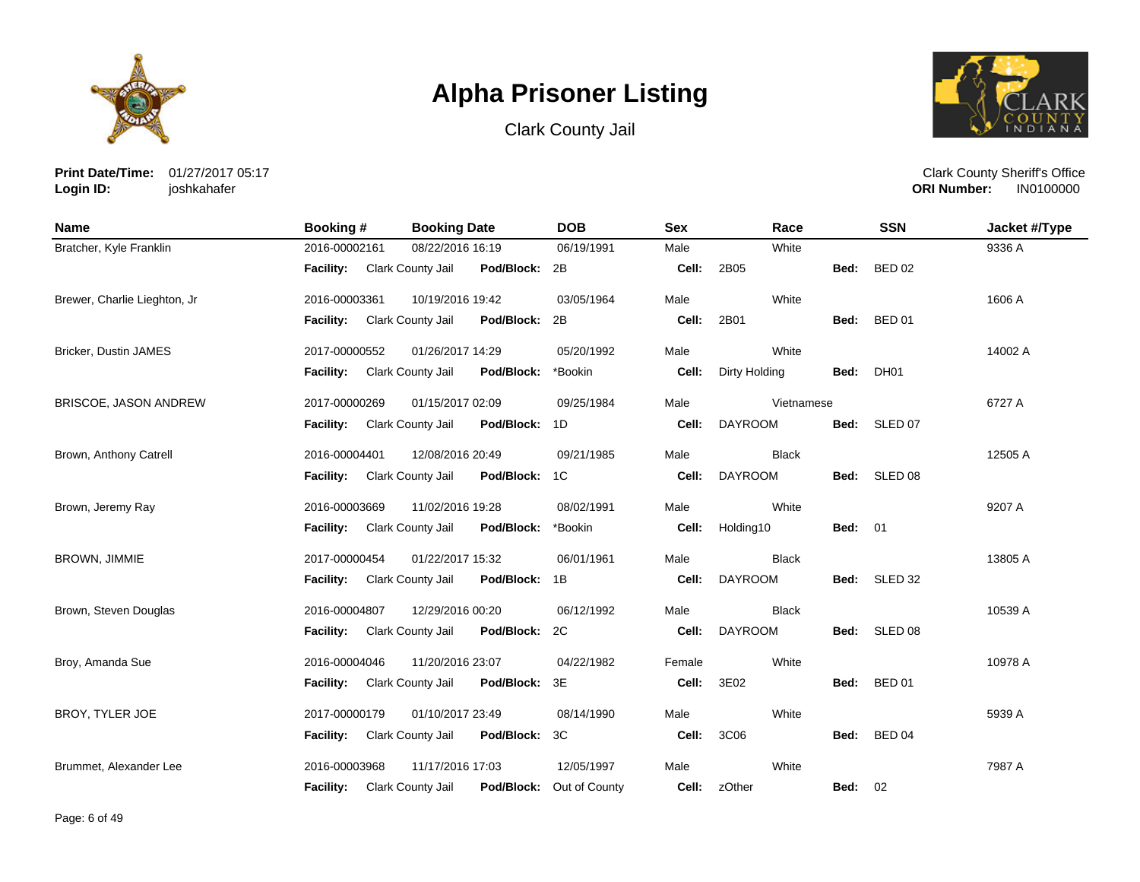





**Print Date/Time:** 01/27/2017 05:17 **Login ID:** joshkahafer

| <b>Name</b>                  | Booking #                   | <b>Booking Date</b>                | <b>DOB</b>               | <b>Sex</b> | Race           |                | <b>SSN</b>    | Jacket #/Type |
|------------------------------|-----------------------------|------------------------------------|--------------------------|------------|----------------|----------------|---------------|---------------|
| Bratcher, Kyle Franklin      | 2016-00002161               | 08/22/2016 16:19                   | 06/19/1991               | Male       | White          |                |               | 9336 A        |
|                              | Facility: Clark County Jail | Pod/Block: 2B                      |                          | Cell:      | 2B05           | Bed:           | <b>BED 02</b> |               |
| Brewer, Charlie Lieghton, Jr | 2016-00003361               | 10/19/2016 19:42                   | 03/05/1964               | Male       | White          |                |               | 1606 A        |
|                              | Facility: Clark County Jail | Pod/Block: 2B                      |                          | Cell:      | 2B01           |                | Bed: BED 01   |               |
| Bricker, Dustin JAMES        | 2017-00000552               | 01/26/2017 14:29                   | 05/20/1992               | Male       | White          |                |               | 14002 A       |
|                              | Facility: Clark County Jail | Pod/Block:                         | *Bookin                  | Cell:      | Dirty Holding  | Bed:           | <b>DH01</b>   |               |
| BRISCOE, JASON ANDREW        | 2017-00000269               | 01/15/2017 02:09                   | 09/25/1984               | Male       | Vietnamese     |                |               | 6727 A        |
|                              | <b>Facility:</b>            | Clark County Jail<br>Pod/Block: 1D |                          | Cell:      | <b>DAYROOM</b> |                | Bed: SLED 07  |               |
| Brown, Anthony Catrell       | 2016-00004401               | 12/08/2016 20:49                   | 09/21/1985               | Male       | <b>Black</b>   |                |               | 12505 A       |
|                              | Facility: Clark County Jail | Pod/Block: 1C                      |                          | Cell:      | <b>DAYROOM</b> |                | Bed: SLED 08  |               |
| Brown, Jeremy Ray            | 2016-00003669               | 11/02/2016 19:28                   | 08/02/1991               | Male       | White          |                |               | 9207 A        |
|                              | Facility: Clark County Jail | Pod/Block:                         | *Bookin                  | Cell:      | Holding10      | <b>Bed: 01</b> |               |               |
| BROWN, JIMMIE                | 2017-00000454               | 01/22/2017 15:32                   | 06/01/1961               | Male       | <b>Black</b>   |                |               | 13805 A       |
|                              | <b>Facility:</b>            | Clark County Jail<br>Pod/Block: 1B |                          | Cell:      | <b>DAYROOM</b> |                | Bed: SLED 32  |               |
| Brown, Steven Douglas        | 2016-00004807               | 12/29/2016 00:20                   | 06/12/1992               | Male       | <b>Black</b>   |                |               | 10539 A       |
|                              | Facility: Clark County Jail | Pod/Block: 2C                      |                          | Cell:      | <b>DAYROOM</b> |                | Bed: SLED 08  |               |
| Broy, Amanda Sue             | 2016-00004046               | 11/20/2016 23:07                   | 04/22/1982               | Female     | White          |                |               | 10978 A       |
|                              | <b>Facility:</b>            | Clark County Jail<br>Pod/Block: 3E |                          | Cell:      | 3E02           | Bed:           | <b>BED 01</b> |               |
| BROY, TYLER JOE              | 2017-00000179               | 01/10/2017 23:49                   | 08/14/1990               | Male       | White          |                |               | 5939 A        |
|                              | Facility:                   | Clark County Jail<br>Pod/Block: 3C |                          | Cell:      | 3C06           | Bed:           | <b>BED 04</b> |               |
| Brummet, Alexander Lee       | 2016-00003968               | 11/17/2016 17:03                   | 12/05/1997               | Male       | White          |                |               | 7987 A        |
|                              | Facility: Clark County Jail |                                    | Pod/Block: Out of County |            | Cell: zOther   | <b>Bed: 02</b> |               |               |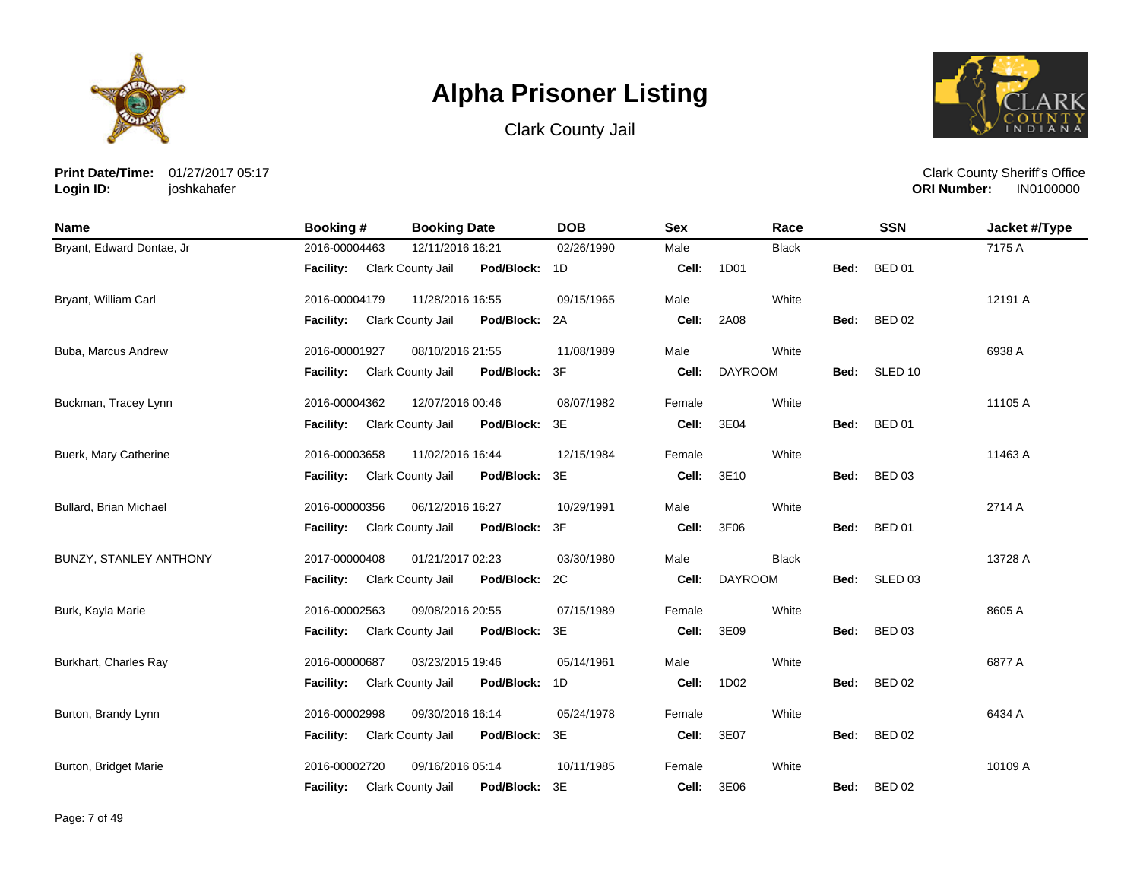





**Print Date/Time:** 01/27/2017 05:17 **Login ID:** joshkahafer

| <b>Name</b>               | <b>Booking #</b> | <b>Booking Date</b>                    | <b>DOB</b> | <b>Sex</b> | Race           |      | <b>SSN</b>         | Jacket #/Type |
|---------------------------|------------------|----------------------------------------|------------|------------|----------------|------|--------------------|---------------|
| Bryant, Edward Dontae, Jr | 2016-00004463    | 12/11/2016 16:21                       | 02/26/1990 | Male       | <b>Black</b>   |      |                    | 7175 A        |
|                           | <b>Facility:</b> | Pod/Block: 1D<br>Clark County Jail     |            | Cell:      | 1D01           | Bed: | <b>BED 01</b>      |               |
| Bryant, William Carl      | 2016-00004179    | 11/28/2016 16:55                       | 09/15/1965 | Male       | White          |      |                    | 12191 A       |
|                           | <b>Facility:</b> | Pod/Block:<br>Clark County Jail        | 2A         | Cell:      | 2A08           | Bed: | <b>BED 02</b>      |               |
| Buba, Marcus Andrew       | 2016-00001927    | 08/10/2016 21:55                       | 11/08/1989 | Male       | White          |      |                    | 6938 A        |
|                           | <b>Facility:</b> | <b>Clark County Jail</b><br>Pod/Block: | 3F         | Cell:      | <b>DAYROOM</b> | Bed: | SLED <sub>10</sub> |               |
| Buckman, Tracey Lynn      | 2016-00004362    | 12/07/2016 00:46                       | 08/07/1982 | Female     | White          |      |                    | 11105 A       |
|                           | <b>Facility:</b> | Clark County Jail<br>Pod/Block:        | 3E         | Cell:      | 3E04           | Bed: | <b>BED 01</b>      |               |
| Buerk, Mary Catherine     | 2016-00003658    | 11/02/2016 16:44                       | 12/15/1984 | Female     | White          |      |                    | 11463 A       |
|                           | <b>Facility:</b> | Clark County Jail<br>Pod/Block:        | 3E         | Cell:      | 3E10           | Bed: | <b>BED 03</b>      |               |
| Bullard, Brian Michael    | 2016-00000356    | 06/12/2016 16:27                       | 10/29/1991 | Male       | White          |      |                    | 2714 A        |
|                           | <b>Facility:</b> | Clark County Jail<br>Pod/Block:        | 3F         | Cell:      | 3F06           | Bed: | <b>BED 01</b>      |               |
| BUNZY, STANLEY ANTHONY    | 2017-00000408    | 01/21/2017 02:23                       | 03/30/1980 | Male       | <b>Black</b>   |      |                    | 13728 A       |
|                           | <b>Facility:</b> | Clark County Jail<br>Pod/Block:        | 2C         | Cell:      | <b>DAYROOM</b> |      | Bed: SLED 03       |               |
| Burk, Kayla Marie         | 2016-00002563    | 09/08/2016 20:55                       | 07/15/1989 | Female     | White          |      |                    | 8605 A        |
|                           | <b>Facility:</b> | Pod/Block:<br>Clark County Jail        | 3E         | Cell:      | 3E09           | Bed: | <b>BED 03</b>      |               |
| Burkhart, Charles Ray     | 2016-00000687    | 03/23/2015 19:46                       | 05/14/1961 | Male       | White          |      |                    | 6877 A        |
|                           | <b>Facility:</b> | Clark County Jail<br>Pod/Block:        | 1D         | Cell:      | 1D02           | Bed: | <b>BED 02</b>      |               |
| Burton, Brandy Lynn       | 2016-00002998    | 09/30/2016 16:14                       | 05/24/1978 | Female     | White          |      |                    | 6434 A        |
|                           | <b>Facility:</b> | Clark County Jail<br>Pod/Block:        | 3E         | Cell:      | 3E07           | Bed: | <b>BED 02</b>      |               |
| Burton, Bridget Marie     | 2016-00002720    | 09/16/2016 05:14                       | 10/11/1985 | Female     | White          |      |                    | 10109 A       |
|                           | <b>Facility:</b> | Pod/Block:<br>Clark County Jail        | 3E         | Cell:      | 3E06           | Bed: | <b>BED 02</b>      |               |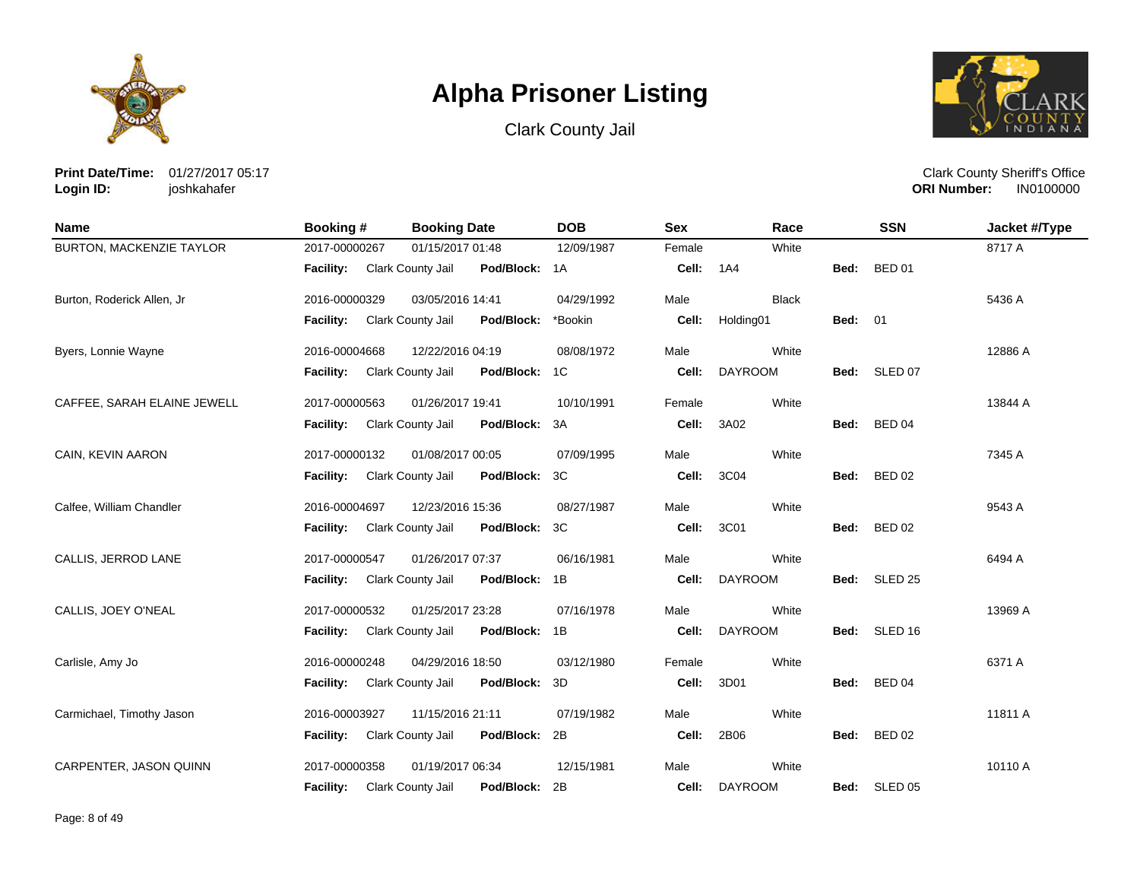





**Print Date/Time:** 01/27/2017 05:17 **Login ID:** joshkahafer

| Name                            | <b>Booking #</b> | <b>Booking Date</b>      |               | <b>DOB</b> | <b>Sex</b> | Race           |                | <b>SSN</b>    | Jacket #/Type |
|---------------------------------|------------------|--------------------------|---------------|------------|------------|----------------|----------------|---------------|---------------|
| <b>BURTON, MACKENZIE TAYLOR</b> | 2017-00000267    | 01/15/2017 01:48         |               | 12/09/1987 | Female     | White          |                |               | 8717 A        |
|                                 | <b>Facility:</b> | Clark County Jail        | Pod/Block: 1A |            | Cell:      | 1A4            | Bed:           | <b>BED 01</b> |               |
| Burton, Roderick Allen, Jr      | 2016-00000329    | 03/05/2016 14:41         |               | 04/29/1992 | Male       | <b>Black</b>   |                |               | 5436 A        |
|                                 | Facility:        | <b>Clark County Jail</b> | Pod/Block:    | *Bookin    | Cell:      | Holding01      | <b>Bed: 01</b> |               |               |
| Byers, Lonnie Wayne             | 2016-00004668    | 12/22/2016 04:19         |               | 08/08/1972 | Male       | White          |                |               | 12886 A       |
|                                 | Facility:        | Clark County Jail        | Pod/Block:    | 1C         | Cell:      | <b>DAYROOM</b> |                | Bed: SLED 07  |               |
| CAFFEE, SARAH ELAINE JEWELL     | 2017-00000563    | 01/26/2017 19:41         |               | 10/10/1991 | Female     | White          |                |               | 13844 A       |
|                                 | Facility:        | Clark County Jail        | Pod/Block:    | 3A         | Cell:      | 3A02           | Bed:           | <b>BED 04</b> |               |
| CAIN, KEVIN AARON               | 2017-00000132    | 01/08/2017 00:05         |               | 07/09/1995 | Male       | White          |                |               | 7345 A        |
|                                 | <b>Facility:</b> | Clark County Jail        | Pod/Block:    | 3C         | Cell:      | 3C04           | Bed:           | <b>BED 02</b> |               |
| Calfee, William Chandler        | 2016-00004697    | 12/23/2016 15:36         |               | 08/27/1987 | Male       | White          |                |               | 9543 A        |
|                                 | Facility:        | Clark County Jail        | Pod/Block:    | 3C         | Cell:      | 3C01           | Bed:           | <b>BED 02</b> |               |
| CALLIS, JERROD LANE             | 2017-00000547    | 01/26/2017 07:37         |               | 06/16/1981 | Male       | White          |                |               | 6494 A        |
|                                 | <b>Facility:</b> | Clark County Jail        | Pod/Block:    | 1B         | Cell:      | <b>DAYROOM</b> |                | Bed: SLED 25  |               |
| CALLIS, JOEY O'NEAL             | 2017-00000532    | 01/25/2017 23:28         |               | 07/16/1978 | Male       | White          |                |               | 13969 A       |
|                                 | Facility:        | Clark County Jail        | Pod/Block:    | 1B         | Cell:      | <b>DAYROOM</b> |                | Bed: SLED 16  |               |
| Carlisle, Amy Jo                | 2016-00000248    | 04/29/2016 18:50         |               | 03/12/1980 | Female     | White          |                |               | 6371 A        |
|                                 | <b>Facility:</b> | Clark County Jail        | Pod/Block:    | 3D         | Cell:      | 3D01           | Bed:           | <b>BED 04</b> |               |
| Carmichael, Timothy Jason       | 2016-00003927    | 11/15/2016 21:11         |               | 07/19/1982 | Male       | White          |                |               | 11811 A       |
|                                 | Facility:        | Clark County Jail        | Pod/Block:    | 2B         | Cell:      | 2B06           | Bed:           | <b>BED 02</b> |               |
| CARPENTER, JASON QUINN          | 2017-00000358    | 01/19/2017 06:34         |               | 12/15/1981 | Male       | White          |                |               | 10110 A       |
|                                 | <b>Facility:</b> | Clark County Jail        | Pod/Block:    | 2B         | Cell:      | <b>DAYROOM</b> |                | Bed: SLED 05  |               |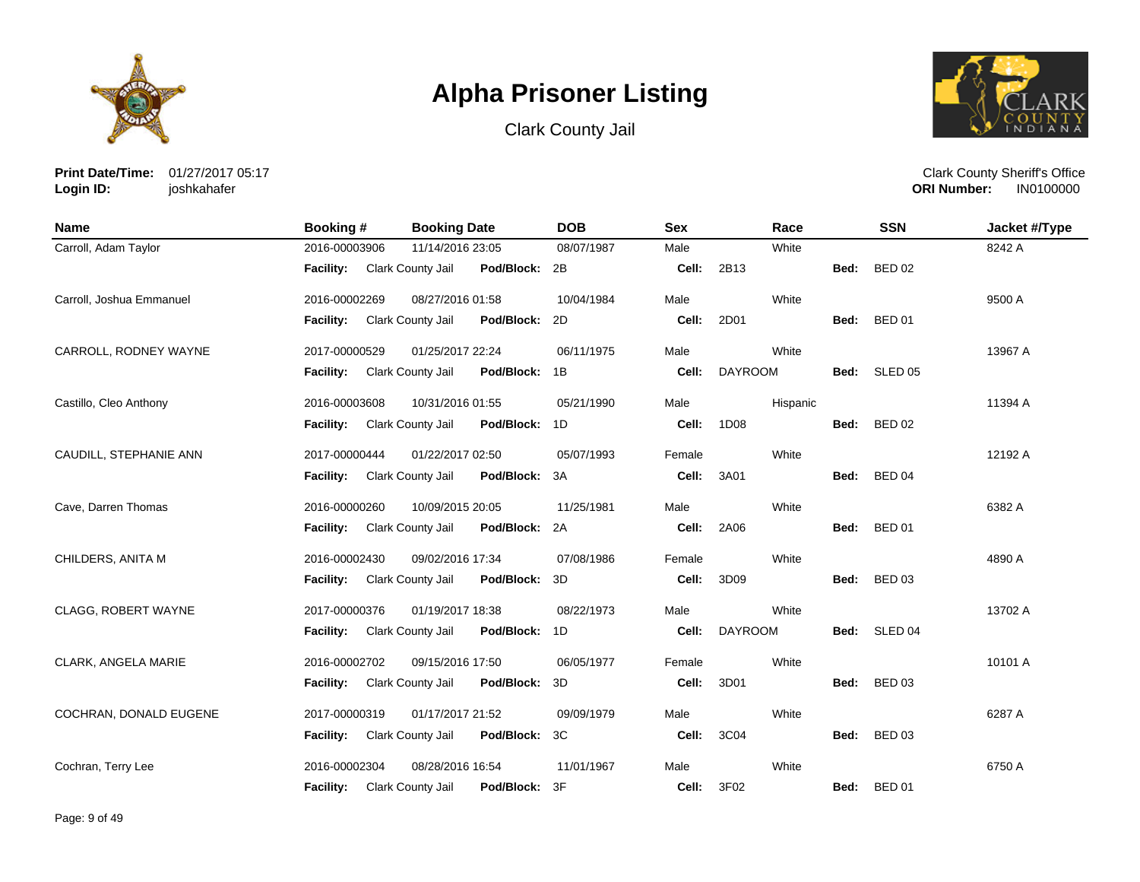





**Print Date/Time:** 01/27/2017 05:17 **Login ID:** joshkahafer

| <b>Name</b>              | Booking #        | <b>Booking Date</b>                | <b>DOB</b> | <b>Sex</b> | Race           |             | <b>SSN</b>    | Jacket #/Type |
|--------------------------|------------------|------------------------------------|------------|------------|----------------|-------------|---------------|---------------|
| Carroll, Adam Taylor     | 2016-00003906    | 11/14/2016 23:05                   | 08/07/1987 | Male       | White          |             |               | 8242 A        |
|                          | <b>Facility:</b> | Clark County Jail<br>Pod/Block: 2B |            | Cell:      | 2B13           | Bed:        | <b>BED 02</b> |               |
| Carroll, Joshua Emmanuel | 2016-00002269    | 08/27/2016 01:58                   | 10/04/1984 | Male       | White          |             |               | 9500 A        |
|                          | <b>Facility:</b> | Clark County Jail<br>Pod/Block: 2D |            | Cell:      | 2D01           | Bed:        | <b>BED 01</b> |               |
| CARROLL, RODNEY WAYNE    | 2017-00000529    | 01/25/2017 22:24                   | 06/11/1975 | Male       | White          |             |               | 13967 A       |
|                          | Facility:        | Clark County Jail<br>Pod/Block:    | 1B         | Cell:      | <b>DAYROOM</b> | Bed:        | SLED 05       |               |
| Castillo, Cleo Anthony   | 2016-00003608    | 10/31/2016 01:55                   | 05/21/1990 | Male       | Hispanic       |             |               | 11394 A       |
|                          | <b>Facility:</b> | Clark County Jail<br>Pod/Block: 1D |            | Cell:      | 1D08           | Bed:        | <b>BED 02</b> |               |
| CAUDILL, STEPHANIE ANN   | 2017-00000444    | 01/22/2017 02:50                   | 05/07/1993 | Female     | White          |             |               | 12192 A       |
|                          | <b>Facility:</b> | Clark County Jail<br>Pod/Block: 3A |            | Cell:      | 3A01           | Bed: BED 04 |               |               |
| Cave, Darren Thomas      | 2016-00000260    | 10/09/2015 20:05                   | 11/25/1981 | Male       | White          |             |               | 6382 A        |
|                          | <b>Facility:</b> | Clark County Jail<br>Pod/Block: 2A |            | Cell:      | 2A06           | Bed:        | <b>BED 01</b> |               |
| CHILDERS, ANITA M        | 2016-00002430    | 09/02/2016 17:34                   | 07/08/1986 | Female     | White          |             |               | 4890 A        |
|                          | Facility:        | Pod/Block: 3D<br>Clark County Jail |            | Cell:      | 3D09           | Bed: BED 03 |               |               |
| CLAGG, ROBERT WAYNE      | 2017-00000376    | 01/19/2017 18:38                   | 08/22/1973 | Male       | White          |             |               | 13702 A       |
|                          | <b>Facility:</b> | Clark County Jail<br>Pod/Block: 1D |            | Cell:      | <b>DAYROOM</b> | Bed:        | SLED 04       |               |
| CLARK, ANGELA MARIE      | 2016-00002702    | 09/15/2016 17:50                   | 06/05/1977 | Female     | White          |             |               | 10101 A       |
|                          | <b>Facility:</b> | Clark County Jail<br>Pod/Block: 3D |            | Cell:      | 3D01           | Bed:        | <b>BED 03</b> |               |
| COCHRAN, DONALD EUGENE   | 2017-00000319    | 01/17/2017 21:52                   | 09/09/1979 | Male       | White          |             |               | 6287 A        |
|                          | <b>Facility:</b> | Clark County Jail<br>Pod/Block: 3C |            | Cell:      | 3C04           | Bed:        | <b>BED 03</b> |               |
| Cochran, Terry Lee       | 2016-00002304    | 08/28/2016 16:54                   | 11/01/1967 | Male       | White          |             |               | 6750 A        |
|                          | <b>Facility:</b> | Clark County Jail<br>Pod/Block:    | 3F         | Cell:      | 3F02           | Bed:        | <b>BED 01</b> |               |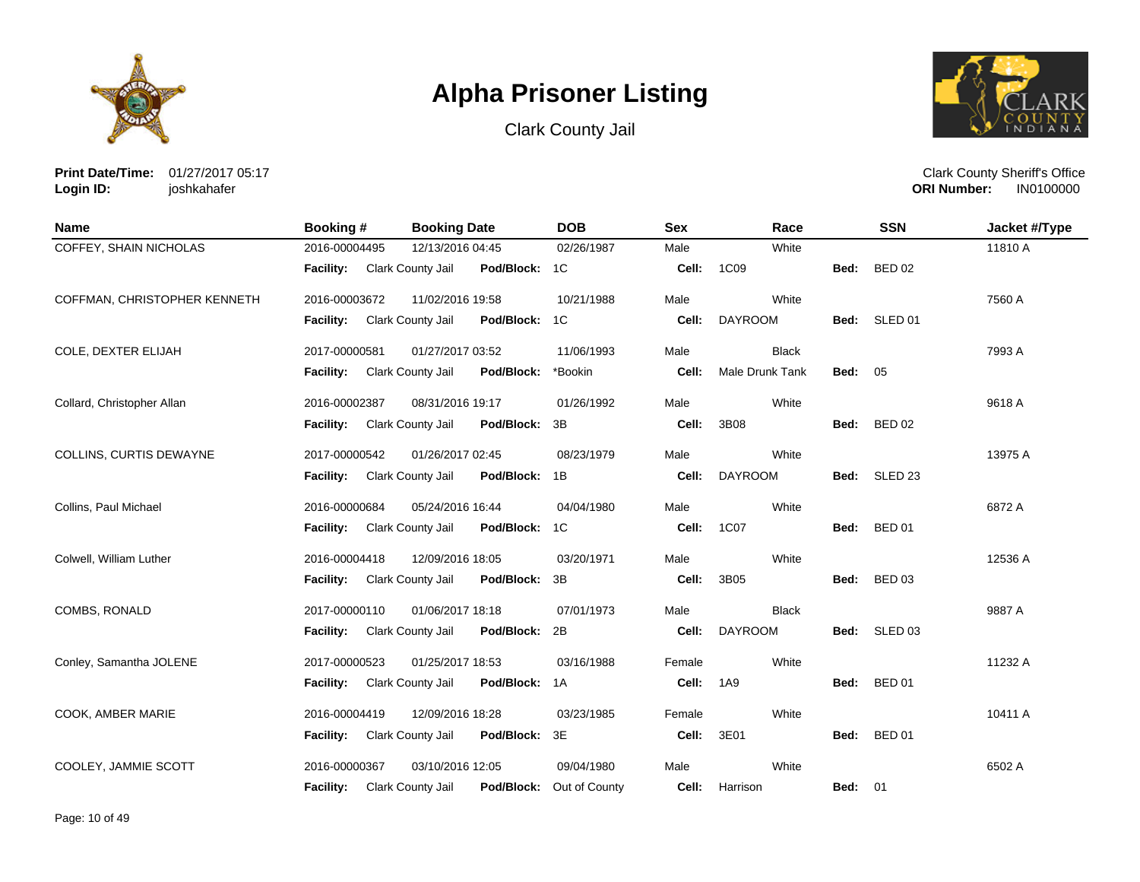





**Print Date/Time:** 01/27/2017 05:17 **Login ID:** joshkahafer

| <b>Name</b>                  | <b>Booking#</b>             | <b>Booking Date</b>                | <b>DOB</b>    | <b>Sex</b> | Race            |                | <b>SSN</b>    | Jacket #/Type |
|------------------------------|-----------------------------|------------------------------------|---------------|------------|-----------------|----------------|---------------|---------------|
| COFFEY, SHAIN NICHOLAS       | 2016-00004495               | 12/13/2016 04:45                   | 02/26/1987    | Male       | White           |                |               | 11810 A       |
|                              | Facility: Clark County Jail | Pod/Block: 1C                      |               | Cell:      | 1C09            | Bed:           | <b>BED 02</b> |               |
| COFFMAN, CHRISTOPHER KENNETH | 2016-00003672               | 11/02/2016 19:58                   | 10/21/1988    | Male       | White           |                |               | 7560 A        |
|                              | <b>Facility:</b>            | Clark County Jail<br>Pod/Block: 1C |               | Cell:      | <b>DAYROOM</b>  |                | Bed: SLED 01  |               |
| COLE, DEXTER ELIJAH          | 2017-00000581               | 01/27/2017 03:52                   | 11/06/1993    | Male       | <b>Black</b>    |                |               | 7993 A        |
|                              | <b>Facility:</b>            | Clark County Jail<br>Pod/Block:    | *Bookin       | Cell:      | Male Drunk Tank | <b>Bed: 05</b> |               |               |
| Collard, Christopher Allan   | 2016-00002387               | 08/31/2016 19:17                   | 01/26/1992    | Male       | White           |                |               | 9618 A        |
|                              | <b>Facility:</b>            | Clark County Jail<br>Pod/Block: 3B |               | Cell:      | 3B08            | Bed:           | <b>BED 02</b> |               |
| COLLINS, CURTIS DEWAYNE      | 2017-00000542               | 01/26/2017 02:45                   | 08/23/1979    | Male       | White           |                |               | 13975 A       |
|                              | <b>Facility:</b>            | Pod/Block: 1B<br>Clark County Jail |               | Cell:      | <b>DAYROOM</b>  |                | Bed: SLED 23  |               |
| Collins, Paul Michael        | 2016-00000684               | 05/24/2016 16:44                   | 04/04/1980    | Male       | White           |                |               | 6872 A        |
|                              | <b>Facility:</b>            | Clark County Jail<br>Pod/Block: 1C |               | Cell:      | 1C07            | Bed:           | <b>BED 01</b> |               |
| Colwell, William Luther      | 2016-00004418               | 12/09/2016 18:05                   | 03/20/1971    | Male       | White           |                |               | 12536 A       |
|                              | <b>Facility:</b>            | Clark County Jail<br>Pod/Block: 3B |               | Cell:      | 3B05            | Bed:           | <b>BED 03</b> |               |
| COMBS, RONALD                | 2017-00000110               | 01/06/2017 18:18                   | 07/01/1973    | Male       | <b>Black</b>    |                |               | 9887 A        |
|                              | <b>Facility:</b>            | Pod/Block: 2B<br>Clark County Jail |               | Cell:      | <b>DAYROOM</b>  |                | Bed: SLED 03  |               |
| Conley, Samantha JOLENE      | 2017-00000523               | 01/25/2017 18:53                   | 03/16/1988    | Female     | White           |                |               | 11232 A       |
|                              | <b>Facility:</b>            | Pod/Block: 1A<br>Clark County Jail |               | Cell:      | 1A9             | Bed:           | <b>BED 01</b> |               |
| COOK, AMBER MARIE            | 2016-00004419               | 12/09/2016 18:28                   | 03/23/1985    | Female     | White           |                |               | 10411 A       |
|                              | <b>Facility:</b>            | Clark County Jail<br>Pod/Block: 3E |               | Cell:      | 3E01            | Bed:           | <b>BED 01</b> |               |
| COOLEY, JAMMIE SCOTT         | 2016-00000367               | 03/10/2016 12:05                   | 09/04/1980    | Male       | White           |                |               | 6502 A        |
|                              | <b>Facility:</b>            | Clark County Jail<br>Pod/Block:    | Out of County | Cell:      | Harrison        | Bed:           | $_{01}$       |               |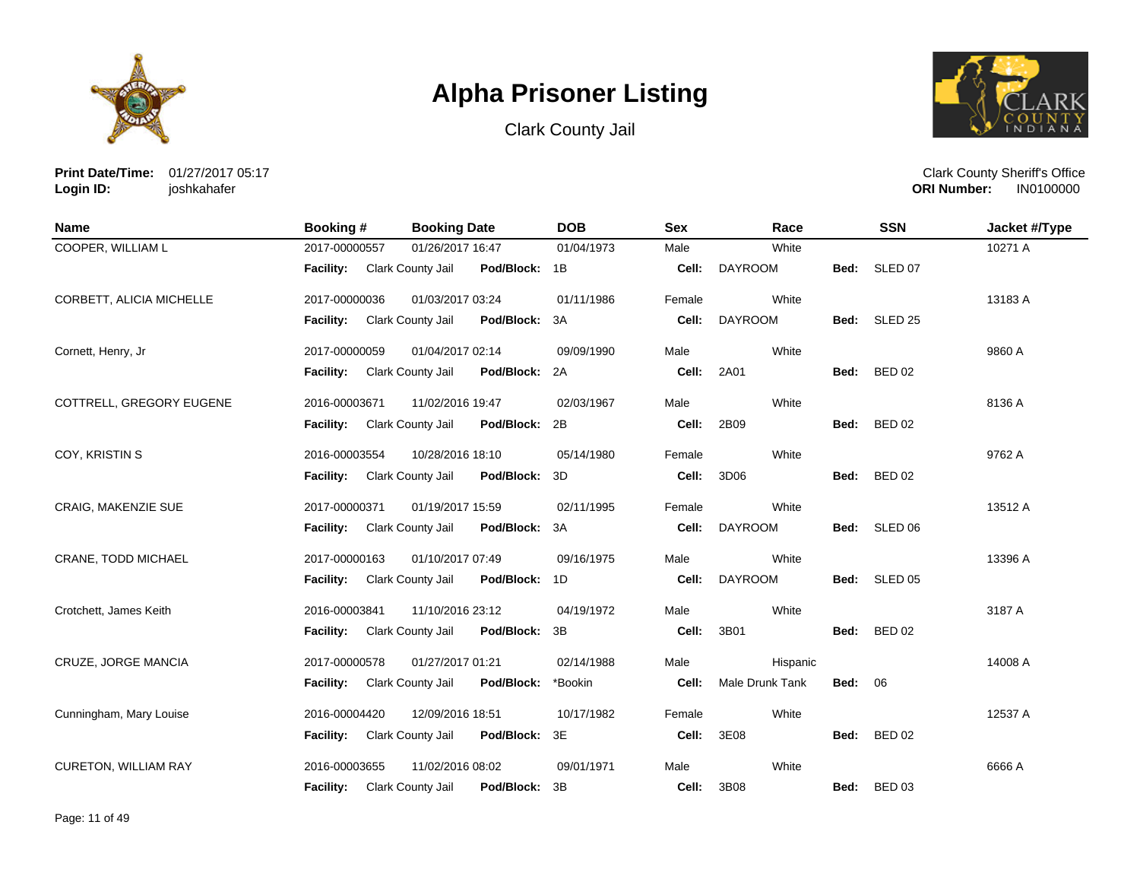





**Print Date/Time:** 01/27/2017 05:17 **Login ID:** joshkahafer

| <b>Name</b>                 | <b>Booking#</b>  | <b>Booking Date</b> |               | <b>DOB</b> | <b>Sex</b> | Race            |      | <b>SSN</b>         | Jacket #/Type |
|-----------------------------|------------------|---------------------|---------------|------------|------------|-----------------|------|--------------------|---------------|
| COOPER, WILLIAM L           | 2017-00000557    | 01/26/2017 16:47    |               | 01/04/1973 | Male       | White           |      |                    | 10271 A       |
|                             | <b>Facility:</b> | Clark County Jail   | Pod/Block: 1B |            | Cell:      | <b>DAYROOM</b>  | Bed: | SLED 07            |               |
| CORBETT, ALICIA MICHELLE    | 2017-00000036    | 01/03/2017 03:24    |               | 01/11/1986 | Female     | White           |      |                    | 13183 A       |
|                             | <b>Facility:</b> | Clark County Jail   | Pod/Block:    | 3A         | Cell:      | <b>DAYROOM</b>  | Bed: | SLED <sub>25</sub> |               |
| Cornett, Henry, Jr          | 2017-00000059    | 01/04/2017 02:14    |               | 09/09/1990 | Male       | White           |      |                    | 9860 A        |
|                             | <b>Facility:</b> | Clark County Jail   | Pod/Block:    | 2A         | Cell:      | 2A01            | Bed: | <b>BED 02</b>      |               |
| COTTRELL, GREGORY EUGENE    | 2016-00003671    | 11/02/2016 19:47    |               | 02/03/1967 | Male       | White           |      |                    | 8136 A        |
|                             | <b>Facility:</b> | Clark County Jail   | Pod/Block:    | 2B         | Cell:      | 2B09            | Bed: | <b>BED 02</b>      |               |
| COY, KRISTIN S              | 2016-00003554    | 10/28/2016 18:10    |               | 05/14/1980 | Female     | White           |      |                    | 9762 A        |
|                             | <b>Facility:</b> | Clark County Jail   | Pod/Block:    | 3D         | Cell:      | 3D06            | Bed: | <b>BED 02</b>      |               |
| CRAIG, MAKENZIE SUE         | 2017-00000371    | 01/19/2017 15:59    |               | 02/11/1995 | Female     | White           |      |                    | 13512 A       |
|                             | Facility:        | Clark County Jail   | Pod/Block:    | 3A         | Cell:      | <b>DAYROOM</b>  | Bed: | SLED 06            |               |
| CRANE, TODD MICHAEL         | 2017-00000163    | 01/10/2017 07:49    |               | 09/16/1975 | Male       | White           |      |                    | 13396 A       |
|                             | Facility:        | Clark County Jail   | Pod/Block:    | 1D         | Cell:      | <b>DAYROOM</b>  | Bed: | SLED <sub>05</sub> |               |
| Crotchett, James Keith      | 2016-00003841    | 11/10/2016 23:12    |               | 04/19/1972 | Male       | White           |      |                    | 3187 A        |
|                             | <b>Facility:</b> | Clark County Jail   | Pod/Block:    | 3B         | Cell:      | 3B01            | Bed: | <b>BED 02</b>      |               |
| CRUZE, JORGE MANCIA         | 2017-00000578    | 01/27/2017 01:21    |               | 02/14/1988 | Male       | Hispanic        |      |                    | 14008 A       |
|                             | <b>Facility:</b> | Clark County Jail   | Pod/Block:    | *Bookin    | Cell:      | Male Drunk Tank | Bed: | 06                 |               |
| Cunningham, Mary Louise     | 2016-00004420    | 12/09/2016 18:51    |               | 10/17/1982 | Female     | White           |      |                    | 12537 A       |
|                             | <b>Facility:</b> | Clark County Jail   | Pod/Block:    | 3E         | Cell:      | 3E08            | Bed: | <b>BED 02</b>      |               |
| <b>CURETON, WILLIAM RAY</b> | 2016-00003655    | 11/02/2016 08:02    |               | 09/01/1971 | Male       | White           |      |                    | 6666 A        |
|                             | Facility:        | Clark County Jail   | Pod/Block:    | 3B         | Cell:      | 3B08            | Bed: | <b>BED 03</b>      |               |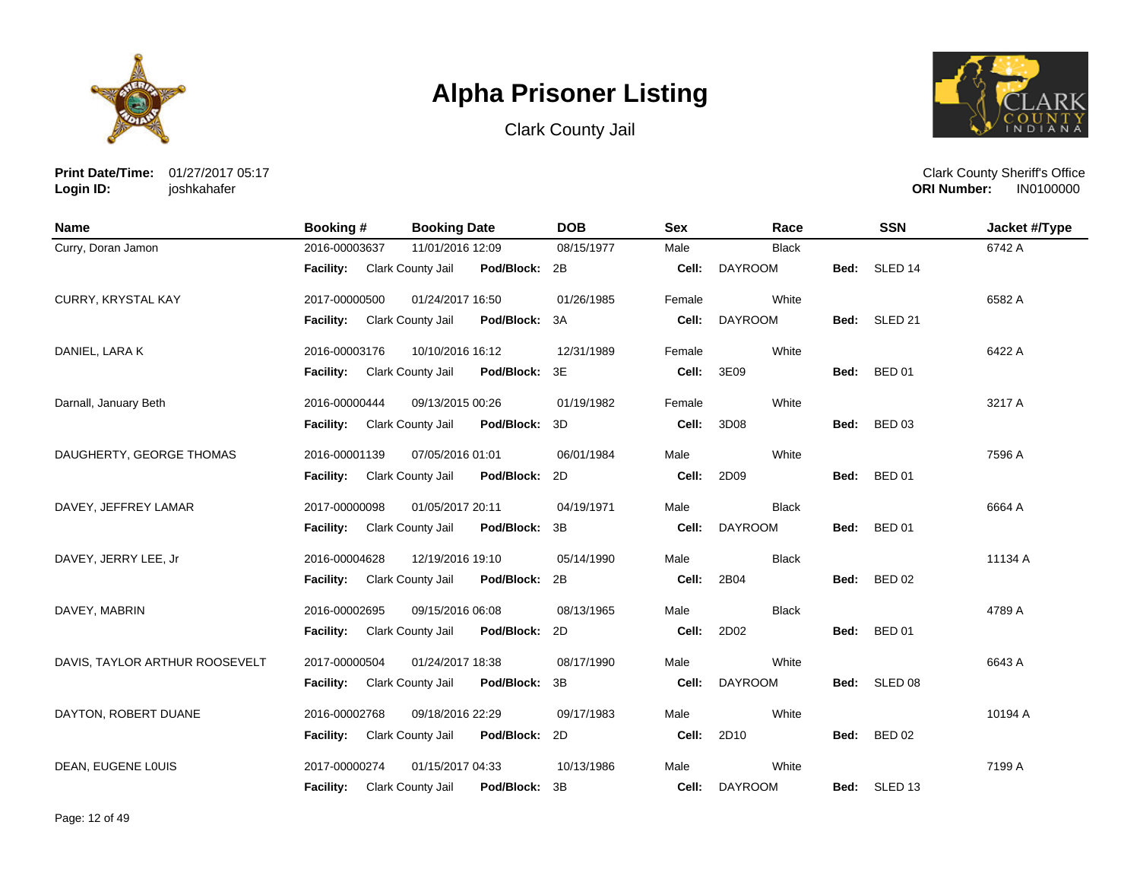





**Print Date/Time:** 01/27/2017 05:17 **Login ID:** joshkahafer

| <b>Name</b>                    | <b>Booking#</b>             | <b>Booking Date</b> |               | <b>DOB</b> | <b>Sex</b> | Race           |      | <b>SSN</b>         | Jacket #/Type |
|--------------------------------|-----------------------------|---------------------|---------------|------------|------------|----------------|------|--------------------|---------------|
| Curry, Doran Jamon             | 2016-00003637               | 11/01/2016 12:09    |               | 08/15/1977 | Male       | <b>Black</b>   |      |                    | 6742 A        |
|                                | Facility: Clark County Jail |                     | Pod/Block: 2B |            | Cell:      | <b>DAYROOM</b> | Bed: | SLED <sub>14</sub> |               |
| CURRY, KRYSTAL KAY             | 2017-00000500               | 01/24/2017 16:50    |               | 01/26/1985 | Female     | White          |      |                    | 6582 A        |
|                                | <b>Facility:</b>            | Clark County Jail   | Pod/Block:    | 3A         | Cell:      | <b>DAYROOM</b> | Bed: | SLED <sub>21</sub> |               |
| DANIEL, LARA K                 | 2016-00003176               | 10/10/2016 16:12    |               | 12/31/1989 | Female     | White          |      |                    | 6422 A        |
|                                | <b>Facility:</b>            | Clark County Jail   | Pod/Block:    | 3E         | Cell:      | 3E09           | Bed: | <b>BED 01</b>      |               |
| Darnall, January Beth          | 2016-00000444               | 09/13/2015 00:26    |               | 01/19/1982 | Female     | White          |      |                    | 3217 A        |
|                                | <b>Facility:</b>            | Clark County Jail   | Pod/Block:    | 3D         | Cell:      | 3D08           | Bed: | <b>BED 03</b>      |               |
| DAUGHERTY, GEORGE THOMAS       | 2016-00001139               | 07/05/2016 01:01    |               | 06/01/1984 | Male       | White          |      |                    | 7596 A        |
|                                | <b>Facility:</b>            | Clark County Jail   | Pod/Block:    | 2D         | Cell:      | 2D09           | Bed: | <b>BED 01</b>      |               |
| DAVEY, JEFFREY LAMAR           | 2017-00000098               | 01/05/2017 20:11    |               | 04/19/1971 | Male       | <b>Black</b>   |      |                    | 6664 A        |
|                                | <b>Facility:</b>            | Clark County Jail   | Pod/Block:    | 3B         | Cell:      | <b>DAYROOM</b> | Bed: | <b>BED 01</b>      |               |
| DAVEY, JERRY LEE, Jr           | 2016-00004628               | 12/19/2016 19:10    |               | 05/14/1990 | Male       | <b>Black</b>   |      |                    | 11134 A       |
|                                | <b>Facility:</b>            | Clark County Jail   | Pod/Block:    | 2B         | Cell:      | 2B04           | Bed: | <b>BED 02</b>      |               |
| DAVEY, MABRIN                  | 2016-00002695               | 09/15/2016 06:08    |               | 08/13/1965 | Male       | <b>Black</b>   |      |                    | 4789 A        |
|                                | <b>Facility:</b>            | Clark County Jail   | Pod/Block:    | 2D         | Cell:      | 2D02           | Bed: | <b>BED 01</b>      |               |
| DAVIS, TAYLOR ARTHUR ROOSEVELT | 2017-00000504               | 01/24/2017 18:38    |               | 08/17/1990 | Male       | White          |      |                    | 6643 A        |
|                                | <b>Facility:</b>            | Clark County Jail   | Pod/Block:    | 3B         | Cell:      | <b>DAYROOM</b> | Bed: | SLED <sub>08</sub> |               |
| DAYTON, ROBERT DUANE           | 2016-00002768               | 09/18/2016 22:29    |               | 09/17/1983 | Male       | White          |      |                    | 10194 A       |
|                                | Facility:                   | Clark County Jail   | Pod/Block:    | 2D         | Cell:      | 2D10           | Bed: | <b>BED 02</b>      |               |
| DEAN, EUGENE LOUIS             | 2017-00000274               | 01/15/2017 04:33    |               | 10/13/1986 | Male       | White          |      |                    | 7199 A        |
|                                | <b>Facility:</b>            | Clark County Jail   | Pod/Block:    | 3B         | Cell:      | <b>DAYROOM</b> | Bed: | SLED <sub>13</sub> |               |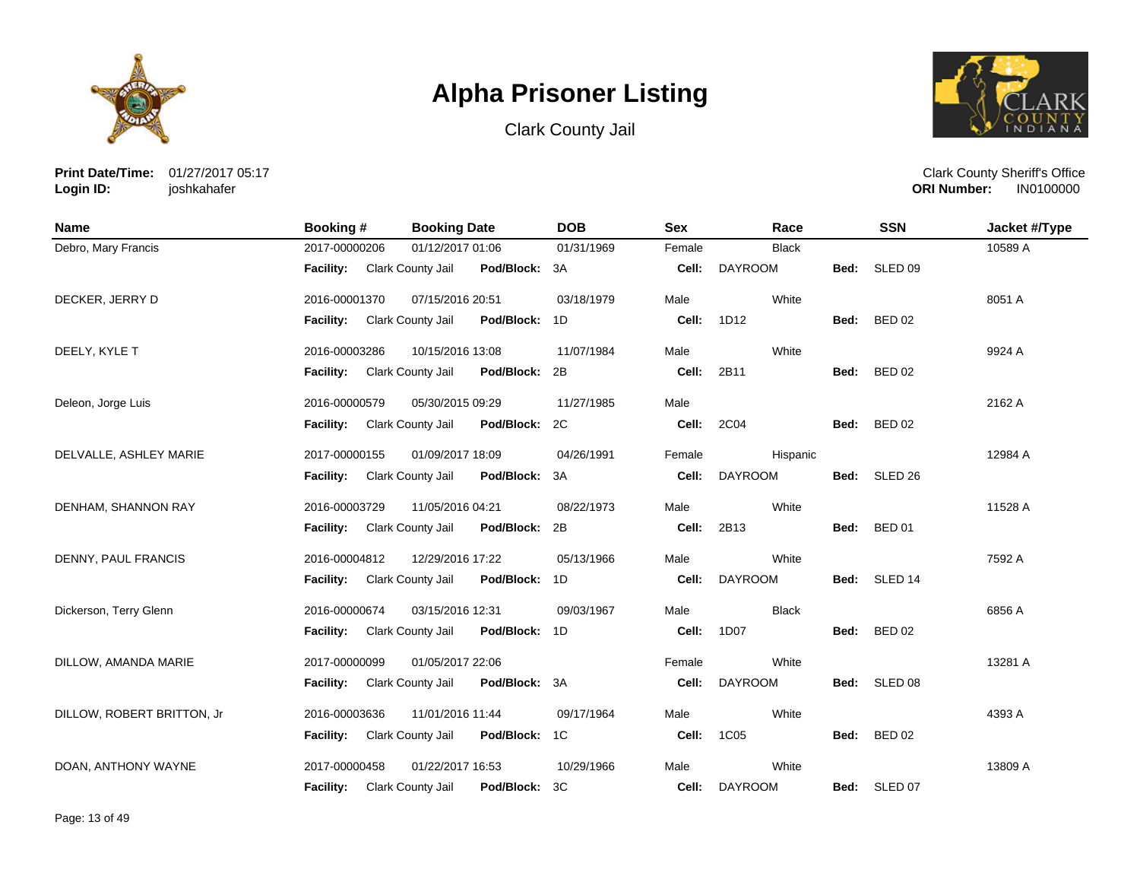





**Print Date/Time:** 01/27/2017 05:17 **Login ID:** joshkahafer

| <b>Name</b>                | Booking #        | <b>Booking Date</b>                | <b>DOB</b> | <b>Sex</b> | Race           |      | <b>SSN</b>         | Jacket #/Type |
|----------------------------|------------------|------------------------------------|------------|------------|----------------|------|--------------------|---------------|
| Debro, Mary Francis        | 2017-00000206    | 01/12/2017 01:06                   | 01/31/1969 | Female     | <b>Black</b>   |      |                    | 10589 A       |
|                            | <b>Facility:</b> | Clark County Jail<br>Pod/Block:    | 3A         | Cell:      | <b>DAYROOM</b> | Bed: | SLED <sub>09</sub> |               |
| DECKER, JERRY D            | 2016-00001370    | 07/15/2016 20:51                   | 03/18/1979 | Male       | White          |      |                    | 8051 A        |
|                            | <b>Facility:</b> | Clark County Jail<br>Pod/Block:    | 1D         | Cell:      | 1D12           | Bed: | <b>BED 02</b>      |               |
| DEELY, KYLE T              | 2016-00003286    | 10/15/2016 13:08                   | 11/07/1984 | Male       | White          |      |                    | 9924 A        |
|                            | <b>Facility:</b> | Clark County Jail<br>Pod/Block:    | 2B         | Cell:      | 2B11           | Bed: | <b>BED 02</b>      |               |
| Deleon, Jorge Luis         | 2016-00000579    | 05/30/2015 09:29                   | 11/27/1985 | Male       |                |      |                    | 2162 A        |
|                            | <b>Facility:</b> | Clark County Jail<br>Pod/Block:    | 2C         | Cell:      | 2C04           | Bed: | <b>BED 02</b>      |               |
| DELVALLE, ASHLEY MARIE     | 2017-00000155    | 01/09/2017 18:09                   | 04/26/1991 | Female     | Hispanic       |      |                    | 12984 A       |
|                            | <b>Facility:</b> | Clark County Jail<br>Pod/Block:    | 3A         | Cell:      | <b>DAYROOM</b> |      | Bed: SLED 26       |               |
| DENHAM, SHANNON RAY        | 2016-00003729    | 11/05/2016 04:21                   | 08/22/1973 | Male       | White          |      |                    | 11528 A       |
|                            | <b>Facility:</b> | Clark County Jail<br>Pod/Block:    | 2B         | Cell:      | 2B13           | Bed: | <b>BED 01</b>      |               |
| DENNY, PAUL FRANCIS        | 2016-00004812    | 12/29/2016 17:22                   | 05/13/1966 | Male       | White          |      |                    | 7592 A        |
|                            | <b>Facility:</b> | Clark County Jail<br>Pod/Block:    | 1D         | Cell:      | <b>DAYROOM</b> |      | Bed: SLED 14       |               |
| Dickerson, Terry Glenn     | 2016-00000674    | 03/15/2016 12:31                   | 09/03/1967 | Male       | <b>Black</b>   |      |                    | 6856 A        |
|                            | <b>Facility:</b> | Clark County Jail<br>Pod/Block: 1D |            | Cell:      | 1D07           | Bed: | <b>BED 02</b>      |               |
| DILLOW, AMANDA MARIE       | 2017-00000099    | 01/05/2017 22:06                   |            | Female     | White          |      |                    | 13281 A       |
|                            | <b>Facility:</b> | Clark County Jail<br>Pod/Block: 3A |            | Cell:      | <b>DAYROOM</b> | Bed: | SLED 08            |               |
| DILLOW, ROBERT BRITTON, Jr | 2016-00003636    | 11/01/2016 11:44                   | 09/17/1964 | Male       | White          |      |                    | 4393 A        |
|                            | Facility:        | Clark County Jail<br>Pod/Block:    | 1C         | Cell:      | 1C05           | Bed: | <b>BED 02</b>      |               |
| DOAN, ANTHONY WAYNE        | 2017-00000458    | 01/22/2017 16:53                   | 10/29/1966 | Male       | White          |      |                    | 13809 A       |
|                            | <b>Facility:</b> | Pod/Block:<br>Clark County Jail    | 3C         | Cell:      | <b>DAYROOM</b> |      | Bed: SLED 07       |               |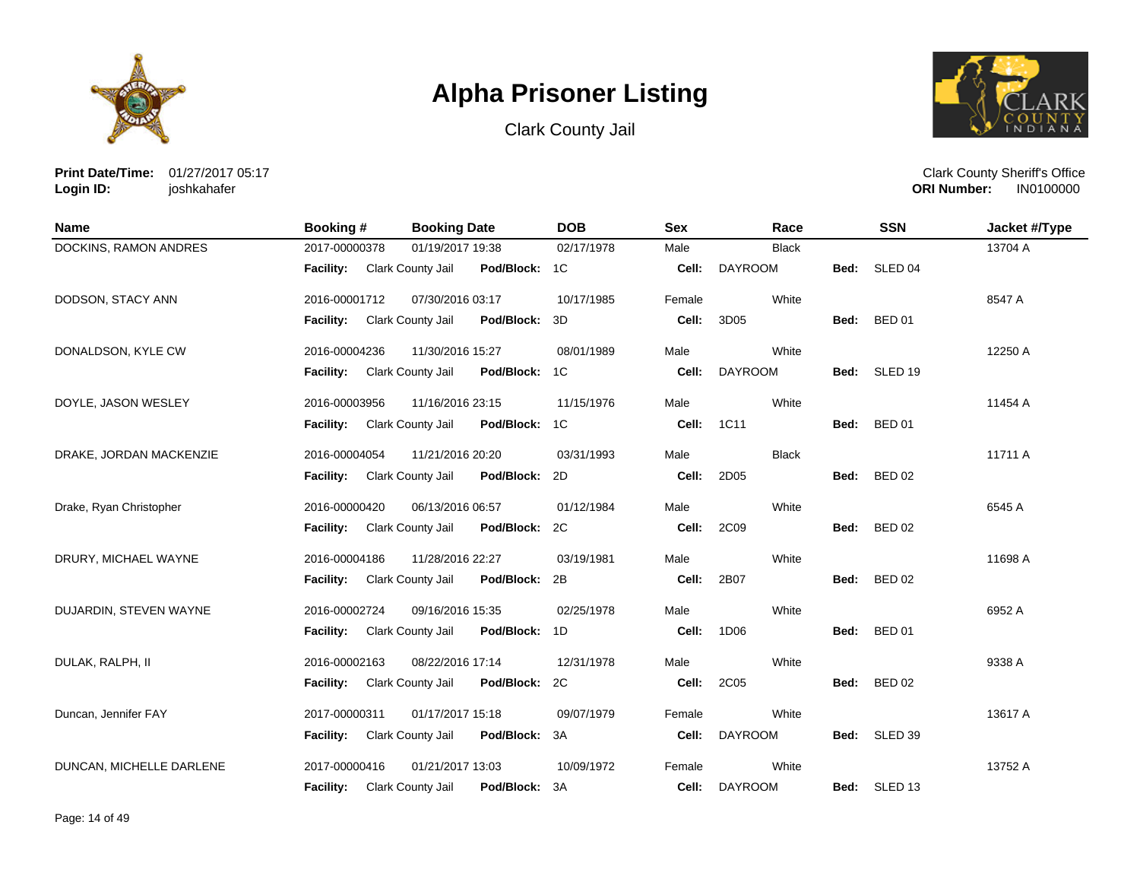





**Print Date/Time:** 01/27/2017 05:17 **Login ID:** joshkahafer

| <b>Name</b>              | <b>Booking#</b>  | <b>Booking Date</b>                       | <b>DOB</b> | <b>Sex</b> | Race           |      | <b>SSN</b>         | Jacket #/Type |
|--------------------------|------------------|-------------------------------------------|------------|------------|----------------|------|--------------------|---------------|
| DOCKINS, RAMON ANDRES    | 2017-00000378    | 01/19/2017 19:38                          | 02/17/1978 | Male       | <b>Black</b>   |      |                    | 13704 A       |
|                          | Facility:        | Clark County Jail<br>Pod/Block: 1C        |            | Cell:      | <b>DAYROOM</b> | Bed: | SLED <sub>04</sub> |               |
| DODSON, STACY ANN        | 2016-00001712    | 07/30/2016 03:17                          | 10/17/1985 | Female     | White          |      |                    | 8547 A        |
|                          | <b>Facility:</b> | Clark County Jail<br>Pod/Block: 3D        |            | Cell:      | 3D05           | Bed: | <b>BED 01</b>      |               |
| DONALDSON, KYLE CW       | 2016-00004236    | 11/30/2016 15:27                          | 08/01/1989 | Male       | White          |      |                    | 12250 A       |
|                          | <b>Facility:</b> | <b>Clark County Jail</b><br>Pod/Block: 1C |            | Cell:      | <b>DAYROOM</b> | Bed: | SLED 19            |               |
| DOYLE, JASON WESLEY      | 2016-00003956    | 11/16/2016 23:15                          | 11/15/1976 | Male       | White          |      |                    | 11454 A       |
|                          | <b>Facility:</b> | Pod/Block: 1C<br>Clark County Jail        |            | Cell:      | 1C11           | Bed: | <b>BED 01</b>      |               |
| DRAKE, JORDAN MACKENZIE  | 2016-00004054    | 11/21/2016 20:20                          | 03/31/1993 | Male       | <b>Black</b>   |      |                    | 11711 A       |
|                          | <b>Facility:</b> | Pod/Block: 2D<br>Clark County Jail        |            | Cell:      | 2D05           |      | Bed: BED 02        |               |
| Drake, Ryan Christopher  | 2016-00000420    | 06/13/2016 06:57                          | 01/12/1984 | Male       | White          |      |                    | 6545 A        |
|                          | <b>Facility:</b> | Clark County Jail<br>Pod/Block: 2C        |            | Cell:      | 2C09           | Bed: | <b>BED 02</b>      |               |
| DRURY, MICHAEL WAYNE     | 2016-00004186    | 11/28/2016 22:27                          | 03/19/1981 | Male       | White          |      |                    | 11698 A       |
|                          | <b>Facility:</b> | Clark County Jail<br>Pod/Block: 2B        |            | Cell:      | 2B07           | Bed: | <b>BED 02</b>      |               |
| DUJARDIN, STEVEN WAYNE   | 2016-00002724    | 09/16/2016 15:35                          | 02/25/1978 | Male       | White          |      |                    | 6952 A        |
|                          | <b>Facility:</b> | Pod/Block: 1D<br>Clark County Jail        |            | Cell:      | 1D06           | Bed: | <b>BED 01</b>      |               |
| DULAK, RALPH, II         | 2016-00002163    | 08/22/2016 17:14                          | 12/31/1978 | Male       | White          |      |                    | 9338 A        |
|                          | <b>Facility:</b> | Pod/Block: 2C<br>Clark County Jail        |            | Cell:      | 2C05           | Bed: | <b>BED 02</b>      |               |
| Duncan, Jennifer FAY     | 2017-00000311    | 01/17/2017 15:18                          | 09/07/1979 | Female     | White          |      |                    | 13617 A       |
|                          | Facility:        | Clark County Jail<br>Pod/Block: 3A        |            | Cell:      | <b>DAYROOM</b> |      | Bed: SLED 39       |               |
| DUNCAN, MICHELLE DARLENE | 2017-00000416    | 01/21/2017 13:03                          | 10/09/1972 | Female     | White          |      |                    | 13752 A       |
|                          | <b>Facility:</b> | Clark County Jail<br>Pod/Block:           | -3A        | Cell:      | <b>DAYROOM</b> | Bed: | SLED 13            |               |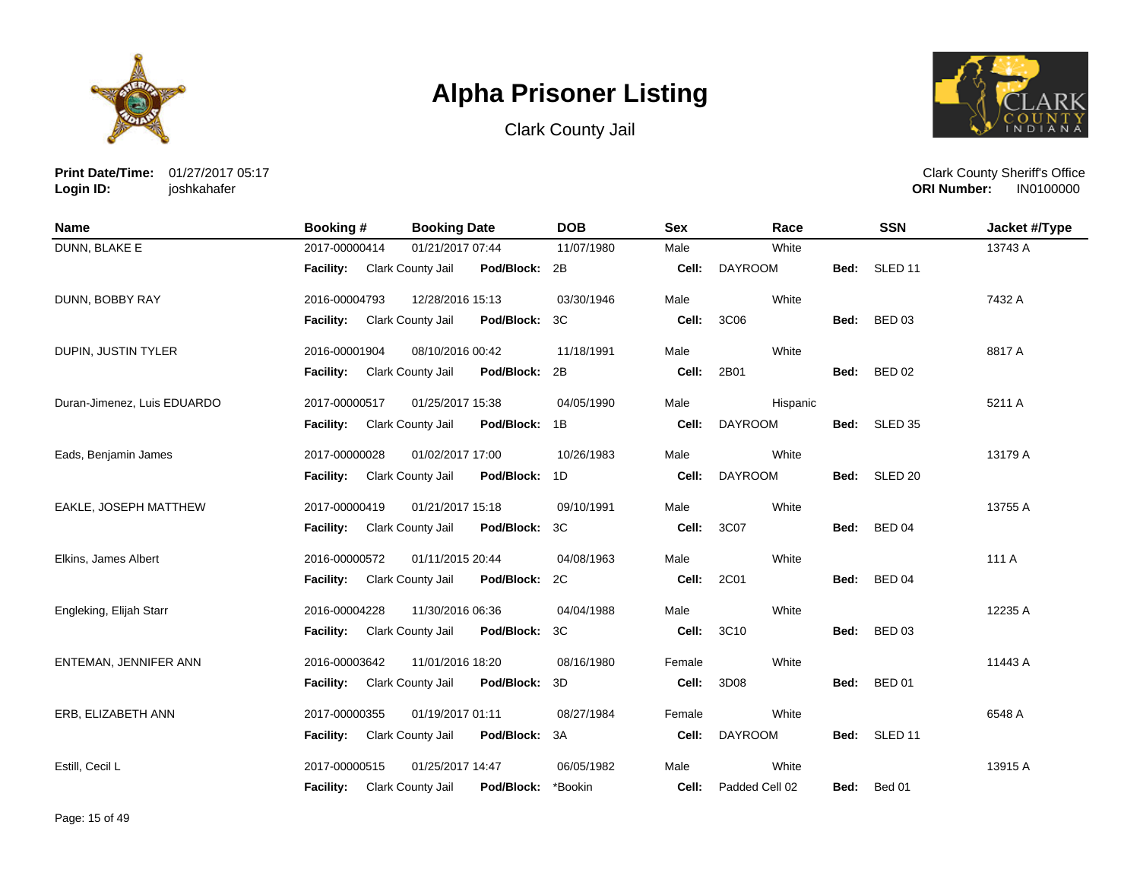





**Print Date/Time:** 01/27/2017 05:17 **Login ID:** joshkahafer

| <b>Name</b>                 | <b>Booking#</b>                    | <b>Booking Date</b>                | <b>DOB</b> | <b>Sex</b> | Race           |      | <b>SSN</b>         | Jacket #/Type |
|-----------------------------|------------------------------------|------------------------------------|------------|------------|----------------|------|--------------------|---------------|
| DUNN, BLAKE E               | 2017-00000414                      | 01/21/2017 07:44                   | 11/07/1980 | Male       | White          |      |                    | 13743 A       |
|                             | <b>Facility:</b> Clark County Jail | Pod/Block: 2B                      |            | Cell:      | <b>DAYROOM</b> | Bed: | SLED <sub>11</sub> |               |
| DUNN, BOBBY RAY             | 2016-00004793                      | 12/28/2016 15:13                   | 03/30/1946 | Male       | White          |      |                    | 7432 A        |
|                             | <b>Facility:</b>                   | Clark County Jail<br>Pod/Block:    | 3C         | Cell:      | 3C06           | Bed: | <b>BED 03</b>      |               |
| DUPIN, JUSTIN TYLER         | 2016-00001904                      | 08/10/2016 00:42                   | 11/18/1991 | Male       | White          |      |                    | 8817 A        |
|                             | Facility:                          | Clark County Jail<br>Pod/Block:    | 2B         | Cell:      | 2B01           | Bed: | <b>BED 02</b>      |               |
| Duran-Jimenez, Luis EDUARDO | 2017-00000517                      | 01/25/2017 15:38                   | 04/05/1990 | Male       | Hispanic       |      |                    | 5211 A        |
|                             | <b>Facility:</b>                   | Clark County Jail<br>Pod/Block: 1B |            | Cell:      | <b>DAYROOM</b> | Bed: | SLED <sub>35</sub> |               |
| Eads, Benjamin James        | 2017-00000028                      | 01/02/2017 17:00                   | 10/26/1983 | Male       | White          |      |                    | 13179 A       |
|                             | <b>Facility:</b>                   | Clark County Jail<br>Pod/Block:    | 1D         | Cell:      | <b>DAYROOM</b> | Bed: | SLED <sub>20</sub> |               |
| EAKLE, JOSEPH MATTHEW       | 2017-00000419                      | 01/21/2017 15:18                   | 09/10/1991 | Male       | White          |      |                    | 13755 A       |
|                             | <b>Facility:</b>                   | Clark County Jail<br>Pod/Block:    | 3C         | Cell:      | 3C07           | Bed: | <b>BED 04</b>      |               |
| Elkins, James Albert        | 2016-00000572                      | 01/11/2015 20:44                   | 04/08/1963 | Male       | White          |      |                    | 111 A         |
|                             | Facility:                          | Clark County Jail<br>Pod/Block:    | 2C         | Cell:      | 2C01           | Bed: | <b>BED 04</b>      |               |
| Engleking, Elijah Starr     | 2016-00004228                      | 11/30/2016 06:36                   | 04/04/1988 | Male       | White          |      |                    | 12235 A       |
|                             | <b>Facility:</b>                   | Clark County Jail<br>Pod/Block:    | 3C         | Cell:      | 3C10           | Bed: | <b>BED 03</b>      |               |
| ENTEMAN, JENNIFER ANN       | 2016-00003642                      | 11/01/2016 18:20                   | 08/16/1980 | Female     | White          |      |                    | 11443 A       |
|                             | <b>Facility:</b>                   | Clark County Jail<br>Pod/Block:    | 3D         | Cell:      | 3D08           | Bed: | <b>BED 01</b>      |               |
| ERB, ELIZABETH ANN          | 2017-00000355                      | 01/19/2017 01:11                   | 08/27/1984 | Female     | White          |      |                    | 6548 A        |
|                             | <b>Facility:</b>                   | Clark County Jail<br>Pod/Block:    | 3A         | Cell:      | <b>DAYROOM</b> | Bed: | SLED <sub>11</sub> |               |
| Estill, Cecil L             | 2017-00000515                      | 01/25/2017 14:47                   | 06/05/1982 | Male       | White          |      |                    | 13915 A       |
|                             | <b>Facility:</b>                   | Clark County Jail<br>Pod/Block:    | *Bookin    | Cell:      | Padded Cell 02 | Bed: | Bed 01             |               |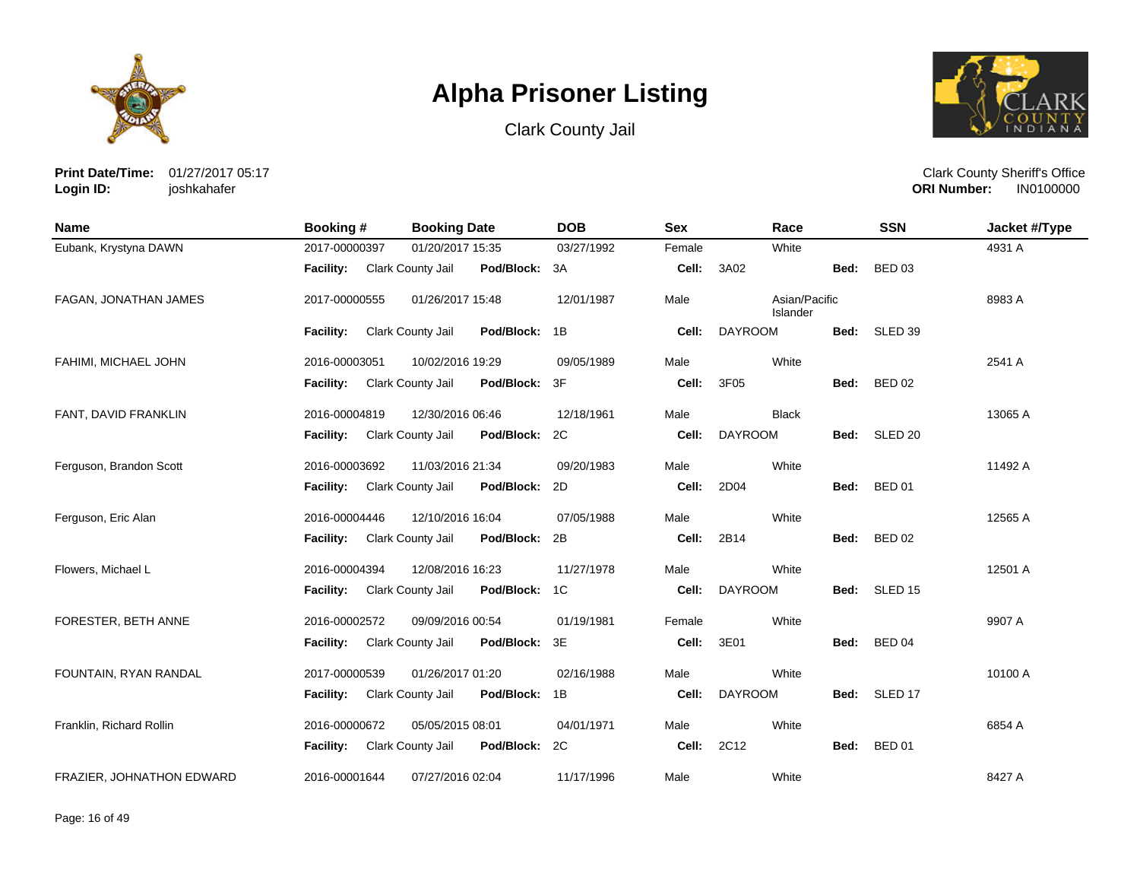





**Print Date/Time:** 01/27/2017 05:17 **Login ID:** joshkahafer

| Name                      | Booking #        | <b>Booking Date</b>      |               | <b>DOB</b> | <b>Sex</b> | Race                      |      | <b>SSN</b>    | Jacket #/Type |
|---------------------------|------------------|--------------------------|---------------|------------|------------|---------------------------|------|---------------|---------------|
| Eubank, Krystyna DAWN     | 2017-00000397    | 01/20/2017 15:35         |               | 03/27/1992 | Female     | White                     |      |               | 4931 A        |
|                           | <b>Facility:</b> | Clark County Jail        | Pod/Block: 3A |            | Cell:      | 3A02                      | Bed: | <b>BED 03</b> |               |
| FAGAN, JONATHAN JAMES     | 2017-00000555    | 01/26/2017 15:48         |               | 12/01/1987 | Male       | Asian/Pacific<br>Islander |      |               | 8983 A        |
|                           | Facility:        | Clark County Jail        | Pod/Block: 1B |            | Cell:      | <b>DAYROOM</b>            |      | Bed: SLED 39  |               |
| FAHIMI, MICHAEL JOHN      | 2016-00003051    | 10/02/2016 19:29         |               | 09/05/1989 | Male       | White                     |      |               | 2541 A        |
|                           | <b>Facility:</b> | Clark County Jail        | Pod/Block:    | 3F         | Cell:      | 3F05                      | Bed: | <b>BED 02</b> |               |
| FANT, DAVID FRANKLIN      | 2016-00004819    | 12/30/2016 06:46         |               | 12/18/1961 | Male       | <b>Black</b>              |      |               | 13065 A       |
|                           | <b>Facility:</b> | <b>Clark County Jail</b> | Pod/Block: 2C |            | Cell:      | <b>DAYROOM</b>            |      | Bed: SLED 20  |               |
| Ferguson, Brandon Scott   | 2016-00003692    | 11/03/2016 21:34         |               | 09/20/1983 | Male       | White                     |      |               | 11492 A       |
|                           | <b>Facility:</b> | Clark County Jail        | Pod/Block:    | 2D         | Cell:      | 2D04                      | Bed: | <b>BED 01</b> |               |
| Ferguson, Eric Alan       | 2016-00004446    | 12/10/2016 16:04         |               | 07/05/1988 | Male       | White                     |      |               | 12565 A       |
|                           | <b>Facility:</b> | Clark County Jail        | Pod/Block:    | 2B         | Cell:      | 2B14                      | Bed: | <b>BED 02</b> |               |
| Flowers, Michael L        | 2016-00004394    | 12/08/2016 16:23         |               | 11/27/1978 | Male       | White                     |      |               | 12501 A       |
|                           | <b>Facility:</b> | Clark County Jail        | Pod/Block:    | 1C         | Cell:      | <b>DAYROOM</b>            |      | Bed: SLED 15  |               |
| FORESTER, BETH ANNE       | 2016-00002572    | 09/09/2016 00:54         |               | 01/19/1981 | Female     | White                     |      |               | 9907 A        |
|                           | <b>Facility:</b> | Clark County Jail        | Pod/Block:    | 3E         | Cell:      | 3E01                      | Bed: | <b>BED 04</b> |               |
| FOUNTAIN, RYAN RANDAL     | 2017-00000539    | 01/26/2017 01:20         |               | 02/16/1988 | Male       | White                     |      |               | 10100 A       |
|                           | <b>Facility:</b> | Clark County Jail        | Pod/Block:    | 1B         | Cell:      | <b>DAYROOM</b>            |      | Bed: SLED 17  |               |
| Franklin, Richard Rollin  | 2016-00000672    | 05/05/2015 08:01         |               | 04/01/1971 | Male       | White                     |      |               | 6854 A        |
|                           | <b>Facility:</b> | Clark County Jail        | Pod/Block: 2C |            | Cell:      | 2C12                      | Bed: | <b>BED 01</b> |               |
| FRAZIER, JOHNATHON EDWARD | 2016-00001644    | 07/27/2016 02:04         |               | 11/17/1996 | Male       | White                     |      |               | 8427 A        |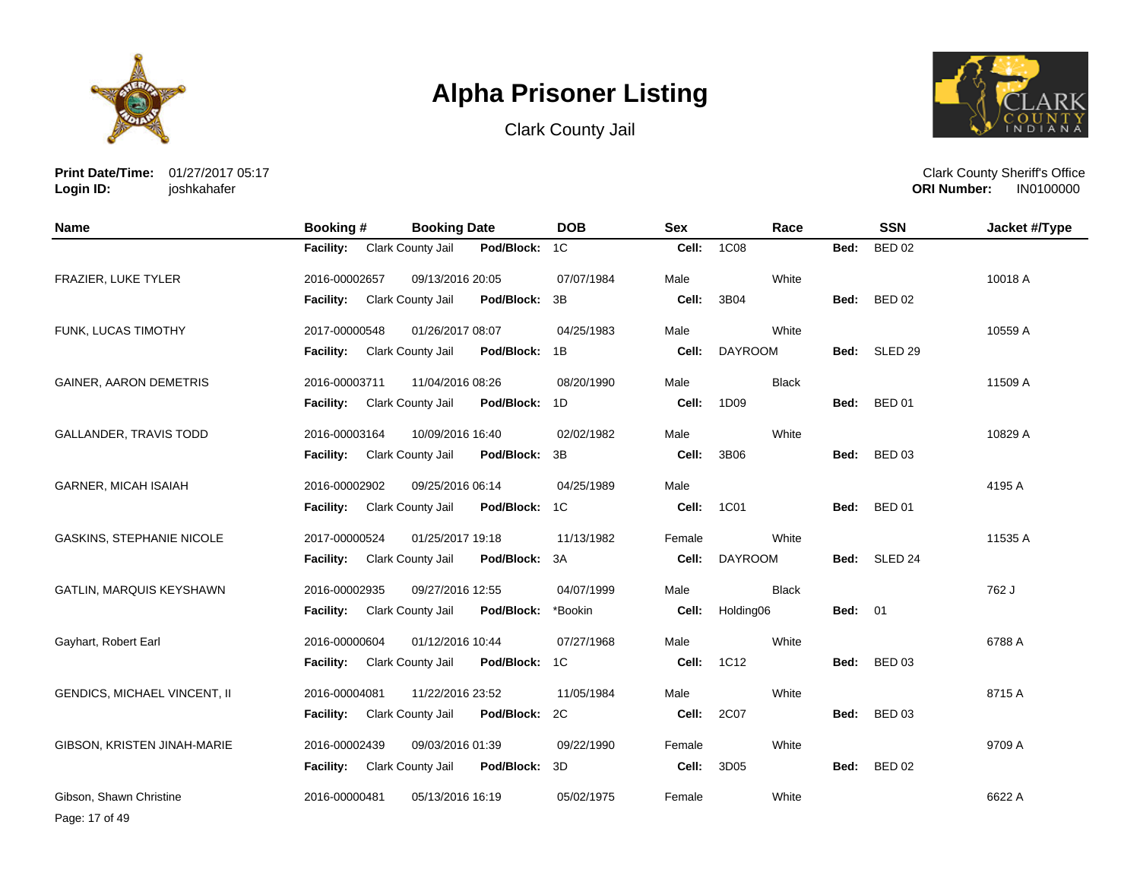





**Print Date/Time:** 01/27/2017 05:17 **Login ID:** joshkahafer

Clark County Sheriff's Office **ORI Number:** 

| <b>Name</b>                      | <b>Booking#</b>  | <b>Booking Date</b> |               | <b>DOB</b>     | <b>Sex</b> | Race           |                | <b>SSN</b>         | Jacket #/Type |
|----------------------------------|------------------|---------------------|---------------|----------------|------------|----------------|----------------|--------------------|---------------|
|                                  | <b>Facility:</b> | Clark County Jail   | Pod/Block:    | 1 <sup>C</sup> | Cell:      | <b>1C08</b>    | Bed:           | <b>BED 02</b>      |               |
| FRAZIER, LUKE TYLER              | 2016-00002657    | 09/13/2016 20:05    |               | 07/07/1984     | Male       | White          |                |                    | 10018 A       |
|                                  | <b>Facility:</b> | Clark County Jail   | Pod/Block:    | 3B             | Cell:      | 3B04           | Bed:           | <b>BED 02</b>      |               |
| FUNK, LUCAS TIMOTHY              | 2017-00000548    | 01/26/2017 08:07    |               | 04/25/1983     | Male       | White          |                |                    | 10559 A       |
|                                  | Facility:        | Clark County Jail   | Pod/Block:    | 1B             | Cell:      | <b>DAYROOM</b> | Bed:           | SLED <sub>29</sub> |               |
| <b>GAINER, AARON DEMETRIS</b>    | 2016-00003711    | 11/04/2016 08:26    |               | 08/20/1990     | Male       | <b>Black</b>   |                |                    | 11509 A       |
|                                  | <b>Facility:</b> | Clark County Jail   | Pod/Block:    | 1D             | Cell:      | 1D09           | Bed:           | <b>BED 01</b>      |               |
| <b>GALLANDER, TRAVIS TODD</b>    | 2016-00003164    | 10/09/2016 16:40    |               | 02/02/1982     | Male       | White          |                |                    | 10829 A       |
|                                  | Facility:        | Clark County Jail   | Pod/Block:    | 3B             | Cell:      | 3B06           | Bed:           | <b>BED 03</b>      |               |
| <b>GARNER, MICAH ISAIAH</b>      | 2016-00002902    | 09/25/2016 06:14    |               | 04/25/1989     | Male       |                |                |                    | 4195 A        |
|                                  | <b>Facility:</b> | Clark County Jail   | Pod/Block: 1C |                | Cell:      | 1C01           | Bed:           | <b>BED 01</b>      |               |
| <b>GASKINS, STEPHANIE NICOLE</b> | 2017-00000524    | 01/25/2017 19:18    |               | 11/13/1982     | Female     | White          |                |                    | 11535 A       |
|                                  | Facility:        | Clark County Jail   | Pod/Block:    | ЗA             | Cell:      | <b>DAYROOM</b> | Bed:           | SLED 24            |               |
| GATLIN, MARQUIS KEYSHAWN         | 2016-00002935    | 09/27/2016 12:55    |               | 04/07/1999     | Male       | <b>Black</b>   |                |                    | 762 J         |
|                                  | <b>Facility:</b> | Clark County Jail   | Pod/Block:    | *Bookin        | Cell:      | Holding06      | <b>Bed: 01</b> |                    |               |
| Gayhart, Robert Earl             | 2016-00000604    | 01/12/2016 10:44    |               | 07/27/1968     | Male       | White          |                |                    | 6788 A        |
|                                  | <b>Facility:</b> | Clark County Jail   | Pod/Block:    | 1C             | Cell:      | 1C12           | Bed:           | <b>BED 03</b>      |               |
| GENDICS, MICHAEL VINCENT, II     | 2016-00004081    | 11/22/2016 23:52    |               | 11/05/1984     | Male       | White          |                |                    | 8715 A        |
|                                  | Facility:        | Clark County Jail   | Pod/Block:    | 2C             | Cell:      | 2C07           | Bed:           | <b>BED 03</b>      |               |
| GIBSON, KRISTEN JINAH-MARIE      | 2016-00002439    | 09/03/2016 01:39    |               | 09/22/1990     | Female     | White          |                |                    | 9709 A        |
|                                  | <b>Facility:</b> | Clark County Jail   | Pod/Block:    | 3D             | Cell:      | 3D05           | Bed:           | <b>BED 02</b>      |               |
| Gibson, Shawn Christine          | 2016-00000481    | 05/13/2016 16:19    |               | 05/02/1975     | Female     | White          |                |                    | 6622 A        |

Page: 17 of 49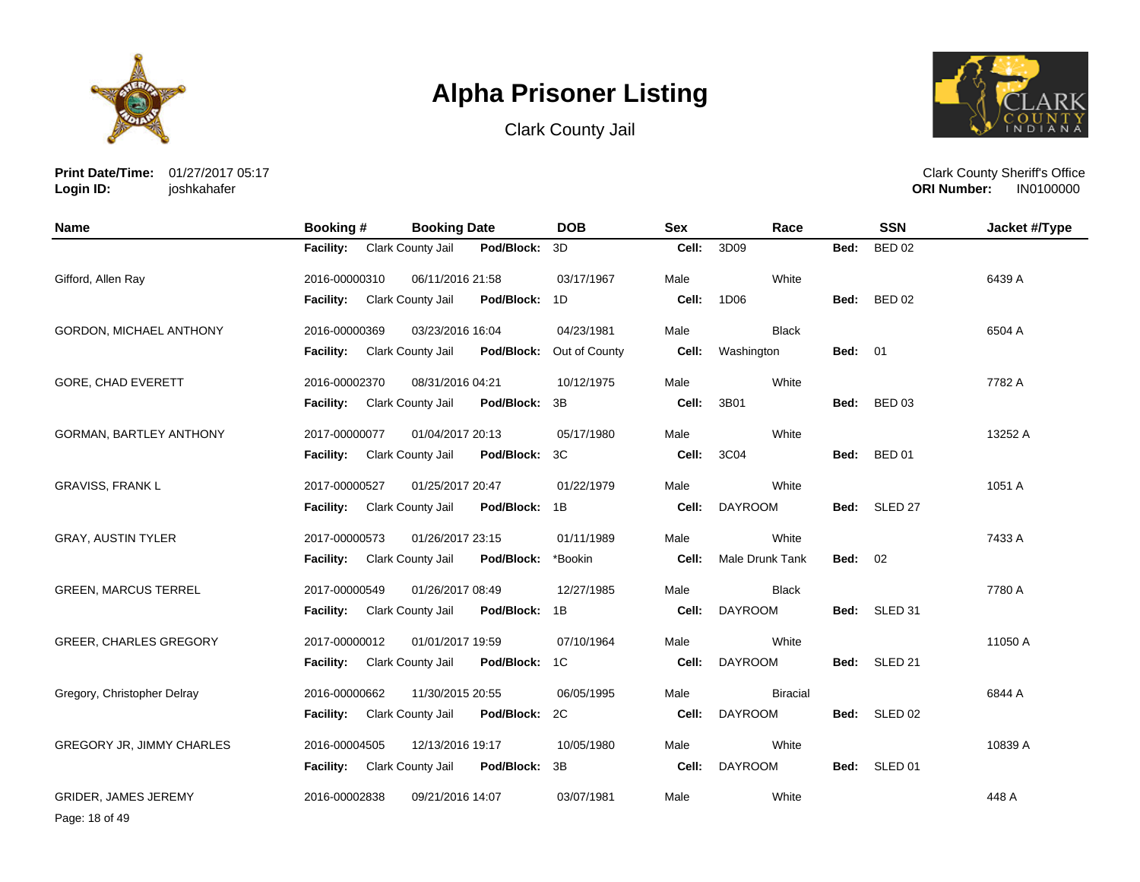

Clark County Jail



**Print Date/Time:** 01/27/2017 05:17 **Login ID:** joshkahafer

Clark County Sheriff's Office **ORI Number:** 

| <b>Name</b>                    | Booking #        | <b>Booking Date</b> |               | <b>DOB</b>    | <b>Sex</b> | Race            |                | <b>SSN</b>    | Jacket #/Type |
|--------------------------------|------------------|---------------------|---------------|---------------|------------|-----------------|----------------|---------------|---------------|
|                                | <b>Facility:</b> | Clark County Jail   | Pod/Block:    | 3D            | Cell:      | 3D09            | Bed:           | <b>BED 02</b> |               |
| Gifford, Allen Ray             | 2016-00000310    | 06/11/2016 21:58    |               | 03/17/1967    | Male       | White           |                |               | 6439 A        |
|                                | Facility:        | Clark County Jail   | Pod/Block:    | 1D            | Cell:      | 1D06            | Bed:           | <b>BED 02</b> |               |
| <b>GORDON, MICHAEL ANTHONY</b> | 2016-00000369    | 03/23/2016 16:04    |               | 04/23/1981    | Male       | <b>Black</b>    |                |               | 6504 A        |
|                                | <b>Facility:</b> | Clark County Jail   | Pod/Block:    | Out of County | Cell:      | Washington      | <b>Bed: 01</b> |               |               |
| GORE, CHAD EVERETT             | 2016-00002370    | 08/31/2016 04:21    |               | 10/12/1975    | Male       | White           |                |               | 7782 A        |
|                                | <b>Facility:</b> | Clark County Jail   | Pod/Block:    | 3B            | Cell:      | 3B01            | Bed:           | <b>BED 03</b> |               |
| <b>GORMAN, BARTLEY ANTHONY</b> | 2017-00000077    | 01/04/2017 20:13    |               | 05/17/1980    | Male       | White           |                |               | 13252 A       |
|                                | <b>Facility:</b> | Clark County Jail   | Pod/Block:    | 3C            | Cell:      | 3C04            | Bed:           | <b>BED 01</b> |               |
| <b>GRAVISS, FRANK L</b>        | 2017-00000527    | 01/25/2017 20:47    |               | 01/22/1979    | Male       | White           |                |               | 1051 A        |
|                                | <b>Facility:</b> | Clark County Jail   | Pod/Block: 1B |               | Cell:      | <b>DAYROOM</b>  | Bed:           | SLED 27       |               |
| <b>GRAY, AUSTIN TYLER</b>      | 2017-00000573    | 01/26/2017 23:15    |               | 01/11/1989    | Male       | White           |                |               | 7433 A        |
|                                | <b>Facility:</b> | Clark County Jail   | Pod/Block:    | *Bookin       | Cell:      | Male Drunk Tank | <b>Bed: 02</b> |               |               |
| <b>GREEN, MARCUS TERREL</b>    | 2017-00000549    | 01/26/2017 08:49    |               | 12/27/1985    | Male       | <b>Black</b>    |                |               | 7780 A        |
|                                | Facility:        | Clark County Jail   | Pod/Block:    | 1B            | Cell:      | <b>DAYROOM</b>  | Bed:           | SLED 31       |               |
| <b>GREER, CHARLES GREGORY</b>  | 2017-00000012    | 01/01/2017 19:59    |               | 07/10/1964    | Male       | White           |                |               | 11050 A       |
|                                | <b>Facility:</b> | Clark County Jail   | Pod/Block:    | 1C            | Cell:      | <b>DAYROOM</b>  | Bed:           | SLED 21       |               |
| Gregory, Christopher Delray    | 2016-00000662    | 11/30/2015 20:55    |               | 06/05/1995    | Male       | <b>Biracial</b> |                |               | 6844 A        |
|                                | Facility:        | Clark County Jail   | Pod/Block:    | 2C            | Cell:      | <b>DAYROOM</b>  | Bed:           | SLED 02       |               |
| GREGORY JR, JIMMY CHARLES      | 2016-00004505    | 12/13/2016 19:17    |               | 10/05/1980    | Male       | White           |                |               | 10839 A       |
|                                | <b>Facility:</b> | Clark County Jail   | Pod/Block:    | 3B            | Cell:      | <b>DAYROOM</b>  | Bed:           | SLED 01       |               |
| <b>GRIDER, JAMES JEREMY</b>    | 2016-00002838    | 09/21/2016 14:07    |               | 03/07/1981    | Male       | White           |                |               | 448 A         |

Page: 18 of 49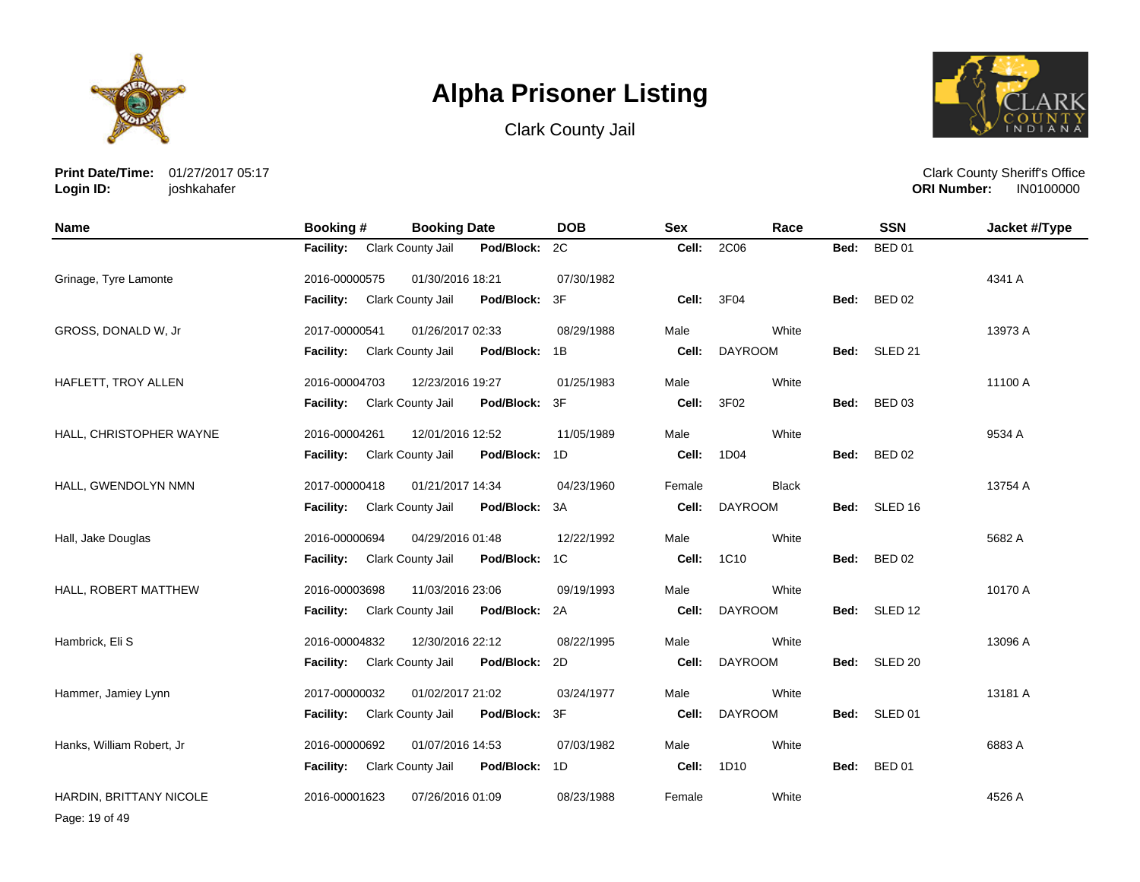





**Print Date/Time:** 01/27/2017 05:17 **Login ID:** joshkahafer

Clark County Sheriff's Office **ORI Number:** 

| <b>Name</b>               | <b>Booking#</b>             | <b>Booking Date</b>                | <b>DOB</b> | <b>Sex</b> | Race           |      | <b>SSN</b>    | Jacket #/Type |
|---------------------------|-----------------------------|------------------------------------|------------|------------|----------------|------|---------------|---------------|
|                           | Facility: Clark County Jail | Pod/Block:                         | 2C         | Cell:      | 2C06           | Bed: | <b>BED 01</b> |               |
| Grinage, Tyre Lamonte     | 2016-00000575               | 01/30/2016 18:21                   | 07/30/1982 |            |                |      |               | 4341 A        |
|                           | Facility:                   | Clark County Jail<br>Pod/Block:    | 3F         | Cell:      | 3F04           |      | Bed: BED 02   |               |
| GROSS, DONALD W, Jr       | 2017-00000541               | 01/26/2017 02:33                   | 08/29/1988 | Male       | White          |      |               | 13973 A       |
|                           | <b>Facility:</b>            | Clark County Jail<br>Pod/Block:    | 1B         | Cell:      | <b>DAYROOM</b> |      | Bed: SLED 21  |               |
| HAFLETT, TROY ALLEN       | 2016-00004703               | 12/23/2016 19:27                   | 01/25/1983 | Male       | White          |      |               | 11100 A       |
|                           | <b>Facility:</b>            | Clark County Jail<br>Pod/Block:    | 3F         | Cell:      | 3F02           |      | Bed: BED 03   |               |
| HALL, CHRISTOPHER WAYNE   | 2016-00004261               | 12/01/2016 12:52                   | 11/05/1989 | Male       | White          |      |               | 9534 A        |
|                           | <b>Facility:</b>            | Clark County Jail<br>Pod/Block:    | 1D         | Cell:      | 1D04           | Bed: | <b>BED 02</b> |               |
| HALL, GWENDOLYN NMN       | 2017-00000418               | 01/21/2017 14:34                   | 04/23/1960 | Female     | <b>Black</b>   |      |               | 13754 A       |
|                           | Facility: Clark County Jail | Pod/Block: 3A                      |            | Cell:      | <b>DAYROOM</b> |      | Bed: SLED 16  |               |
| Hall, Jake Douglas        | 2016-00000694               | 04/29/2016 01:48                   | 12/22/1992 | Male       | White          |      |               | 5682 A        |
|                           | Facility: Clark County Jail | Pod/Block:                         | 1C         | Cell:      | 1C10           |      | Bed: BED 02   |               |
| HALL, ROBERT MATTHEW      | 2016-00003698               | 11/03/2016 23:06                   | 09/19/1993 | Male       | White          |      |               | 10170 A       |
|                           | <b>Facility:</b>            | Clark County Jail<br>Pod/Block: 2A |            | Cell:      | <b>DAYROOM</b> |      | Bed: SLED 12  |               |
| Hambrick, Eli S           | 2016-00004832               | 12/30/2016 22:12                   | 08/22/1995 | Male       | White          |      |               | 13096 A       |
|                           | <b>Facility:</b>            | Clark County Jail<br>Pod/Block:    | 2D         | Cell:      | <b>DAYROOM</b> |      | Bed: SLED 20  |               |
| Hammer, Jamiey Lynn       | 2017-00000032               | 01/02/2017 21:02                   | 03/24/1977 | Male       | White          |      |               | 13181 A       |
|                           | <b>Facility:</b>            | Pod/Block:<br>Clark County Jail    | 3F         | Cell:      | <b>DAYROOM</b> |      | Bed: SLED 01  |               |
| Hanks, William Robert, Jr | 2016-00000692               | 01/07/2016 14:53                   | 07/03/1982 | Male       | White          |      |               | 6883 A        |
|                           | Facility: Clark County Jail | Pod/Block:                         | 1D         | Cell:      | 1D10           | Bed: | <b>BED 01</b> |               |
| HARDIN, BRITTANY NICOLE   | 2016-00001623               | 07/26/2016 01:09                   | 08/23/1988 | Female     | White          |      |               | 4526 A        |

Page: 19 of 49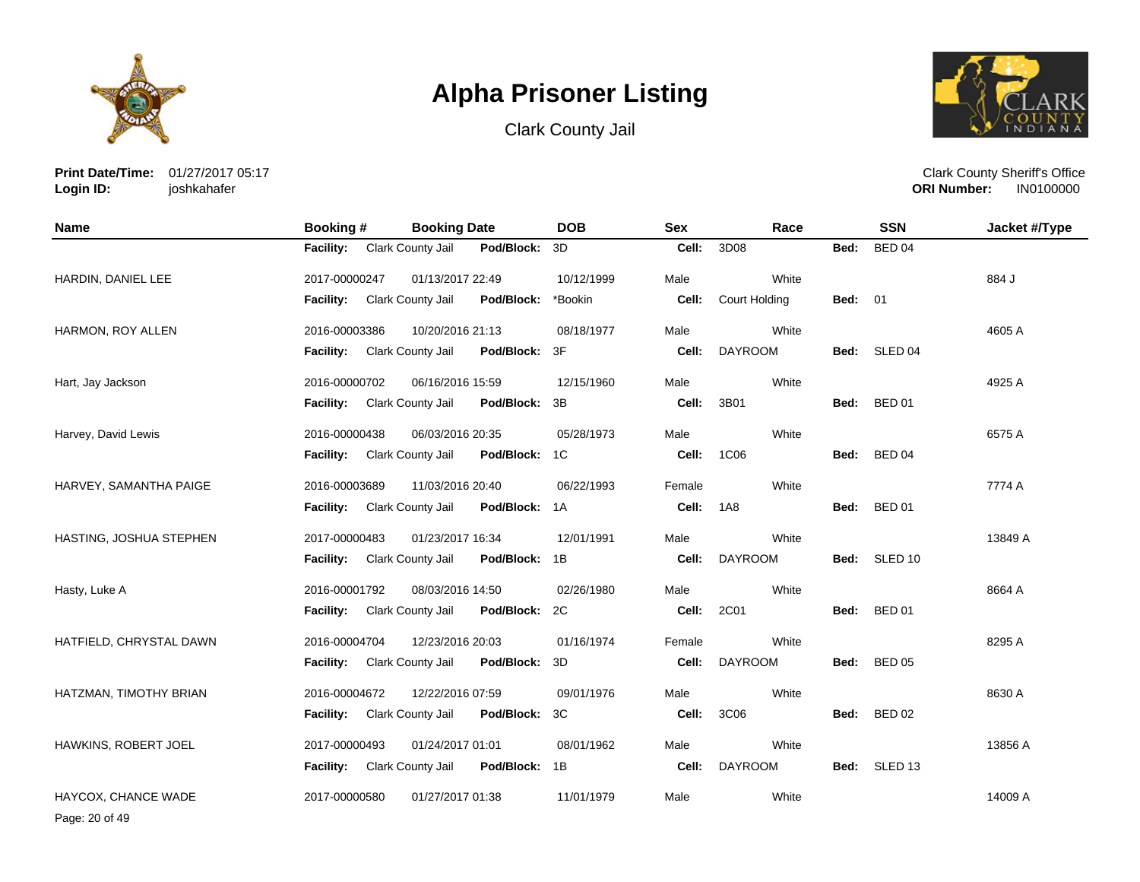

Clark County Jail



**Print Date/Time:** 01/27/2017 05:17 **Login ID:** joshkahafer

Clark County Sheriff's Office **ORI Number:** 

| <b>Name</b>             | <b>Booking#</b>  | <b>Booking Date</b> |               | <b>DOB</b> | <b>Sex</b> | Race           |                | <b>SSN</b>    | Jacket #/Type |
|-------------------------|------------------|---------------------|---------------|------------|------------|----------------|----------------|---------------|---------------|
|                         | <b>Facility:</b> | Clark County Jail   | Pod/Block:    | 3D         | Cell:      | 3D08           | Bed:           | <b>BED 04</b> |               |
| HARDIN, DANIEL LEE      | 2017-00000247    | 01/13/2017 22:49    |               | 10/12/1999 | Male       | White          |                |               | 884 J         |
|                         | Facility:        | Clark County Jail   | Pod/Block:    | *Bookin    | Cell:      | Court Holding  | <b>Bed: 01</b> |               |               |
| HARMON, ROY ALLEN       | 2016-00003386    | 10/20/2016 21:13    |               | 08/18/1977 | Male       | White          |                |               | 4605 A        |
|                         | <b>Facility:</b> | Clark County Jail   | Pod/Block:    | 3F         | Cell:      | <b>DAYROOM</b> | Bed:           | SLED 04       |               |
| Hart, Jay Jackson       | 2016-00000702    | 06/16/2016 15:59    |               | 12/15/1960 | Male       | White          |                |               | 4925 A        |
|                         | <b>Facility:</b> | Clark County Jail   | Pod/Block:    | 3B         | Cell:      | 3B01           |                | Bed: BED 01   |               |
| Harvey, David Lewis     | 2016-00000438    | 06/03/2016 20:35    |               | 05/28/1973 | Male       | White          |                |               | 6575 A        |
|                         | <b>Facility:</b> | Clark County Jail   | Pod/Block:    | 1C         | Cell:      | 1C06           | Bed:           | <b>BED 04</b> |               |
| HARVEY, SAMANTHA PAIGE  | 2016-00003689    | 11/03/2016 20:40    |               | 06/22/1993 | Female     | White          |                |               | 7774 A        |
|                         | <b>Facility:</b> | Clark County Jail   | Pod/Block: 1A |            | Cell:      | <b>1A8</b>     | Bed:           | <b>BED 01</b> |               |
| HASTING, JOSHUA STEPHEN | 2017-00000483    | 01/23/2017 16:34    |               | 12/01/1991 | Male       | White          |                |               | 13849 A       |
|                         | <b>Facility:</b> | Clark County Jail   | Pod/Block: 1B |            | Cell:      | <b>DAYROOM</b> |                | Bed: SLED 10  |               |
| Hasty, Luke A           | 2016-00001792    | 08/03/2016 14:50    |               | 02/26/1980 | Male       | White          |                |               | 8664 A        |
|                         | <b>Facility:</b> | Clark County Jail   | Pod/Block:    | 2C         | Cell:      | 2C01           | Bed:           | <b>BED 01</b> |               |
| HATFIELD, CHRYSTAL DAWN | 2016-00004704    | 12/23/2016 20:03    |               | 01/16/1974 | Female     | White          |                |               | 8295 A        |
|                         | Facility:        | Clark County Jail   | Pod/Block:    | 3D         | Cell:      | <b>DAYROOM</b> | Bed:           | <b>BED 05</b> |               |
| HATZMAN, TIMOTHY BRIAN  | 2016-00004672    | 12/22/2016 07:59    |               | 09/01/1976 | Male       | White          |                |               | 8630 A        |
|                         | <b>Facility:</b> | Clark County Jail   | Pod/Block:    | 3C         | Cell:      | 3C06           | Bed:           | <b>BED 02</b> |               |
| HAWKINS, ROBERT JOEL    | 2017-00000493    | 01/24/2017 01:01    |               | 08/01/1962 | Male       | White          |                |               | 13856 A       |
|                         | <b>Facility:</b> | Clark County Jail   | Pod/Block:    | 1B         | Cell:      | <b>DAYROOM</b> |                | Bed: SLED 13  |               |
| HAYCOX, CHANCE WADE     | 2017-00000580    | 01/27/2017 01:38    |               | 11/01/1979 | Male       | White          |                |               | 14009 A       |

Page: 20 of 49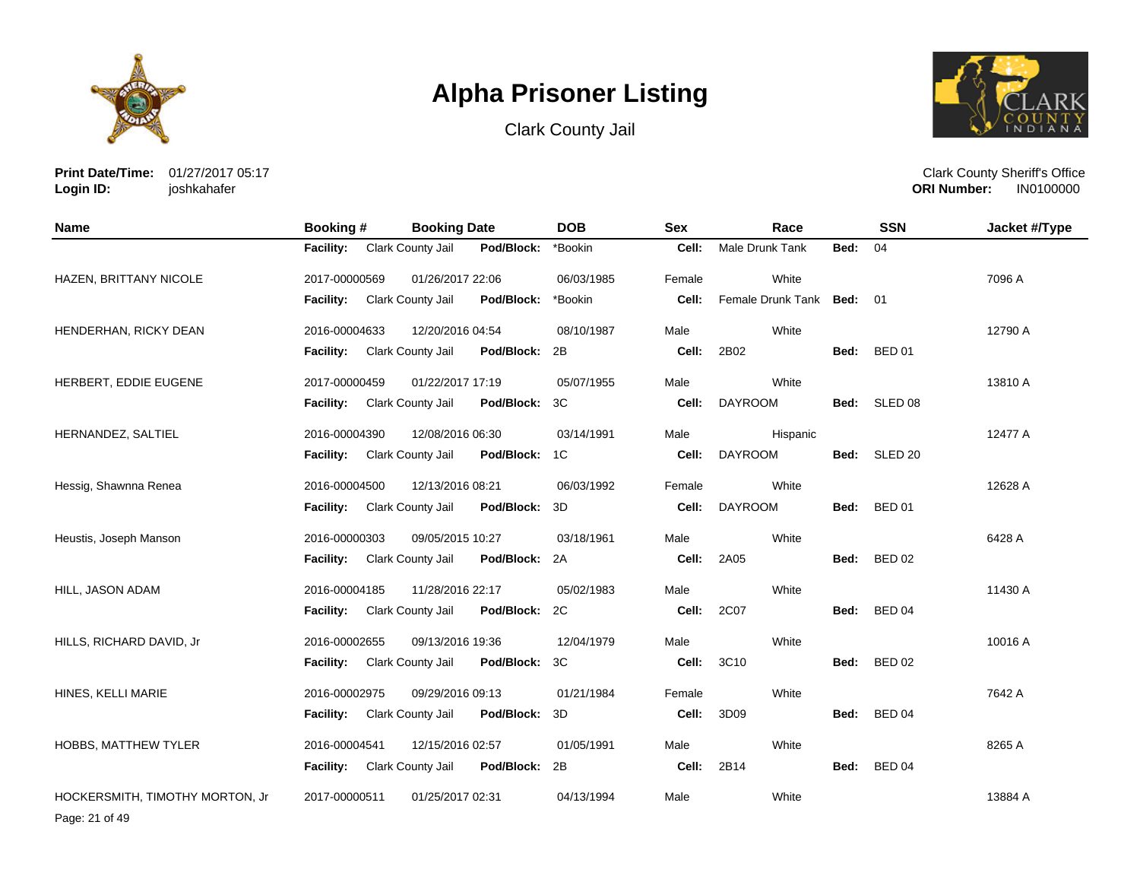





**Print Date/Time:** 01/27/2017 05:17 **Login ID:** joshkahafer

Clark County Sheriff's Office **ORI Number:** 

| Name                            | Booking #        | <b>Booking Date</b>                       | <b>DOB</b> | <b>Sex</b> | Race                      |      | <b>SSN</b>         | Jacket #/Type |
|---------------------------------|------------------|-------------------------------------------|------------|------------|---------------------------|------|--------------------|---------------|
|                                 | <b>Facility:</b> | Clark County Jail<br>Pod/Block:           | *Bookin    | Cell:      | <b>Male Drunk Tank</b>    | Bed: | 04                 |               |
| HAZEN, BRITTANY NICOLE          | 2017-00000569    | 01/26/2017 22:06                          | 06/03/1985 | Female     | White                     |      |                    | 7096 A        |
|                                 | <b>Facility:</b> | Clark County Jail<br>Pod/Block:           | *Bookin    | Cell:      | Female Drunk Tank Bed: 01 |      |                    |               |
| HENDERHAN, RICKY DEAN           | 2016-00004633    | 12/20/2016 04:54                          | 08/10/1987 | Male       | White                     |      |                    | 12790 A       |
|                                 | <b>Facility:</b> | Clark County Jail<br>Pod/Block:           | 2B         | Cell:      | 2B02                      | Bed: | <b>BED 01</b>      |               |
| HERBERT, EDDIE EUGENE           | 2017-00000459    | 01/22/2017 17:19                          | 05/07/1955 | Male       | White                     |      |                    | 13810 A       |
|                                 | <b>Facility:</b> | Clark County Jail<br>Pod/Block:           | 3C         | Cell:      | <b>DAYROOM</b>            | Bed: | SLED 08            |               |
| HERNANDEZ, SALTIEL              | 2016-00004390    | 12/08/2016 06:30                          | 03/14/1991 | Male       | Hispanic                  |      |                    | 12477 A       |
|                                 | <b>Facility:</b> | Clark County Jail<br>Pod/Block: 1C        |            | Cell:      | <b>DAYROOM</b>            | Bed: | SLED <sub>20</sub> |               |
| Hessig, Shawnna Renea           | 2016-00004500    | 12/13/2016 08:21                          | 06/03/1992 | Female     | White                     |      |                    | 12628 A       |
|                                 | Facility:        | Pod/Block: 3D<br><b>Clark County Jail</b> |            | Cell:      | <b>DAYROOM</b>            | Bed: | <b>BED 01</b>      |               |
| Heustis, Joseph Manson          | 2016-00000303    | 09/05/2015 10:27                          | 03/18/1961 | Male       | White                     |      |                    | 6428 A        |
|                                 | <b>Facility:</b> | Clark County Jail<br>Pod/Block: 2A        |            | Cell:      | 2A05                      | Bed: | <b>BED 02</b>      |               |
| HILL, JASON ADAM                | 2016-00004185    | 11/28/2016 22:17                          | 05/02/1983 | Male       | White                     |      |                    | 11430 A       |
|                                 | <b>Facility:</b> | Pod/Block: 2C<br>Clark County Jail        |            | Cell:      | 2C07                      | Bed: | BED 04             |               |
| HILLS, RICHARD DAVID, Jr        | 2016-00002655    | 09/13/2016 19:36                          | 12/04/1979 | Male       | White                     |      |                    | 10016 A       |
|                                 | Facility:        | Pod/Block: 3C<br>Clark County Jail        |            | Cell:      | 3C10                      | Bed: | <b>BED 02</b>      |               |
| HINES, KELLI MARIE              | 2016-00002975    | 09/29/2016 09:13                          | 01/21/1984 | Female     | White                     |      |                    | 7642 A        |
|                                 | Facility:        | Clark County Jail<br>Pod/Block:           | 3D         | Cell:      | 3D09                      | Bed: | BED 04             |               |
| HOBBS, MATTHEW TYLER            | 2016-00004541    | 12/15/2016 02:57                          | 01/05/1991 | Male       | White                     |      |                    | 8265 A        |
|                                 | <b>Facility:</b> | Clark County Jail<br>Pod/Block: 2B        |            | Cell:      | 2B14                      | Bed: | BED 04             |               |
| HOCKERSMITH, TIMOTHY MORTON, Jr | 2017-00000511    | 01/25/2017 02:31                          | 04/13/1994 | Male       | White                     |      |                    | 13884 A       |

Page: 21 of 49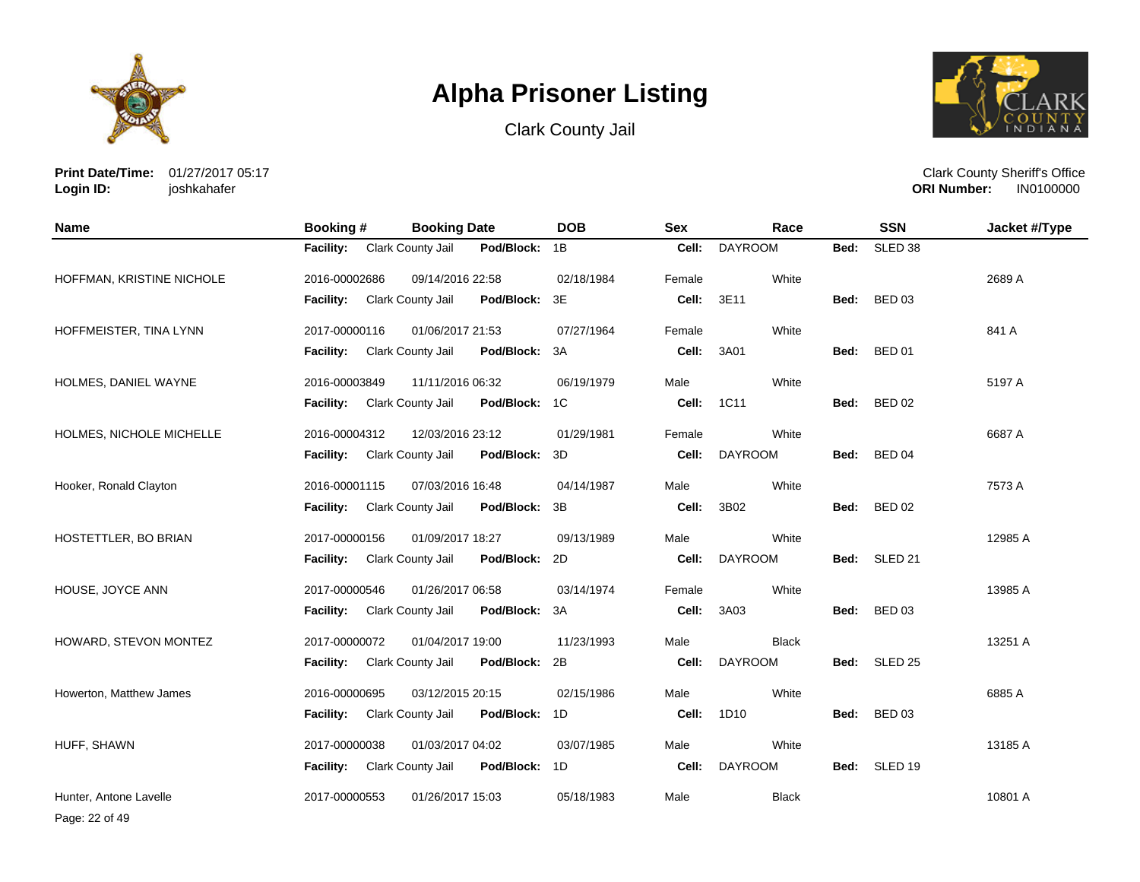





**Print Date/Time:** 01/27/2017 05:17 **Login ID:** joshkahafer

Clark County Sheriff's Office **ORI Number:** 

| <b>Name</b>               | <b>Booking#</b>  | <b>Booking Date</b> |               | <b>DOB</b> | <b>Sex</b> | Race           |      | <b>SSN</b>         | Jacket #/Type |
|---------------------------|------------------|---------------------|---------------|------------|------------|----------------|------|--------------------|---------------|
|                           | <b>Facility:</b> | Clark County Jail   | Pod/Block:    | 1B         | Cell:      | <b>DAYROOM</b> | Bed: | SLED <sub>38</sub> |               |
| HOFFMAN, KRISTINE NICHOLE | 2016-00002686    | 09/14/2016 22:58    |               | 02/18/1984 | Female     | White          |      |                    | 2689 A        |
|                           | Facility:        | Clark County Jail   | Pod/Block:    | 3E         | Cell:      | 3E11           | Bed: | <b>BED 03</b>      |               |
| HOFFMEISTER, TINA LYNN    | 2017-00000116    | 01/06/2017 21:53    |               | 07/27/1964 | Female     | White          |      |                    | 841 A         |
|                           | <b>Facility:</b> | Clark County Jail   | Pod/Block:    | 3A         | Cell:      | 3A01           | Bed: | <b>BED 01</b>      |               |
| HOLMES, DANIEL WAYNE      | 2016-00003849    | 11/11/2016 06:32    |               | 06/19/1979 | Male       | White          |      |                    | 5197 A        |
|                           | <b>Facility:</b> | Clark County Jail   | Pod/Block:    | 1C         | Cell:      | 1C11           |      | Bed: BED 02        |               |
| HOLMES, NICHOLE MICHELLE  | 2016-00004312    | 12/03/2016 23:12    |               | 01/29/1981 | Female     | White          |      |                    | 6687 A        |
|                           | <b>Facility:</b> | Clark County Jail   | Pod/Block:    | 3D         | Cell:      | <b>DAYROOM</b> | Bed: | <b>BED 04</b>      |               |
| Hooker, Ronald Clayton    | 2016-00001115    | 07/03/2016 16:48    |               | 04/14/1987 | Male       | White          |      |                    | 7573 A        |
|                           | <b>Facility:</b> | Clark County Jail   | Pod/Block:    | 3B         | Cell:      | 3B02           | Bed: | <b>BED 02</b>      |               |
| HOSTETTLER, BO BRIAN      | 2017-00000156    | 01/09/2017 18:27    |               | 09/13/1989 | Male       | White          |      |                    | 12985 A       |
|                           | <b>Facility:</b> | Clark County Jail   | Pod/Block:    | 2D         | Cell:      | <b>DAYROOM</b> |      | Bed: SLED 21       |               |
| HOUSE, JOYCE ANN          | 2017-00000546    | 01/26/2017 06:58    |               | 03/14/1974 | Female     | White          |      |                    | 13985 A       |
|                           | <b>Facility:</b> | Clark County Jail   | Pod/Block:    | 3A         | Cell:      | 3A03           | Bed: | <b>BED 03</b>      |               |
| HOWARD, STEVON MONTEZ     | 2017-00000072    | 01/04/2017 19:00    |               | 11/23/1993 | Male       | <b>Black</b>   |      |                    | 13251 A       |
|                           | <b>Facility:</b> | Clark County Jail   | Pod/Block:    | 2B         | Cell:      | <b>DAYROOM</b> | Bed: | SLED <sub>25</sub> |               |
| Howerton, Matthew James   | 2016-00000695    | 03/12/2015 20:15    |               | 02/15/1986 | Male       | White          |      |                    | 6885 A        |
|                           | <b>Facility:</b> | Clark County Jail   | Pod/Block:    | 1D         | Cell:      | 1D10           | Bed: | <b>BED 03</b>      |               |
| HUFF, SHAWN               | 2017-00000038    | 01/03/2017 04:02    |               | 03/07/1985 | Male       | White          |      |                    | 13185 A       |
|                           | Facility:        | Clark County Jail   | Pod/Block: 1D |            | Cell:      | <b>DAYROOM</b> | Bed: | SLED 19            |               |
| Hunter, Antone Lavelle    | 2017-00000553    | 01/26/2017 15:03    |               | 05/18/1983 | Male       | <b>Black</b>   |      |                    | 10801 A       |

Page: 22 of 49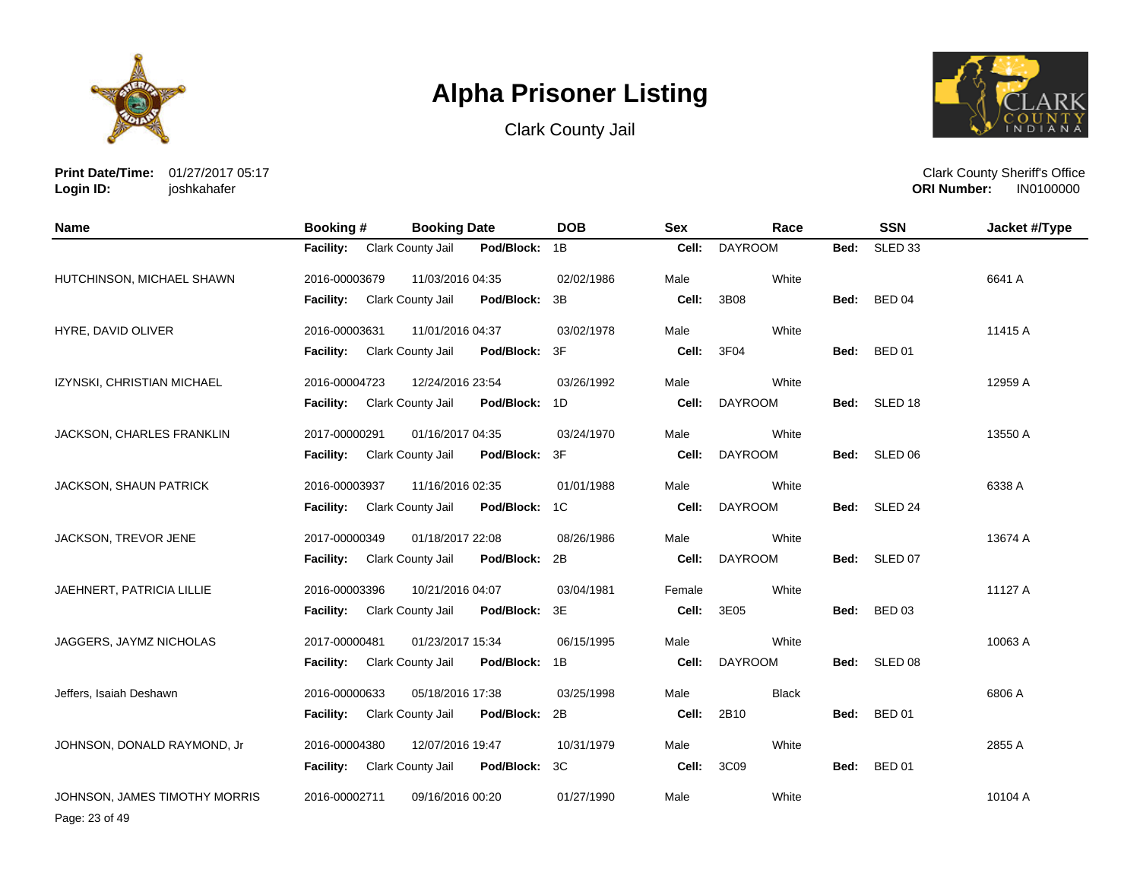





**Print Date/Time:** 01/27/2017 05:17 **Login ID:** joshkahafer

Clark County Sheriff's Office **ORI Number:** 

| <b>Name</b>                   | <b>Booking #</b> | <b>Booking Date</b> |               | <b>DOB</b> | <b>Sex</b> | Race           |      | <b>SSN</b>         | Jacket #/Type |
|-------------------------------|------------------|---------------------|---------------|------------|------------|----------------|------|--------------------|---------------|
|                               | <b>Facility:</b> | Clark County Jail   | Pod/Block:    | 1B         | Cell:      | <b>DAYROOM</b> | Bed: | SLED <sub>33</sub> |               |
| HUTCHINSON, MICHAEL SHAWN     | 2016-00003679    | 11/03/2016 04:35    |               | 02/02/1986 | Male       | White          |      |                    | 6641 A        |
|                               | Facility:        | Clark County Jail   | Pod/Block:    | 3B         | Cell:      | 3B08           | Bed: | <b>BED 04</b>      |               |
| HYRE, DAVID OLIVER            | 2016-00003631    | 11/01/2016 04:37    |               | 03/02/1978 | Male       | White          |      |                    | 11415 A       |
|                               | <b>Facility:</b> | Clark County Jail   | Pod/Block:    | 3F         | Cell:      | 3F04           | Bed: | <b>BED 01</b>      |               |
| IZYNSKI, CHRISTIAN MICHAEL    | 2016-00004723    | 12/24/2016 23:54    |               | 03/26/1992 | Male       | White          |      |                    | 12959 A       |
|                               | <b>Facility:</b> | Clark County Jail   | Pod/Block:    | 1D         | Cell:      | <b>DAYROOM</b> |      | Bed: SLED 18       |               |
| JACKSON, CHARLES FRANKLIN     | 2017-00000291    | 01/16/2017 04:35    |               | 03/24/1970 | Male       | White          |      |                    | 13550 A       |
|                               | <b>Facility:</b> | Clark County Jail   | Pod/Block:    | 3F         | Cell:      | <b>DAYROOM</b> | Bed: | SLED 06            |               |
| JACKSON, SHAUN PATRICK        | 2016-00003937    | 11/16/2016 02:35    |               | 01/01/1988 | Male       | White          |      |                    | 6338 A        |
|                               | <b>Facility:</b> | Clark County Jail   | Pod/Block: 1C |            | Cell:      | <b>DAYROOM</b> | Bed: | SLED 24            |               |
| JACKSON, TREVOR JENE          | 2017-00000349    | 01/18/2017 22:08    |               | 08/26/1986 | Male       | White          |      |                    | 13674 A       |
|                               | Facility:        | Clark County Jail   | Pod/Block:    | 2B         | Cell:      | <b>DAYROOM</b> |      | Bed: SLED 07       |               |
| JAEHNERT, PATRICIA LILLIE     | 2016-00003396    | 10/21/2016 04:07    |               | 03/04/1981 | Female     | White          |      |                    | 11127 A       |
|                               | <b>Facility:</b> | Clark County Jail   | Pod/Block:    | 3E         | Cell:      | 3E05           | Bed: | <b>BED 03</b>      |               |
| JAGGERS, JAYMZ NICHOLAS       | 2017-00000481    | 01/23/2017 15:34    |               | 06/15/1995 | Male       | White          |      |                    | 10063 A       |
|                               | <b>Facility:</b> | Clark County Jail   | Pod/Block:    | 1B         | Cell:      | <b>DAYROOM</b> | Bed: | SLED 08            |               |
| Jeffers, Isaiah Deshawn       | 2016-00000633    | 05/18/2016 17:38    |               | 03/25/1998 | Male       | <b>Black</b>   |      |                    | 6806 A        |
|                               | <b>Facility:</b> | Clark County Jail   | Pod/Block:    | 2B         | Cell:      | 2B10           | Bed: | <b>BED 01</b>      |               |
| JOHNSON, DONALD RAYMOND, Jr   | 2016-00004380    | 12/07/2016 19:47    |               | 10/31/1979 | Male       | White          |      |                    | 2855 A        |
|                               | <b>Facility:</b> | Clark County Jail   | Pod/Block:    | 3C         | Cell:      | 3C09           | Bed: | <b>BED 01</b>      |               |
| JOHNSON, JAMES TIMOTHY MORRIS | 2016-00002711    | 09/16/2016 00:20    |               | 01/27/1990 | Male       | White          |      |                    | 10104 A       |

Page: 23 of 49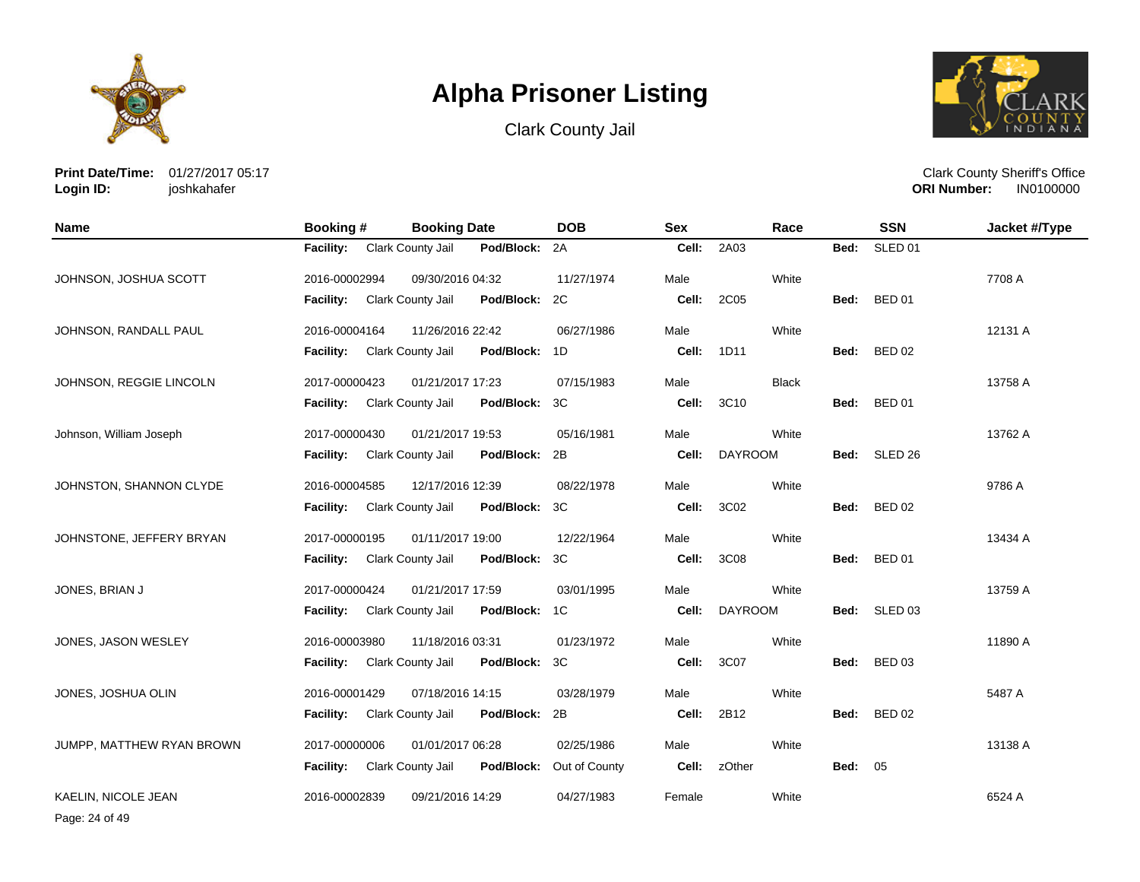





**Print Date/Time:** 01/27/2017 05:17 **Login ID:** joshkahafer

Clark County Sheriff's Office **ORI Number:** 

| <b>Name</b>               | Booking #        | <b>Booking Date</b> |               | <b>DOB</b>    | <b>Sex</b> | Race           |      | <b>SSN</b>         | Jacket #/Type |
|---------------------------|------------------|---------------------|---------------|---------------|------------|----------------|------|--------------------|---------------|
|                           | <b>Facility:</b> | Clark County Jail   | Pod/Block:    | 2A            | Cell:      | 2A03           | Bed: | SLED <sub>01</sub> |               |
| JOHNSON, JOSHUA SCOTT     | 2016-00002994    | 09/30/2016 04:32    |               | 11/27/1974    | Male       | White          |      |                    | 7708 A        |
|                           | <b>Facility:</b> | Clark County Jail   | Pod/Block:    | 2C            | Cell:      | 2C05           | Bed: | <b>BED 01</b>      |               |
| JOHNSON, RANDALL PAUL     | 2016-00004164    | 11/26/2016 22:42    |               | 06/27/1986    | Male       | White          |      |                    | 12131 A       |
|                           | <b>Facility:</b> | Clark County Jail   | Pod/Block:    | 1D            | Cell:      | 1D11           | Bed: | <b>BED 02</b>      |               |
| JOHNSON, REGGIE LINCOLN   | 2017-00000423    | 01/21/2017 17:23    |               | 07/15/1983    | Male       | <b>Black</b>   |      |                    | 13758 A       |
|                           | <b>Facility:</b> | Clark County Jail   | Pod/Block:    | 3C            | Cell:      | 3C10           | Bed: | <b>BED 01</b>      |               |
| Johnson, William Joseph   | 2017-00000430    | 01/21/2017 19:53    |               | 05/16/1981    | Male       | White          |      |                    | 13762 A       |
|                           | <b>Facility:</b> | Clark County Jail   | Pod/Block: 2B |               | Cell:      | <b>DAYROOM</b> | Bed: | SLED <sub>26</sub> |               |
| JOHNSTON, SHANNON CLYDE   | 2016-00004585    | 12/17/2016 12:39    |               | 08/22/1978    | Male       | White          |      |                    | 9786 A        |
|                           | <b>Facility:</b> | Clark County Jail   | Pod/Block:    | 3C            | Cell:      | 3C02           | Bed: | <b>BED 02</b>      |               |
| JOHNSTONE, JEFFERY BRYAN  | 2017-00000195    | 01/11/2017 19:00    |               | 12/22/1964    | Male       | White          |      |                    | 13434 A       |
|                           | <b>Facility:</b> | Clark County Jail   | Pod/Block:    | ЗC            | Cell:      | 3C08           | Bed: | <b>BED 01</b>      |               |
| JONES, BRIAN J            | 2017-00000424    | 01/21/2017 17:59    |               | 03/01/1995    | Male       | White          |      |                    | 13759 A       |
|                           | <b>Facility:</b> | Clark County Jail   | Pod/Block:    | 1C            | Cell:      | <b>DAYROOM</b> | Bed: | SLED <sub>03</sub> |               |
| JONES, JASON WESLEY       | 2016-00003980    | 11/18/2016 03:31    |               | 01/23/1972    | Male       | White          |      |                    | 11890 A       |
|                           | <b>Facility:</b> | Clark County Jail   | Pod/Block:    | 3C            | Cell:      | 3C07           | Bed: | <b>BED 03</b>      |               |
| JONES, JOSHUA OLIN        | 2016-00001429    | 07/18/2016 14:15    |               | 03/28/1979    | Male       | White          |      |                    | 5487 A        |
|                           | <b>Facility:</b> | Clark County Jail   | Pod/Block:    | 2B            | Cell:      | 2B12           | Bed: | <b>BED 02</b>      |               |
| JUMPP, MATTHEW RYAN BROWN | 2017-00000006    | 01/01/2017 06:28    |               | 02/25/1986    | Male       | White          |      |                    | 13138 A       |
|                           | <b>Facility:</b> | Clark County Jail   | Pod/Block:    | Out of County | Cell:      | zOther         | Bed: | 05                 |               |
| KAELIN, NICOLE JEAN       | 2016-00002839    | 09/21/2016 14:29    |               | 04/27/1983    | Female     | White          |      |                    | 6524 A        |

Page: 24 of 49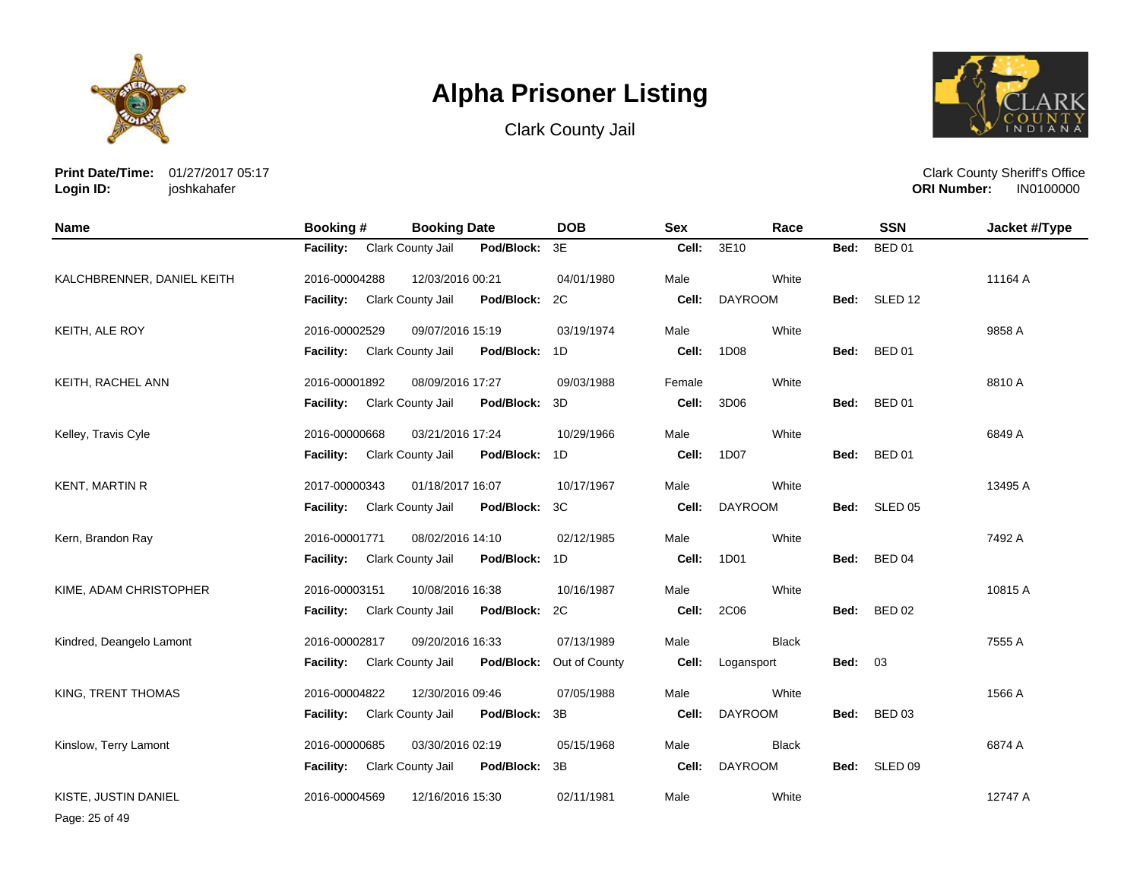





**Print Date/Time:** 01/27/2017 05:17 **Login ID:** joshkahafer

| <b>Name</b>                | Booking #                   | <b>Booking Date</b>                | <b>DOB</b>    | <b>Sex</b> | Race           |      | <b>SSN</b>         | Jacket #/Type |
|----------------------------|-----------------------------|------------------------------------|---------------|------------|----------------|------|--------------------|---------------|
|                            | <b>Facility:</b>            | Clark County Jail<br>Pod/Block: 3E |               | Cell:      | 3E10           | Bed: | <b>BED 01</b>      |               |
| KALCHBRENNER, DANIEL KEITH | 2016-00004288               | 12/03/2016 00:21                   | 04/01/1980    | Male       | White          |      |                    | 11164 A       |
|                            | <b>Facility:</b>            | Clark County Jail<br>Pod/Block:    | 2C            | Cell:      | <b>DAYROOM</b> |      | Bed: SLED 12       |               |
| KEITH, ALE ROY             | 2016-00002529               | 09/07/2016 15:19                   | 03/19/1974    | Male       | White          |      |                    | 9858 A        |
|                            | <b>Facility:</b>            | Clark County Jail<br>Pod/Block: 1D |               | Cell:      | 1D08           | Bed: | <b>BED 01</b>      |               |
| KEITH, RACHEL ANN          | 2016-00001892               | 08/09/2016 17:27                   | 09/03/1988    | Female     | White          |      |                    | 8810 A        |
|                            | Facility: Clark County Jail | Pod/Block: 3D                      |               | Cell:      | 3D06           |      | Bed: BED 01        |               |
| Kelley, Travis Cyle        | 2016-00000668               | 03/21/2016 17:24                   | 10/29/1966    | Male       | White          |      |                    | 6849 A        |
|                            | <b>Facility:</b>            | Clark County Jail<br>Pod/Block: 1D |               | Cell:      | 1D07           | Bed: | <b>BED 01</b>      |               |
| <b>KENT, MARTIN R</b>      | 2017-00000343               | 01/18/2017 16:07                   | 10/17/1967    | Male       | White          |      |                    | 13495 A       |
|                            | Facility: Clark County Jail | Pod/Block: 3C                      |               | Cell:      | <b>DAYROOM</b> |      | Bed: SLED 05       |               |
| Kern, Brandon Ray          | 2016-00001771               | 08/02/2016 14:10                   | 02/12/1985    | Male       | White          |      |                    | 7492 A        |
|                            | Facility: Clark County Jail | Pod/Block: 1D                      |               | Cell:      | 1D01           |      | Bed: BED 04        |               |
| KIME, ADAM CHRISTOPHER     | 2016-00003151               | 10/08/2016 16:38                   | 10/16/1987    | Male       | White          |      |                    | 10815 A       |
|                            | <b>Facility:</b>            | Clark County Jail<br>Pod/Block: 2C |               | Cell:      | 2C06           | Bed: | <b>BED 02</b>      |               |
| Kindred, Deangelo Lamont   | 2016-00002817               | 09/20/2016 16:33                   | 07/13/1989    | Male       | <b>Black</b>   |      |                    | 7555 A        |
|                            | <b>Facility:</b>            | Pod/Block:<br>Clark County Jail    | Out of County | Cell:      | Logansport     | Bed: | 03                 |               |
| KING, TRENT THOMAS         | 2016-00004822               | 12/30/2016 09:46                   | 07/05/1988    | Male       | White          |      |                    | 1566 A        |
|                            | Facility:                   | Clark County Jail<br>Pod/Block:    | 3B            | Cell:      | <b>DAYROOM</b> | Bed: | <b>BED 03</b>      |               |
| Kinslow, Terry Lamont      | 2016-00000685               | 03/30/2016 02:19                   | 05/15/1968    | Male       | <b>Black</b>   |      |                    | 6874 A        |
|                            | <b>Facility:</b>            | Clark County Jail<br>Pod/Block: 3B |               | Cell:      | <b>DAYROOM</b> | Bed: | SLED <sub>09</sub> |               |
| KISTE. JUSTIN DANIEL       | 2016-00004569               | 12/16/2016 15:30                   | 02/11/1981    | Male       | White          |      |                    | 12747 A       |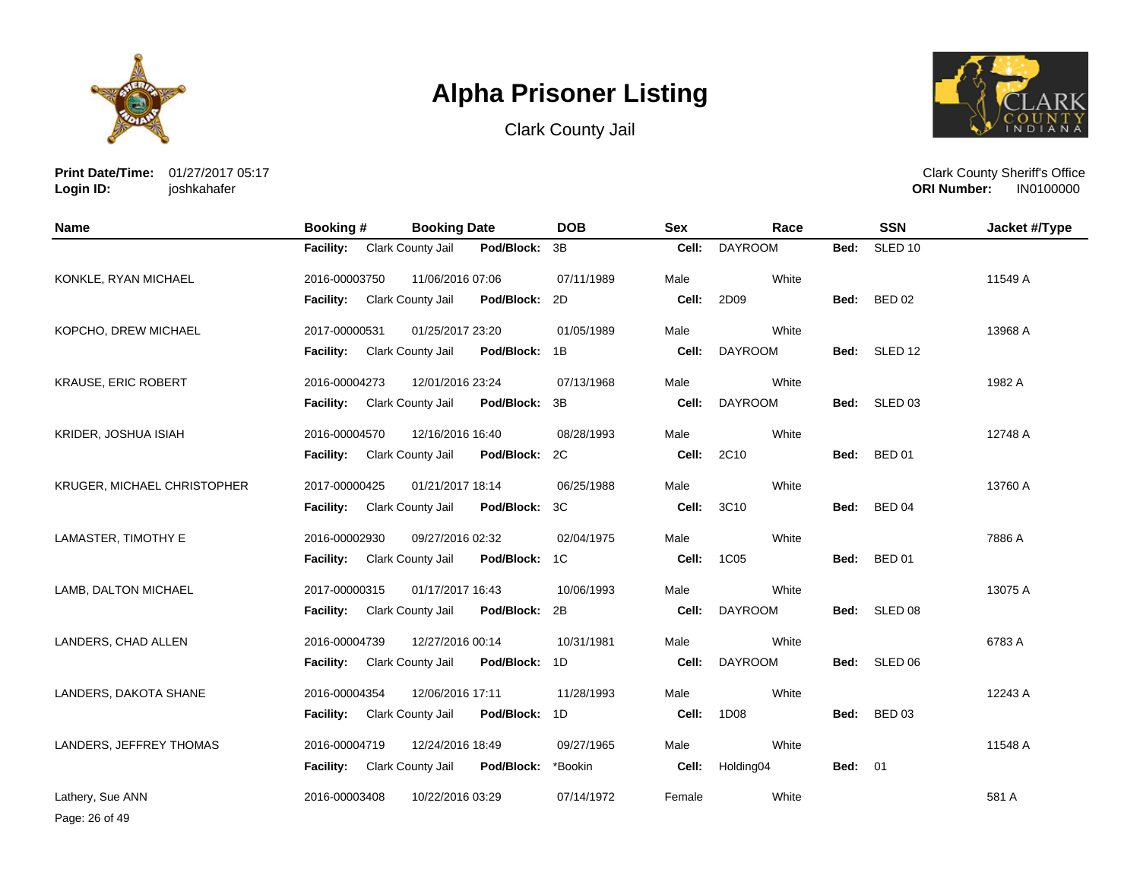





**Print Date/Time:** 01/27/2017 05:17 **Login ID:** joshkahafer

Clark County Sheriff's Office **ORI Number:** 

| <b>Name</b>                 | Booking #                          | <b>Booking Date</b> |               | <b>DOB</b> | <b>Sex</b> | Race           |                | <b>SSN</b>         | Jacket #/Type |
|-----------------------------|------------------------------------|---------------------|---------------|------------|------------|----------------|----------------|--------------------|---------------|
|                             | Facility: Clark County Jail        |                     | Pod/Block:    | 3B         | Cell:      | <b>DAYROOM</b> | Bed:           | SLED <sub>10</sub> |               |
| KONKLE, RYAN MICHAEL        | 2016-00003750                      | 11/06/2016 07:06    |               | 07/11/1989 | Male       | White          |                |                    | 11549 A       |
|                             | Facility:                          | Clark County Jail   | Pod/Block:    | 2D         | Cell:      | 2D09           | Bed:           | <b>BED 02</b>      |               |
| KOPCHO, DREW MICHAEL        | 2017-00000531                      | 01/25/2017 23:20    |               | 01/05/1989 | Male       | White          |                |                    | 13968 A       |
|                             | <b>Facility:</b>                   | Clark County Jail   | Pod/Block:    | 1B         | Cell:      | <b>DAYROOM</b> | Bed:           | SLED 12            |               |
| <b>KRAUSE, ERIC ROBERT</b>  | 2016-00004273                      | 12/01/2016 23:24    |               | 07/13/1968 | Male       | White          |                |                    | 1982 A        |
|                             | Facility: Clark County Jail        |                     | Pod/Block:    | 3B         | Cell:      | <b>DAYROOM</b> |                | Bed: SLED 03       |               |
| KRIDER, JOSHUA ISIAH        | 2016-00004570                      | 12/16/2016 16:40    |               | 08/28/1993 | Male       | White          |                |                    | 12748 A       |
|                             | <b>Facility:</b>                   | Clark County Jail   | Pod/Block:    | 2C         | Cell:      | 2C10           | Bed:           | <b>BED 01</b>      |               |
| KRUGER, MICHAEL CHRISTOPHER | 2017-00000425                      | 01/21/2017 18:14    |               | 06/25/1988 | Male       | White          |                |                    | 13760 A       |
|                             | Facility: Clark County Jail        |                     | Pod/Block:    | 3C         | Cell:      | 3C10           | Bed:           | <b>BED 04</b>      |               |
| LAMASTER, TIMOTHY E         | 2016-00002930                      | 09/27/2016 02:32    |               | 02/04/1975 | Male       | White          |                |                    | 7886 A        |
|                             | <b>Facility:</b>                   | Clark County Jail   | Pod/Block:    | 1C         | Cell:      | 1C05           | Bed:           | <b>BED 01</b>      |               |
| LAMB, DALTON MICHAEL        | 2017-00000315                      | 01/17/2017 16:43    |               | 10/06/1993 | Male       | White          |                |                    | 13075 A       |
|                             | <b>Facility:</b>                   | Clark County Jail   | Pod/Block:    | 2B         | Cell:      | <b>DAYROOM</b> | Bed:           | SLED 08            |               |
| LANDERS, CHAD ALLEN         | 2016-00004739                      | 12/27/2016 00:14    |               | 10/31/1981 | Male       | White          |                |                    | 6783 A        |
|                             | <b>Facility:</b> Clark County Jail |                     | Pod/Block: 1D |            | Cell:      | <b>DAYROOM</b> | Bed:           | SLED 06            |               |
| LANDERS, DAKOTA SHANE       | 2016-00004354                      | 12/06/2016 17:11    |               | 11/28/1993 | Male       | White          |                |                    | 12243 A       |
|                             | Facility:                          | Clark County Jail   | Pod/Block:    | 1D         | Cell:      | 1D08           | Bed:           | BED 03             |               |
| LANDERS, JEFFREY THOMAS     | 2016-00004719                      | 12/24/2016 18:49    |               | 09/27/1965 | Male       | White          |                |                    | 11548 A       |
|                             | <b>Facility:</b>                   | Clark County Jail   | Pod/Block:    | *Bookin    | Cell:      | Holding04      | <b>Bed: 01</b> |                    |               |
| Lathery, Sue ANN            | 2016-00003408                      | 10/22/2016 03:29    |               | 07/14/1972 | Female     | White          |                |                    | 581 A         |

Page: 26 of 49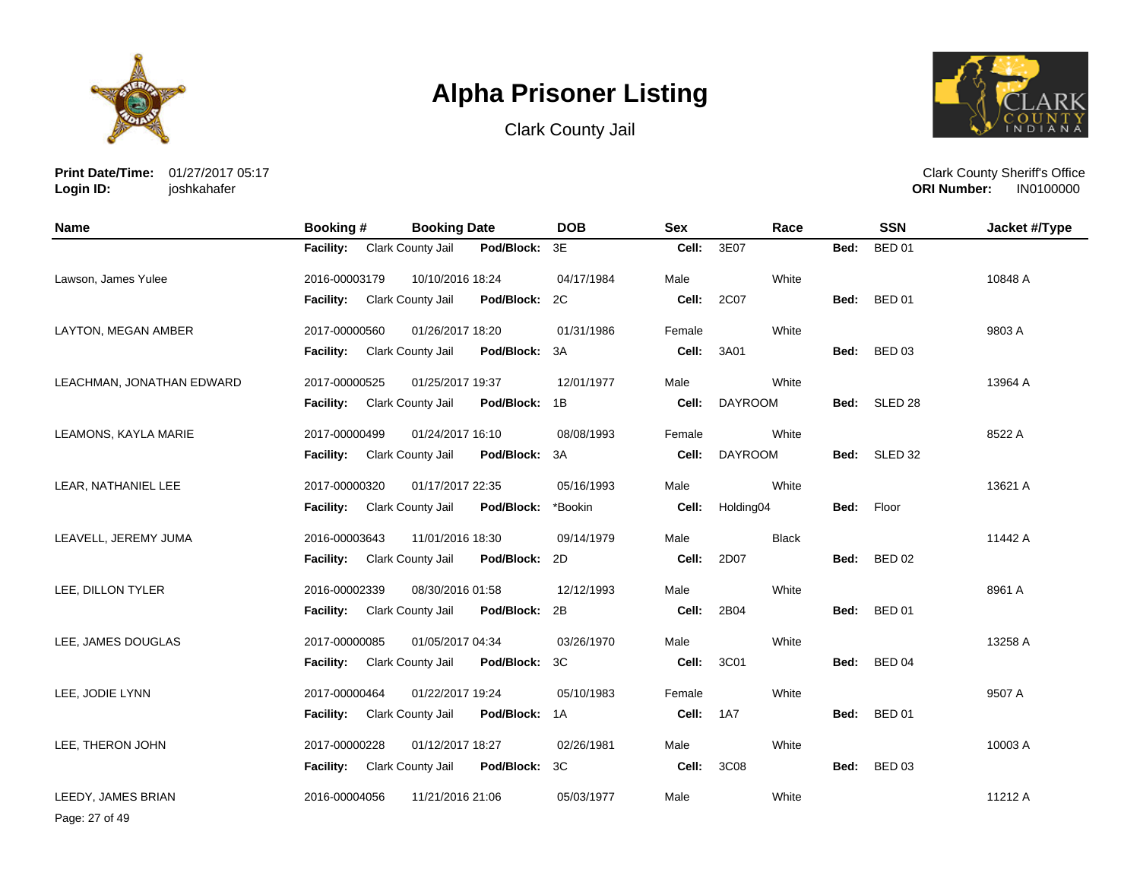

Clark County Jail



**Print Date/Time:** 01/27/2017 05:17 **Login ID:** joshkahafer

Clark County Sheriff's Office **ORI Number:** 

| <b>Name</b>               | Booking #        | <b>Booking Date</b> |               | <b>DOB</b> | <b>Sex</b> | Race           |      | <b>SSN</b>    | Jacket #/Type |
|---------------------------|------------------|---------------------|---------------|------------|------------|----------------|------|---------------|---------------|
|                           | <b>Facility:</b> | Clark County Jail   | Pod/Block:    | 3E         | Cell:      | 3E07           | Bed: | <b>BED 01</b> |               |
| Lawson, James Yulee       | 2016-00003179    | 10/10/2016 18:24    |               | 04/17/1984 | Male       | White          |      |               | 10848 A       |
|                           | Facility:        | Clark County Jail   | Pod/Block:    | 2C         | Cell:      | 2C07           | Bed: | <b>BED 01</b> |               |
| LAYTON, MEGAN AMBER       | 2017-00000560    | 01/26/2017 18:20    |               | 01/31/1986 | Female     | White          |      |               | 9803 A        |
|                           | <b>Facility:</b> | Clark County Jail   | Pod/Block:    | 3A         | Cell:      | 3A01           | Bed: | <b>BED 03</b> |               |
| LEACHMAN, JONATHAN EDWARD | 2017-00000525    | 01/25/2017 19:37    |               | 12/01/1977 | Male       | White          |      |               | 13964 A       |
|                           | <b>Facility:</b> | Clark County Jail   | Pod/Block: 1B |            | Cell:      | <b>DAYROOM</b> |      | Bed: SLED 28  |               |
| LEAMONS, KAYLA MARIE      | 2017-00000499    | 01/24/2017 16:10    |               | 08/08/1993 | Female     | White          |      |               | 8522 A        |
|                           | <b>Facility:</b> | Clark County Jail   | Pod/Block:    | 3A         | Cell:      | <b>DAYROOM</b> |      | Bed: SLED 32  |               |
| LEAR, NATHANIEL LEE       | 2017-00000320    | 01/17/2017 22:35    |               | 05/16/1993 | Male       | White          |      |               | 13621 A       |
|                           | <b>Facility:</b> | Clark County Jail   | Pod/Block:    | *Bookin    | Cell:      | Holding04      | Bed: | Floor         |               |
| LEAVELL, JEREMY JUMA      | 2016-00003643    | 11/01/2016 18:30    |               | 09/14/1979 | Male       | <b>Black</b>   |      |               | 11442 A       |
|                           | <b>Facility:</b> | Clark County Jail   | Pod/Block:    | 2D         | Cell:      | 2D07           |      | Bed: BED 02   |               |
| LEE, DILLON TYLER         | 2016-00002339    | 08/30/2016 01:58    |               | 12/12/1993 | Male       | White          |      |               | 8961 A        |
|                           | <b>Facility:</b> | Clark County Jail   | Pod/Block:    | 2B         | Cell:      | 2B04           | Bed: | <b>BED 01</b> |               |
| LEE, JAMES DOUGLAS        | 2017-00000085    | 01/05/2017 04:34    |               | 03/26/1970 | Male       | White          |      |               | 13258 A       |
|                           | <b>Facility:</b> | Clark County Jail   | Pod/Block:    | 3C         | Cell:      | 3C01           | Bed: | <b>BED 04</b> |               |
| LEE, JODIE LYNN           | 2017-00000464    | 01/22/2017 19:24    |               | 05/10/1983 | Female     | White          |      |               | 9507 A        |
|                           | Facility:        | Clark County Jail   | Pod/Block:    | 1A         | Cell:      | 1A7            | Bed: | <b>BED 01</b> |               |
| LEE, THERON JOHN          | 2017-00000228    | 01/12/2017 18:27    |               | 02/26/1981 | Male       | White          |      |               | 10003 A       |
|                           | <b>Facility:</b> | Clark County Jail   | Pod/Block:    | 3C         | Cell:      | 3C08           | Bed: | <b>BED 03</b> |               |
| LEEDY, JAMES BRIAN        | 2016-00004056    | 11/21/2016 21:06    |               | 05/03/1977 | Male       | White          |      |               | 11212 A       |

Page: 27 of 49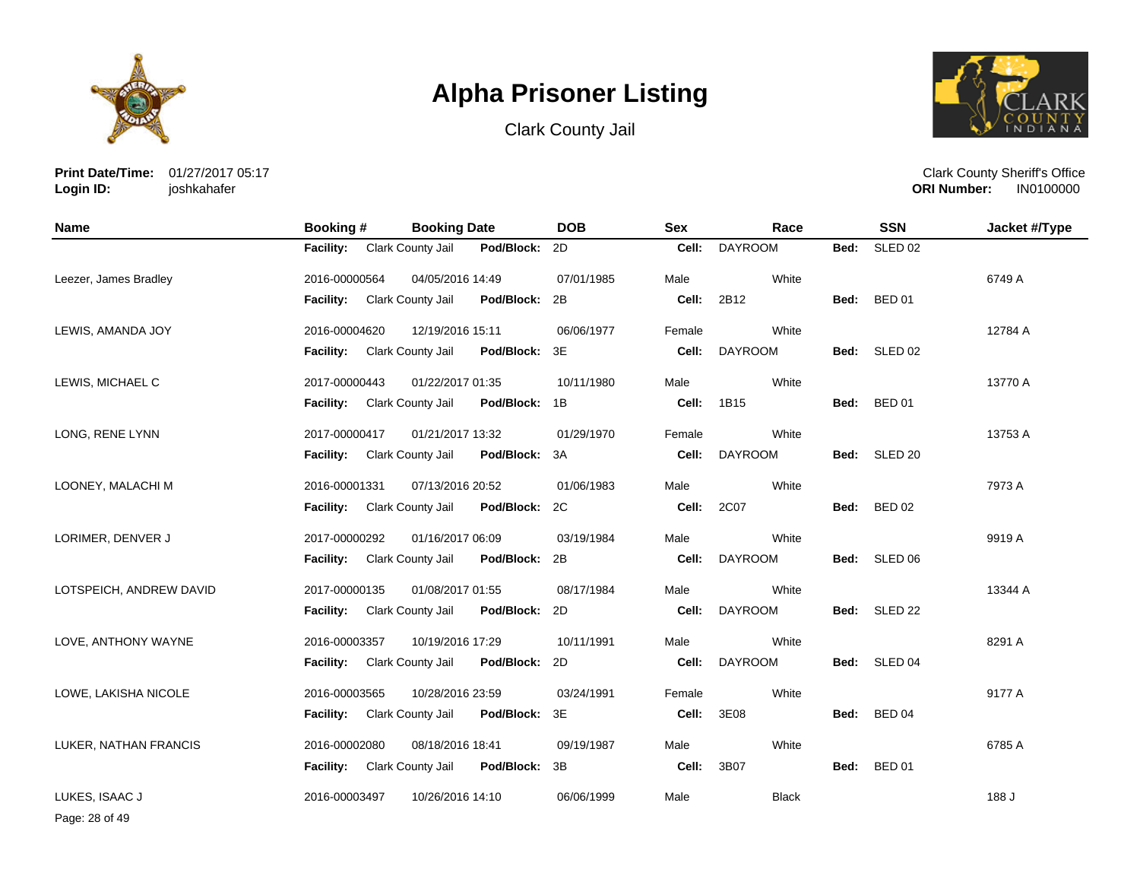





**Print Date/Time:** 01/27/2017 05:17 **Login ID:** joshkahafer

Clark County Sheriff's Office **ORI Number:** 

| <b>Name</b>             | Booking #                   | <b>Booking Date</b> |            | <b>DOB</b> | <b>Sex</b> | Race           |      | <b>SSN</b>         | Jacket #/Type |
|-------------------------|-----------------------------|---------------------|------------|------------|------------|----------------|------|--------------------|---------------|
|                         | Facility: Clark County Jail |                     | Pod/Block: | 2D         | Cell:      | <b>DAYROOM</b> | Bed: | SLED <sub>02</sub> |               |
| Leezer, James Bradley   | 2016-00000564               | 04/05/2016 14:49    |            | 07/01/1985 | Male       | White          |      |                    | 6749 A        |
|                         | <b>Facility:</b>            | Clark County Jail   | Pod/Block: | 2B         | Cell:      | 2B12           | Bed: | <b>BED 01</b>      |               |
| LEWIS, AMANDA JOY       | 2016-00004620               | 12/19/2016 15:11    |            | 06/06/1977 | Female     | White          |      |                    | 12784 A       |
|                         | <b>Facility:</b>            | Clark County Jail   | Pod/Block: | 3E         | Cell:      | <b>DAYROOM</b> | Bed: | SLED 02            |               |
| LEWIS, MICHAEL C        | 2017-00000443               | 01/22/2017 01:35    |            | 10/11/1980 | Male       | White          |      |                    | 13770 A       |
|                         | <b>Facility:</b>            | Clark County Jail   | Pod/Block: | 1B         | Cell:      | 1B15           | Bed: | <b>BED 01</b>      |               |
| LONG, RENE LYNN         | 2017-00000417               | 01/21/2017 13:32    |            | 01/29/1970 | Female     | White          |      |                    | 13753 A       |
|                         | <b>Facility:</b>            | Clark County Jail   | Pod/Block: | 3A         | Cell:      | <b>DAYROOM</b> | Bed: | SLED <sub>20</sub> |               |
| LOONEY, MALACHI M       | 2016-00001331               | 07/13/2016 20:52    |            | 01/06/1983 | Male       | White          |      |                    | 7973 A        |
|                         | <b>Facility:</b>            | Clark County Jail   | Pod/Block: | 2C         | Cell:      | 2C07           | Bed: | <b>BED 02</b>      |               |
| LORIMER, DENVER J       | 2017-00000292               | 01/16/2017 06:09    |            | 03/19/1984 | Male       | White          |      |                    | 9919 A        |
|                         | <b>Facility:</b>            | Clark County Jail   | Pod/Block: | 2B         | Cell:      | <b>DAYROOM</b> |      | Bed: SLED 06       |               |
| LOTSPEICH, ANDREW DAVID | 2017-00000135               | 01/08/2017 01:55    |            | 08/17/1984 | Male       | White          |      |                    | 13344 A       |
|                         | <b>Facility:</b>            | Clark County Jail   | Pod/Block: | 2D         | Cell:      | <b>DAYROOM</b> | Bed: | SLED <sub>22</sub> |               |
| LOVE, ANTHONY WAYNE     | 2016-00003357               | 10/19/2016 17:29    |            | 10/11/1991 | Male       | White          |      |                    | 8291 A        |
|                         | <b>Facility:</b>            | Clark County Jail   | Pod/Block: | 2D         | Cell:      | <b>DAYROOM</b> | Bed: | SLED 04            |               |
| LOWE, LAKISHA NICOLE    | 2016-00003565               | 10/28/2016 23:59    |            | 03/24/1991 | Female     | White          |      |                    | 9177 A        |
|                         | <b>Facility:</b>            | Clark County Jail   | Pod/Block: | 3E         | Cell:      | 3E08           | Bed: | BED 04             |               |
| LUKER, NATHAN FRANCIS   | 2016-00002080               | 08/18/2016 18:41    |            | 09/19/1987 | Male       | White          |      |                    | 6785 A        |
|                         | <b>Facility:</b>            | Clark County Jail   | Pod/Block: | 3B         | Cell:      | 3B07           | Bed: | <b>BED 01</b>      |               |
| LUKES, ISAAC J          | 2016-00003497               | 10/26/2016 14:10    |            | 06/06/1999 | Male       | Black          |      |                    | 188 J         |

Page: 28 of 49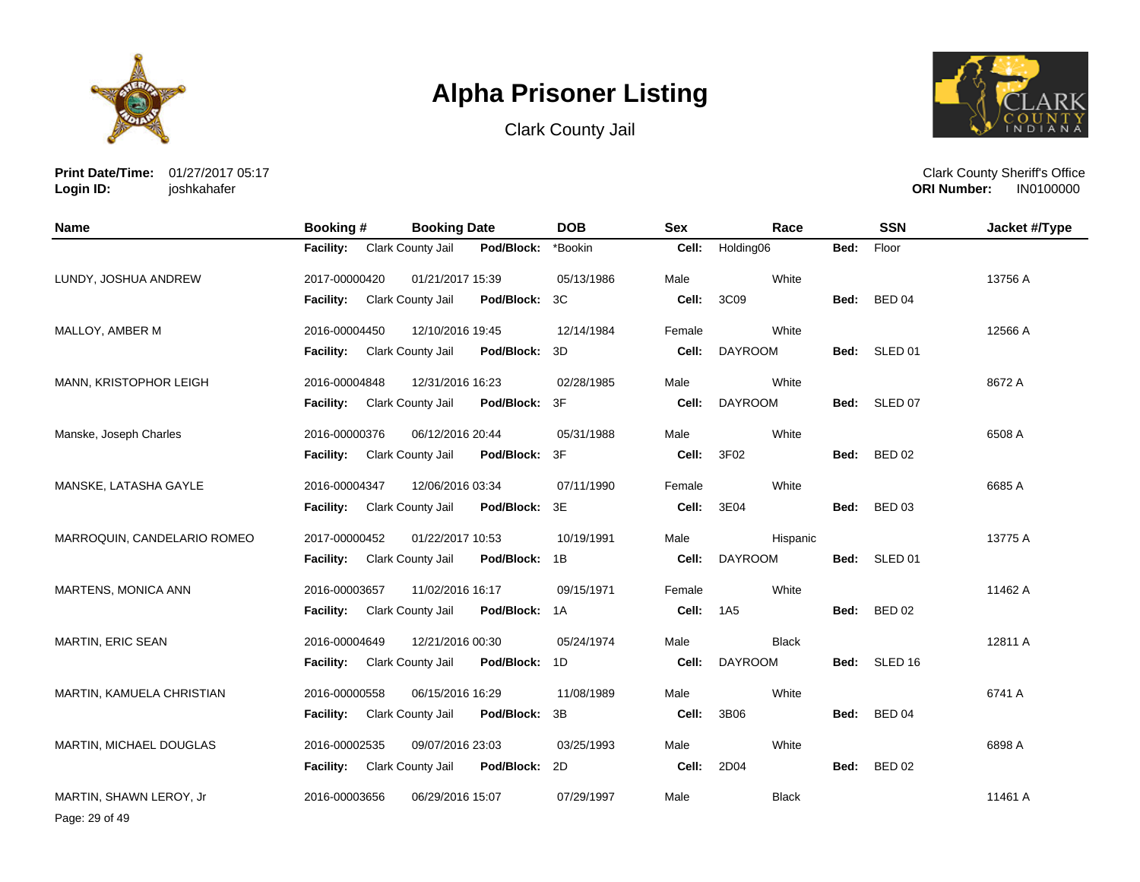





**Print Date/Time:** 01/27/2017 05:17 **Login ID:** joshkahafer

Clark County Sheriff's Office **ORI Number:** 

| <b>Name</b>                 | <b>Booking#</b>  | <b>Booking Date</b> |               | <b>DOB</b> | <b>Sex</b> | Race            |      | <b>SSN</b>    | Jacket #/Type |
|-----------------------------|------------------|---------------------|---------------|------------|------------|-----------------|------|---------------|---------------|
|                             | Facility:        | Clark County Jail   | Pod/Block:    | *Bookin    | Cell:      | Holding06       | Bed: | Floor         |               |
| LUNDY, JOSHUA ANDREW        | 2017-00000420    | 01/21/2017 15:39    |               | 05/13/1986 | Male       | White           |      |               | 13756 A       |
|                             | Facility:        | Clark County Jail   | Pod/Block:    | 3C         | Cell:      | 3C09            | Bed: | <b>BED 04</b> |               |
| MALLOY, AMBER M             | 2016-00004450    | 12/10/2016 19:45    |               | 12/14/1984 | Female     | White           |      |               | 12566 A       |
|                             | <b>Facility:</b> | Clark County Jail   | Pod/Block:    | 3D         | Cell:      | <b>DAYROOM</b>  |      | Bed: SLED 01  |               |
| MANN, KRISTOPHOR LEIGH      | 2016-00004848    | 12/31/2016 16:23    |               | 02/28/1985 | Male       | White           |      |               | 8672 A        |
|                             | Facility:        | Clark County Jail   | Pod/Block:    | 3F         | Cell:      | <b>DAYROOM</b>  |      | Bed: SLED 07  |               |
| Manske, Joseph Charles      | 2016-00000376    | 06/12/2016 20:44    |               | 05/31/1988 | Male       | White           |      |               | 6508 A        |
|                             | <b>Facility:</b> | Clark County Jail   | Pod/Block:    | 3F         | Cell:      | 3F02            | Bed: | <b>BED 02</b> |               |
| MANSKE, LATASHA GAYLE       | 2016-00004347    | 12/06/2016 03:34    |               | 07/11/1990 | Female     | White           |      |               | 6685 A        |
|                             | <b>Facility:</b> | Clark County Jail   | Pod/Block:    | 3E         | Cell:      | 3E04            | Bed: | <b>BED 03</b> |               |
| MARROQUIN, CANDELARIO ROMEO | 2017-00000452    | 01/22/2017 10:53    |               | 10/19/1991 | Male       | Hispanic        |      |               | 13775 A       |
|                             | Facility:        | Clark County Jail   | Pod/Block: 1B |            | Cell:      | <b>DAYROOM</b>  |      | Bed: SLED 01  |               |
| MARTENS, MONICA ANN         | 2016-00003657    | 11/02/2016 16:17    |               | 09/15/1971 | Female     | White           |      |               | 11462 A       |
|                             | Facility:        | Clark County Jail   | Pod/Block: 1A |            | Cell:      | 1A <sub>5</sub> | Bed: | <b>BED 02</b> |               |
| <b>MARTIN, ERIC SEAN</b>    | 2016-00004649    | 12/21/2016 00:30    |               | 05/24/1974 | Male       | <b>Black</b>    |      |               | 12811 A       |
|                             | Facility:        | Clark County Jail   | Pod/Block: 1D |            | Cell:      | <b>DAYROOM</b>  |      | Bed: SLED 16  |               |
| MARTIN, KAMUELA CHRISTIAN   | 2016-00000558    | 06/15/2016 16:29    |               | 11/08/1989 | Male       | White           |      |               | 6741 A        |
|                             | <b>Facility:</b> | Clark County Jail   | Pod/Block:    | 3B         | Cell:      | 3B06            | Bed: | <b>BED 04</b> |               |
| MARTIN, MICHAEL DOUGLAS     | 2016-00002535    | 09/07/2016 23:03    |               | 03/25/1993 | Male       | White           |      |               | 6898 A        |
|                             | <b>Facility:</b> | Clark County Jail   | Pod/Block:    | 2D         | Cell:      | 2D04            | Bed: | <b>BED 02</b> |               |
| MARTIN, SHAWN LEROY, Jr     | 2016-00003656    | 06/29/2016 15:07    |               | 07/29/1997 | Male       | <b>Black</b>    |      |               | 11461 A       |

Page: 29 of 49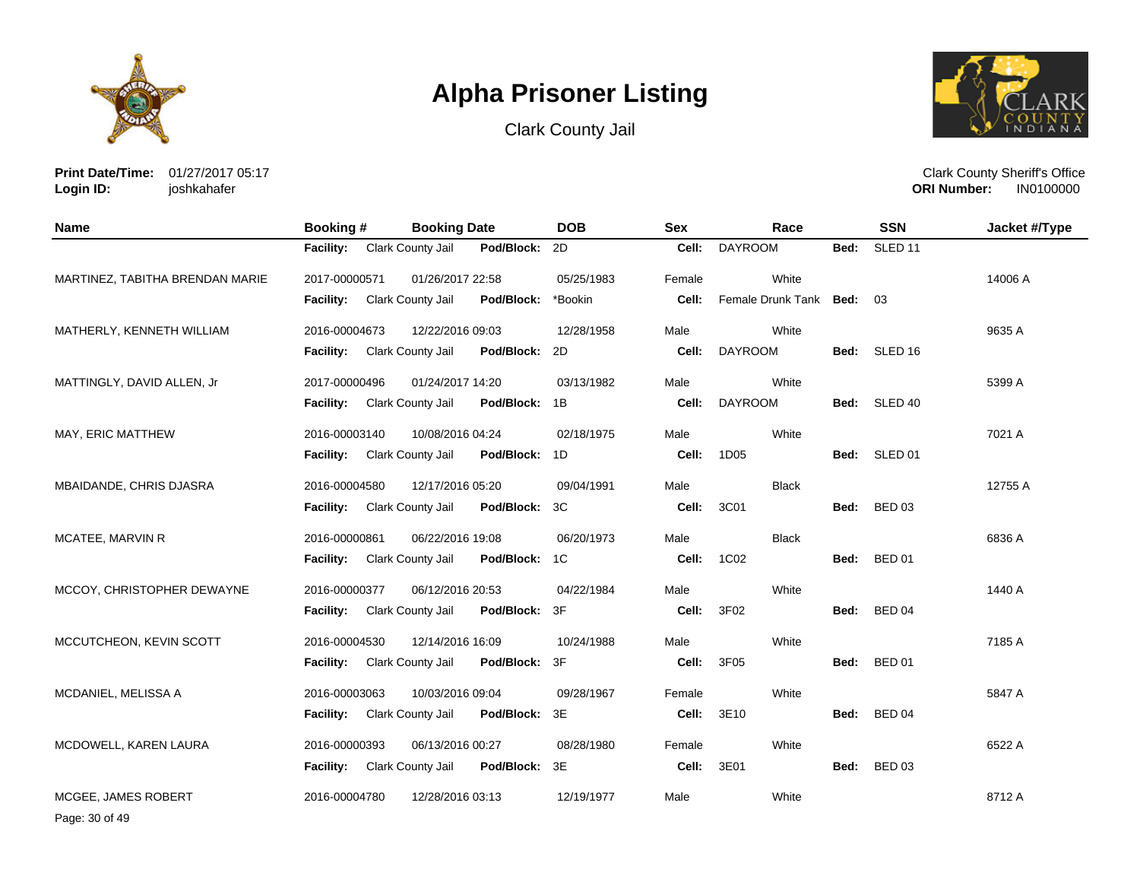





**Print Date/Time:** 01/27/2017 05:17 **Login ID:** joshkahafer

Clark County Sheriff's Office **ORI Number:** 

| <b>Name</b>                     | Booking #        | <b>Booking Date</b>      |            | <b>DOB</b> | <b>Sex</b> | Race                   |      | <b>SSN</b>         | Jacket #/Type |
|---------------------------------|------------------|--------------------------|------------|------------|------------|------------------------|------|--------------------|---------------|
|                                 | <b>Facility:</b> | Clark County Jail        | Pod/Block: | 2D         | Cell:      | <b>DAYROOM</b>         | Bed: | SLED <sub>11</sub> |               |
| MARTINEZ, TABITHA BRENDAN MARIE | 2017-00000571    | 01/26/2017 22:58         |            | 05/25/1983 | Female     | White                  |      |                    | 14006 A       |
|                                 | Facility:        | Clark County Jail        | Pod/Block: | *Bookin    | Cell:      | Female Drunk Tank Bed: |      | 03                 |               |
| MATHERLY, KENNETH WILLIAM       | 2016-00004673    | 12/22/2016 09:03         |            | 12/28/1958 | Male       | White                  |      |                    | 9635 A        |
|                                 | <b>Facility:</b> | Clark County Jail        | Pod/Block: | 2D         | Cell:      | <b>DAYROOM</b>         |      | Bed: SLED 16       |               |
| MATTINGLY, DAVID ALLEN, Jr      | 2017-00000496    | 01/24/2017 14:20         |            | 03/13/1982 | Male       | White                  |      |                    | 5399 A        |
|                                 | <b>Facility:</b> | Clark County Jail        | Pod/Block: | 1B         | Cell:      | <b>DAYROOM</b>         |      | Bed: SLED 40       |               |
| MAY, ERIC MATTHEW               | 2016-00003140    | 10/08/2016 04:24         |            | 02/18/1975 | Male       | White                  |      |                    | 7021 A        |
|                                 | Facility:        | Clark County Jail        | Pod/Block: | 1D         | Cell:      | 1D05                   | Bed: | SLED 01            |               |
| MBAIDANDE, CHRIS DJASRA         | 2016-00004580    | 12/17/2016 05:20         |            | 09/04/1991 | Male       | <b>Black</b>           |      |                    | 12755 A       |
|                                 | <b>Facility:</b> | <b>Clark County Jail</b> | Pod/Block: | 3C         | Cell:      | 3C01                   | Bed: | <b>BED 03</b>      |               |
| MCATEE, MARVIN R                | 2016-00000861    | 06/22/2016 19:08         |            | 06/20/1973 | Male       | <b>Black</b>           |      |                    | 6836 A        |
|                                 | <b>Facility:</b> | Clark County Jail        | Pod/Block: | 1C         | Cell:      | 1C02                   |      | Bed: BED 01        |               |
| MCCOY, CHRISTOPHER DEWAYNE      | 2016-00000377    | 06/12/2016 20:53         |            | 04/22/1984 | Male       | White                  |      |                    | 1440 A        |
|                                 | <b>Facility:</b> | Clark County Jail        | Pod/Block: | 3F         | Cell:      | 3F02                   |      | Bed: BED 04        |               |
| MCCUTCHEON, KEVIN SCOTT         | 2016-00004530    | 12/14/2016 16:09         |            | 10/24/1988 | Male       | White                  |      |                    | 7185 A        |
|                                 | <b>Facility:</b> | Clark County Jail        | Pod/Block: | 3F         | Cell:      | 3F05                   | Bed: | <b>BED 01</b>      |               |
| MCDANIEL, MELISSA A             | 2016-00003063    | 10/03/2016 09:04         |            | 09/28/1967 | Female     | White                  |      |                    | 5847 A        |
|                                 | <b>Facility:</b> | Clark County Jail        | Pod/Block: | 3E         | Cell:      | 3E10                   |      | Bed: BED 04        |               |
| MCDOWELL, KAREN LAURA           | 2016-00000393    | 06/13/2016 00:27         |            | 08/28/1980 | Female     | White                  |      |                    | 6522 A        |
|                                 | Facility:        | Clark County Jail        | Pod/Block: | 3E         | Cell:      | 3E01                   | Bed: | <b>BED 03</b>      |               |
| MCGEE. JAMES ROBERT             | 2016-00004780    | 12/28/2016 03:13         |            | 12/19/1977 | Male       | White                  |      |                    | 8712 A        |

Page: 30 of 49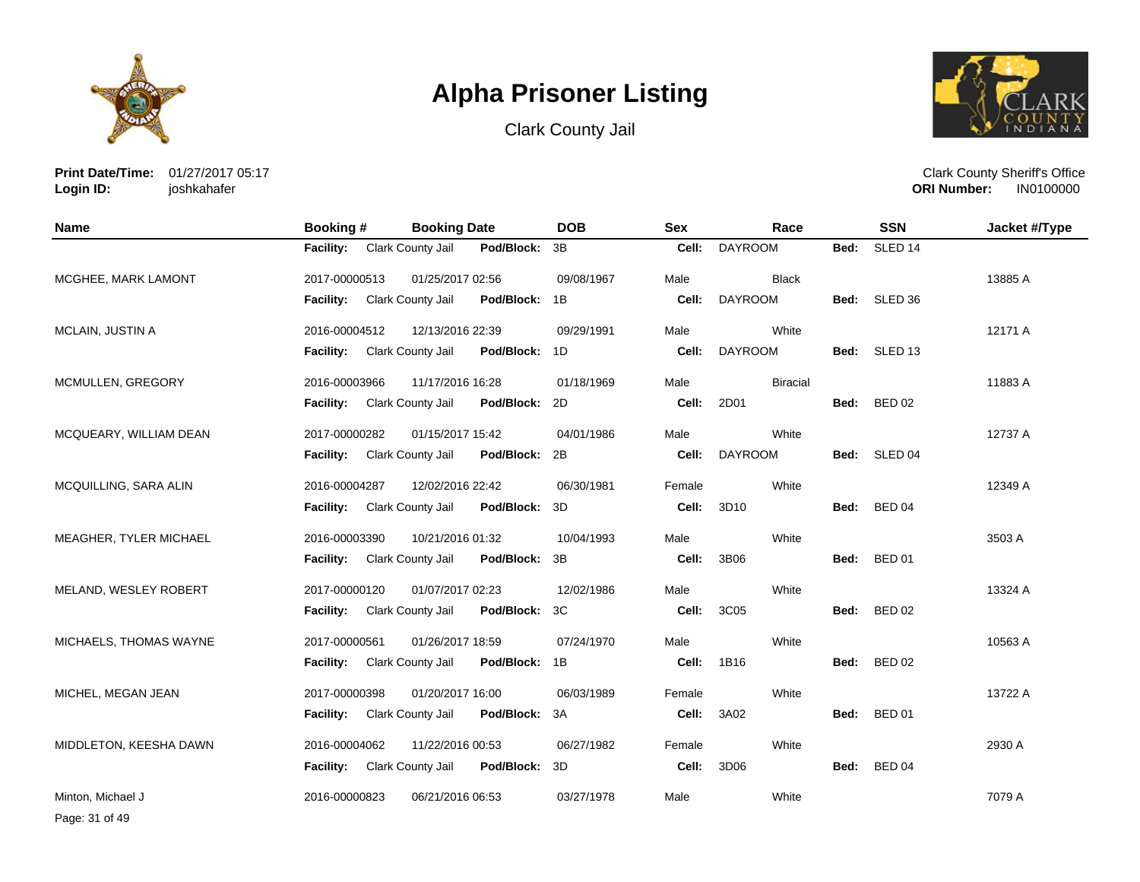





**Print Date/Time:** 01/27/2017 05:17 **Login ID:** joshkahafer

Clark County Sheriff's Office **ORI Number:** 

| <b>Name</b>            | <b>Booking #</b> | <b>Booking Date</b>                    | <b>DOB</b> | <b>Sex</b> | Race            |      | <b>SSN</b>         | Jacket #/Type |
|------------------------|------------------|----------------------------------------|------------|------------|-----------------|------|--------------------|---------------|
|                        | <b>Facility:</b> | Clark County Jail<br>Pod/Block:        | 3B         | Cell:      | <b>DAYROOM</b>  | Bed: | SLED <sub>14</sub> |               |
| MCGHEE, MARK LAMONT    | 2017-00000513    | 01/25/2017 02:56                       | 09/08/1967 | Male       | <b>Black</b>    |      |                    | 13885 A       |
|                        | <b>Facility:</b> | Clark County Jail<br>Pod/Block:        | 1B         | Cell:      | <b>DAYROOM</b>  | Bed: | SLED 36            |               |
| MCLAIN, JUSTIN A       | 2016-00004512    | 12/13/2016 22:39                       | 09/29/1991 | Male       | White           |      |                    | 12171 A       |
|                        | <b>Facility:</b> | Clark County Jail<br>Pod/Block:        | 1D         | Cell:      | <b>DAYROOM</b>  | Bed: | SLED 13            |               |
| MCMULLEN, GREGORY      | 2016-00003966    | 11/17/2016 16:28                       | 01/18/1969 | Male       | <b>Biracial</b> |      |                    | 11883 A       |
|                        | <b>Facility:</b> | <b>Clark County Jail</b><br>Pod/Block: | 2D         | Cell:      | 2D01            |      | Bed: BED 02        |               |
| MCQUEARY, WILLIAM DEAN | 2017-00000282    | 01/15/2017 15:42                       | 04/01/1986 | Male       | White           |      |                    | 12737 A       |
|                        | <b>Facility:</b> | Clark County Jail<br>Pod/Block:        | 2B         | Cell:      | <b>DAYROOM</b>  | Bed: | SLED 04            |               |
| MCQUILLING, SARA ALIN  | 2016-00004287    | 12/02/2016 22:42                       | 06/30/1981 | Female     | White           |      |                    | 12349 A       |
|                        | <b>Facility:</b> | Clark County Jail<br>Pod/Block:        | 3D         | Cell:      | 3D10            | Bed: | <b>BED 04</b>      |               |
| MEAGHER, TYLER MICHAEL | 2016-00003390    | 10/21/2016 01:32                       | 10/04/1993 | Male       | White           |      |                    | 3503 A        |
|                        | <b>Facility:</b> | <b>Clark County Jail</b><br>Pod/Block: | 3B         | Cell:      | 3B06            | Bed: | <b>BED 01</b>      |               |
| MELAND, WESLEY ROBERT  | 2017-00000120    | 01/07/2017 02:23                       | 12/02/1986 | Male       | White           |      |                    | 13324 A       |
|                        | <b>Facility:</b> | Clark County Jail<br>Pod/Block:        | 3C         | Cell:      | 3C05            | Bed: | <b>BED 02</b>      |               |
| MICHAELS, THOMAS WAYNE | 2017-00000561    | 01/26/2017 18:59                       | 07/24/1970 | Male       | White           |      |                    | 10563 A       |
|                        | <b>Facility:</b> | Clark County Jail<br>Pod/Block: 1B     |            | Cell:      | 1B16            | Bed: | <b>BED 02</b>      |               |
| MICHEL, MEGAN JEAN     | 2017-00000398    | 01/20/2017 16:00                       | 06/03/1989 | Female     | White           |      |                    | 13722 A       |
|                        | <b>Facility:</b> | Clark County Jail<br>Pod/Block:        | 3A         | Cell:      | 3A02            | Bed: | <b>BED 01</b>      |               |
| MIDDLETON, KEESHA DAWN | 2016-00004062    | 11/22/2016 00:53                       | 06/27/1982 | Female     | White           |      |                    | 2930 A        |
|                        | <b>Facility:</b> | Clark County Jail<br>Pod/Block:        | 3D         | Cell:      | 3D06            | Bed: | <b>BED 04</b>      |               |
| Minton, Michael J      | 2016-00000823    | 06/21/2016 06:53                       | 03/27/1978 | Male       | White           |      |                    | 7079 A        |

Page: 31 of 49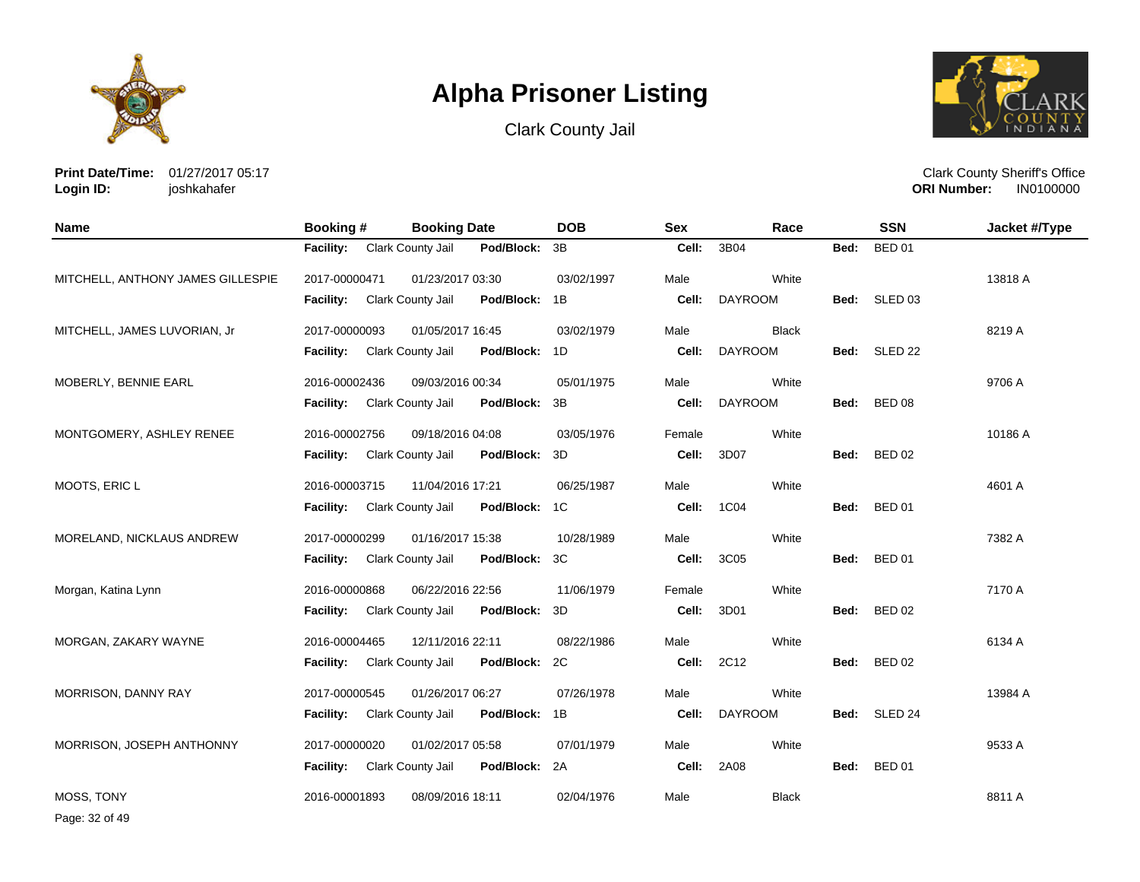





**Print Date/Time:** 01/27/2017 05:17 **Login ID:** joshkahafer

| <b>Name</b>                       | Booking #                   | <b>Booking Date</b>                | <b>DOB</b> | <b>Sex</b> | Race           |      | <b>SSN</b>    | Jacket #/Type |
|-----------------------------------|-----------------------------|------------------------------------|------------|------------|----------------|------|---------------|---------------|
|                                   | <b>Facility:</b>            | Clark County Jail<br>Pod/Block: 3B |            | Cell:      | 3B04           | Bed: | <b>BED 01</b> |               |
| MITCHELL, ANTHONY JAMES GILLESPIE | 2017-00000471               | 01/23/2017 03:30                   | 03/02/1997 | Male       | White          |      |               | 13818 A       |
|                                   | Facility:                   | Clark County Jail<br>Pod/Block: 1B |            | Cell:      | <b>DAYROOM</b> | Bed: | SLED 03       |               |
| MITCHELL, JAMES LUVORIAN, Jr      | 2017-00000093               | 01/05/2017 16:45                   | 03/02/1979 | Male       | <b>Black</b>   |      |               | 8219 A        |
|                                   | Facility:                   | Clark County Jail<br>Pod/Block: 1D |            | Cell:      | <b>DAYROOM</b> | Bed: | SLED 22       |               |
| MOBERLY, BENNIE EARL              | 2016-00002436               | 09/03/2016 00:34                   | 05/01/1975 | Male       | White          |      |               | 9706 A        |
|                                   | Facility: Clark County Jail | Pod/Block:                         | 3B         | Cell:      | <b>DAYROOM</b> | Bed: | <b>BED 08</b> |               |
| MONTGOMERY, ASHLEY RENEE          | 2016-00002756               | 09/18/2016 04:08                   | 03/05/1976 | Female     | White          |      |               | 10186 A       |
|                                   | <b>Facility:</b>            | Clark County Jail<br>Pod/Block:    | 3D         | Cell:      | 3D07           | Bed: | <b>BED 02</b> |               |
| MOOTS, ERIC L                     | 2016-00003715               | 11/04/2016 17:21                   | 06/25/1987 | Male       | White          |      |               | 4601 A        |
|                                   | <b>Facility:</b>            | Clark County Jail<br>Pod/Block: 1C |            | Cell:      | 1C04           | Bed: | <b>BED 01</b> |               |
| MORELAND, NICKLAUS ANDREW         | 2017-00000299               | 01/16/2017 15:38                   | 10/28/1989 | Male       | White          |      |               | 7382 A        |
|                                   | <b>Facility:</b>            | Clark County Jail<br>Pod/Block:    | 3C         | Cell:      | 3C05           |      | Bed: BED 01   |               |
| Morgan, Katina Lynn               | 2016-00000868               | 06/22/2016 22:56                   | 11/06/1979 | Female     | White          |      |               | 7170 A        |
|                                   | <b>Facility:</b>            | Clark County Jail<br>Pod/Block:    | 3D         | Cell:      | 3D01           | Bed: | <b>BED 02</b> |               |
| MORGAN, ZAKARY WAYNE              | 2016-00004465               | 12/11/2016 22:11                   | 08/22/1986 | Male       | White          |      |               | 6134 A        |
|                                   | <b>Facility:</b>            | Clark County Jail<br>Pod/Block: 2C |            | Cell:      | 2C12           | Bed: | <b>BED 02</b> |               |
| MORRISON, DANNY RAY               | 2017-00000545               | 01/26/2017 06:27                   | 07/26/1978 | Male       | White          |      |               | 13984 A       |
|                                   | Facility:                   | Clark County Jail<br>Pod/Block: 1B |            | Cell:      | <b>DAYROOM</b> | Bed: | SLED 24       |               |
| MORRISON, JOSEPH ANTHONNY         | 2017-00000020               | 01/02/2017 05:58                   | 07/01/1979 | Male       | White          |      |               | 9533 A        |
|                                   | <b>Facility:</b>            | Clark County Jail<br>Pod/Block: 2A |            | Cell:      | 2A08           | Bed: | <b>BED 01</b> |               |
| MOSS, TONY                        | 2016-00001893               | 08/09/2016 18:11                   | 02/04/1976 | Male       | <b>Black</b>   |      |               | 8811 A        |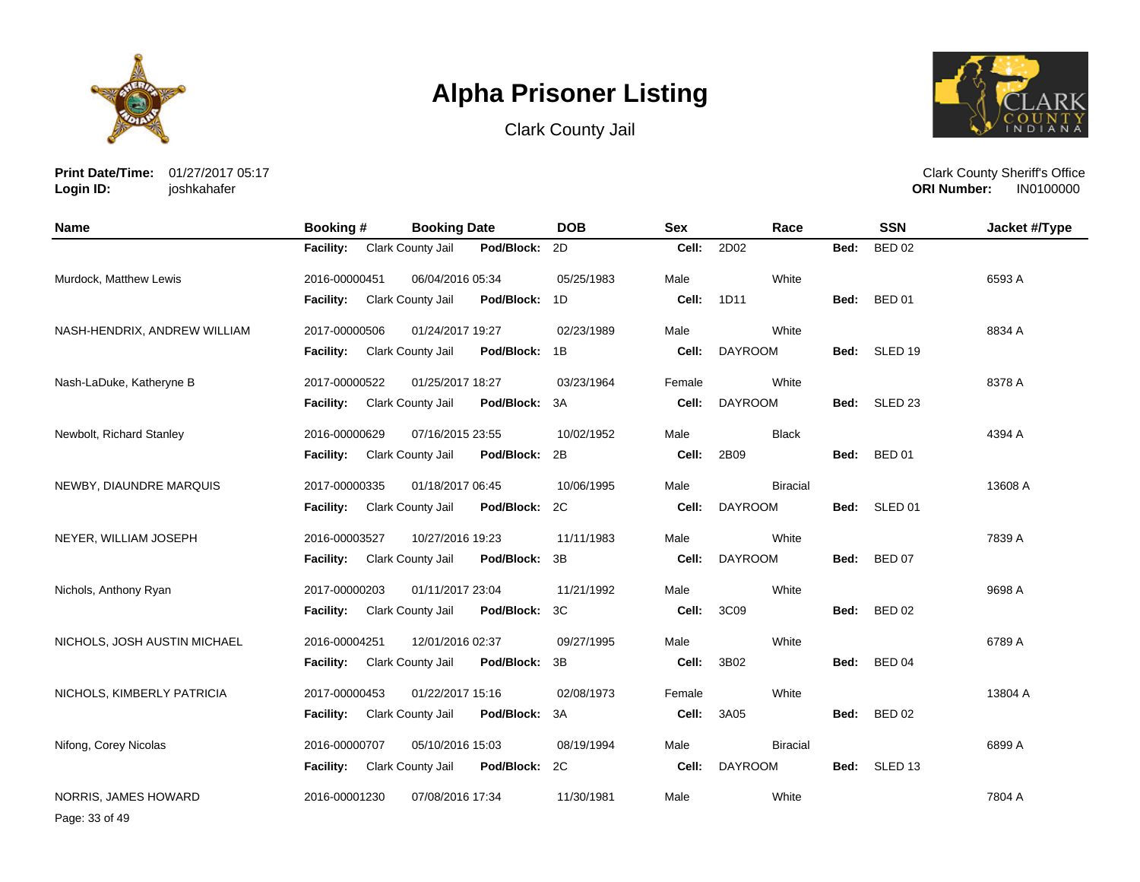





**Print Date/Time:** 01/27/2017 05:17 **Login ID:** joshkahafer

Clark County Sheriff's Office **ORI Number:** 

| <b>Name</b>                  | Booking #        | <b>Booking Date</b> |            | <b>DOB</b> | <b>Sex</b> | Race            |      | <b>SSN</b>         | Jacket #/Type |
|------------------------------|------------------|---------------------|------------|------------|------------|-----------------|------|--------------------|---------------|
|                              | <b>Facility:</b> | Clark County Jail   | Pod/Block: | 2D         | Cell:      | 2D02            | Bed: | <b>BED 02</b>      |               |
| Murdock, Matthew Lewis       | 2016-00000451    | 06/04/2016 05:34    |            | 05/25/1983 | Male       | White           |      |                    | 6593 A        |
|                              | Facility:        | Clark County Jail   | Pod/Block: | 1D         | Cell:      | 1D11            | Bed: | <b>BED 01</b>      |               |
| NASH-HENDRIX, ANDREW WILLIAM | 2017-00000506    | 01/24/2017 19:27    |            | 02/23/1989 | Male       | White           |      |                    | 8834 A        |
|                              | <b>Facility:</b> | Clark County Jail   | Pod/Block: | 1B         | Cell:      | <b>DAYROOM</b>  | Bed: | SLED 19            |               |
| Nash-LaDuke, Katheryne B     | 2017-00000522    | 01/25/2017 18:27    |            | 03/23/1964 | Female     | White           |      |                    | 8378 A        |
|                              | Facility:        | Clark County Jail   | Pod/Block: | 3A         | Cell:      | <b>DAYROOM</b>  |      | Bed: SLED 23       |               |
| Newbolt, Richard Stanley     | 2016-00000629    | 07/16/2015 23:55    |            | 10/02/1952 | Male       | <b>Black</b>    |      |                    | 4394 A        |
|                              | Facility:        | Clark County Jail   | Pod/Block: | 2B         | Cell:      | 2B09            | Bed: | <b>BED 01</b>      |               |
| NEWBY, DIAUNDRE MARQUIS      | 2017-00000335    | 01/18/2017 06:45    |            | 10/06/1995 | Male       | <b>Biracial</b> |      |                    | 13608 A       |
|                              | Facility:        | Clark County Jail   | Pod/Block: | 2C         | Cell:      | <b>DAYROOM</b>  | Bed: | SLED 01            |               |
| NEYER, WILLIAM JOSEPH        | 2016-00003527    | 10/27/2016 19:23    |            | 11/11/1983 | Male       | White           |      |                    | 7839 A        |
|                              | <b>Facility:</b> | Clark County Jail   | Pod/Block: | 3B         | Cell:      | <b>DAYROOM</b>  | Bed: | <b>BED 07</b>      |               |
| Nichols, Anthony Ryan        | 2017-00000203    | 01/11/2017 23:04    |            | 11/21/1992 | Male       | White           |      |                    | 9698 A        |
|                              | Facility:        | Clark County Jail   | Pod/Block: | 3C         | Cell:      | 3C09            | Bed: | <b>BED 02</b>      |               |
| NICHOLS, JOSH AUSTIN MICHAEL | 2016-00004251    | 12/01/2016 02:37    |            | 09/27/1995 | Male       | White           |      |                    | 6789 A        |
|                              | Facility:        | Clark County Jail   | Pod/Block: | 3B         | Cell:      | 3B02            | Bed: | <b>BED 04</b>      |               |
| NICHOLS, KIMBERLY PATRICIA   | 2017-00000453    | 01/22/2017 15:16    |            | 02/08/1973 | Female     | White           |      |                    | 13804 A       |
|                              | <b>Facility:</b> | Clark County Jail   | Pod/Block: | 3A         | Cell:      | 3A05            | Bed: | <b>BED 02</b>      |               |
| Nifong, Corey Nicolas        | 2016-00000707    | 05/10/2016 15:03    |            | 08/19/1994 | Male       | <b>Biracial</b> |      |                    | 6899 A        |
|                              | <b>Facility:</b> | Clark County Jail   | Pod/Block: | 2C         | Cell:      | <b>DAYROOM</b>  | Bed: | SLED <sub>13</sub> |               |
| NORRIS, JAMES HOWARD         | 2016-00001230    | 07/08/2016 17:34    |            | 11/30/1981 | Male       | White           |      |                    | 7804 A        |

Page: 33 of 49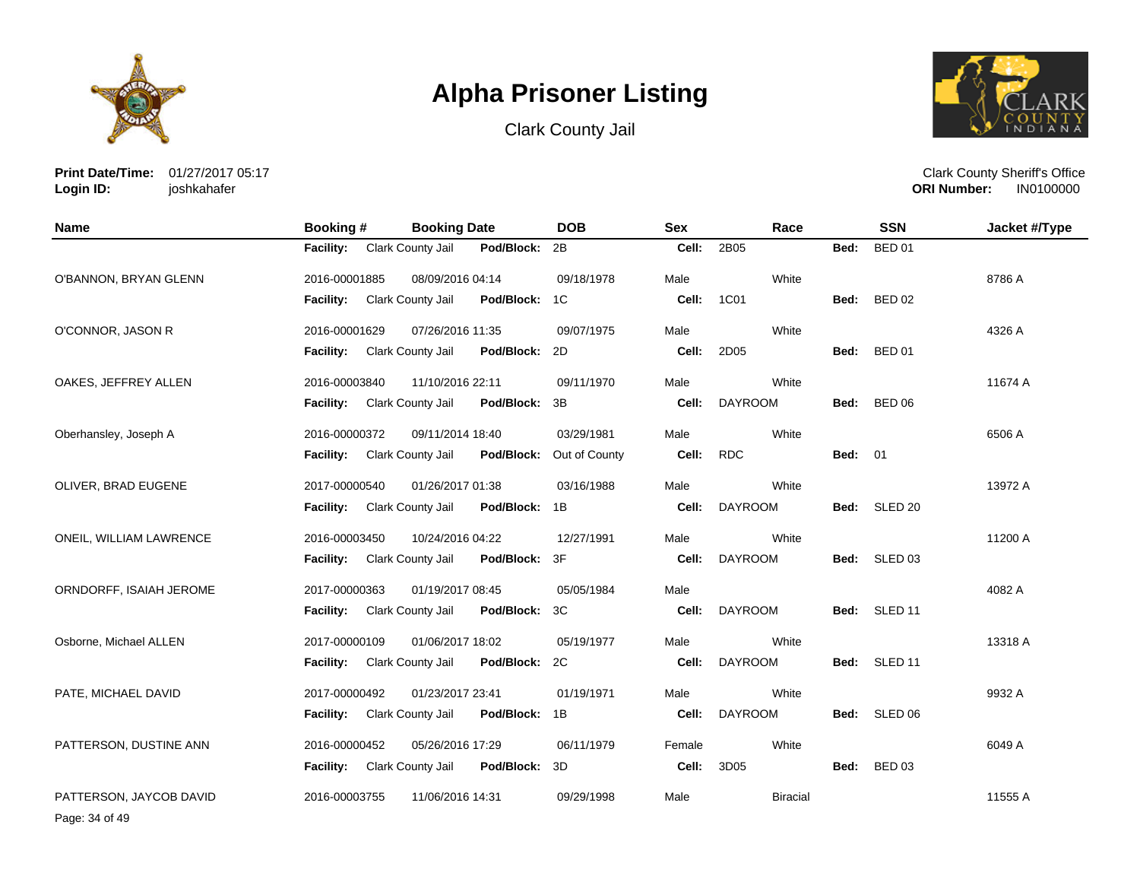





**Print Date/Time:** 01/27/2017 05:17 **Login ID:** joshkahafer

Clark County Sheriff's Office **ORI Number:** 

| Name                    | Booking #        | <b>Booking Date</b>                    | <b>DOB</b>    | <b>Sex</b> | Race            |                | <b>SSN</b>    | Jacket #/Type |
|-------------------------|------------------|----------------------------------------|---------------|------------|-----------------|----------------|---------------|---------------|
|                         | <b>Facility:</b> | Clark County Jail<br>Pod/Block:        | 2B            | Cell:      | 2B05            | Bed:           | <b>BED 01</b> |               |
| O'BANNON, BRYAN GLENN   | 2016-00001885    | 08/09/2016 04:14                       | 09/18/1978    | Male       | White           |                |               | 8786 A        |
|                         | Facility:        | Clark County Jail<br>Pod/Block:        | 1C            | Cell:      | 1C01            | Bed:           | <b>BED 02</b> |               |
| O'CONNOR, JASON R       | 2016-00001629    | 07/26/2016 11:35                       | 09/07/1975    | Male       | White           |                |               | 4326 A        |
|                         | <b>Facility:</b> | Pod/Block:<br>Clark County Jail        | 2D            | Cell:      | 2D05            | Bed:           | <b>BED 01</b> |               |
| OAKES, JEFFREY ALLEN    | 2016-00003840    | 11/10/2016 22:11                       | 09/11/1970    | Male       | White           |                |               | 11674 A       |
|                         | <b>Facility:</b> | Pod/Block:<br><b>Clark County Jail</b> | 3B            | Cell:      | <b>DAYROOM</b>  | Bed:           | <b>BED 06</b> |               |
| Oberhansley, Joseph A   | 2016-00000372    | 09/11/2014 18:40                       | 03/29/1981    | Male       | White           |                |               | 6506 A        |
|                         | <b>Facility:</b> | Clark County Jail<br>Pod/Block:        | Out of County | Cell:      | <b>RDC</b>      | <b>Bed: 01</b> |               |               |
| OLIVER, BRAD EUGENE     | 2017-00000540    | 01/26/2017 01:38                       | 03/16/1988    | Male       | White           |                |               | 13972 A       |
|                         | <b>Facility:</b> | Pod/Block: 1B<br>Clark County Jail     |               | Cell:      | <b>DAYROOM</b>  |                | Bed: SLED 20  |               |
| ONEIL, WILLIAM LAWRENCE | 2016-00003450    | 10/24/2016 04:22                       | 12/27/1991    | Male       | White           |                |               | 11200 A       |
|                         | <b>Facility:</b> | Clark County Jail<br>Pod/Block:        | 3F            | Cell:      | <b>DAYROOM</b>  |                | Bed: SLED 03  |               |
| ORNDORFF, ISAIAH JEROME | 2017-00000363    | 01/19/2017 08:45                       | 05/05/1984    | Male       |                 |                |               | 4082 A        |
|                         | Facility:        | Pod/Block:<br>Clark County Jail        | 3C            | Cell:      | <b>DAYROOM</b>  |                | Bed: SLED 11  |               |
| Osborne, Michael ALLEN  | 2017-00000109    | 01/06/2017 18:02                       | 05/19/1977    | Male       | White           |                |               | 13318 A       |
|                         | <b>Facility:</b> | Clark County Jail<br>Pod/Block:        | 2C            | Cell:      | <b>DAYROOM</b>  |                | Bed: SLED 11  |               |
| PATE, MICHAEL DAVID     | 2017-00000492    | 01/23/2017 23:41                       | 01/19/1971    | Male       | White           |                |               | 9932 A        |
|                         | <b>Facility:</b> | Clark County Jail<br>Pod/Block: 1B     |               | Cell:      | <b>DAYROOM</b>  |                | Bed: SLED 06  |               |
| PATTERSON, DUSTINE ANN  | 2016-00000452    | 05/26/2016 17:29                       | 06/11/1979    | Female     | White           |                |               | 6049 A        |
|                         | <b>Facility:</b> | <b>Clark County Jail</b><br>Pod/Block: | 3D            | Cell:      | 3D05            | Bed:           | <b>BED 03</b> |               |
| PATTERSON, JAYCOB DAVID | 2016-00003755    | 11/06/2016 14:31                       | 09/29/1998    | Male       | <b>Biracial</b> |                |               | 11555 A       |

Page: 34 of 49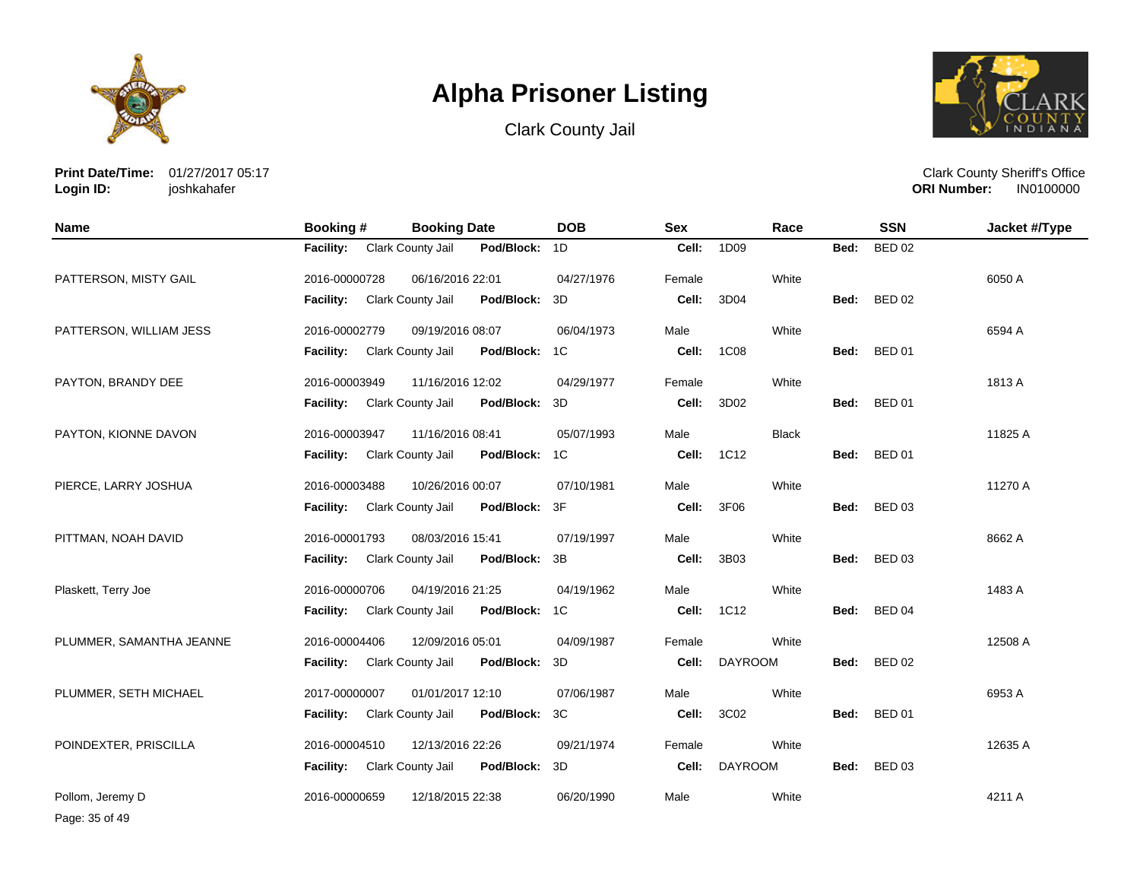





**Print Date/Time:** 01/27/2017 05:17 **Login ID:** joshkahafer

Clark County Sheriff's Office **ORI Number:** 

| <b>Name</b>              | Booking #        | <b>Booking Date</b> |            | <b>DOB</b>     | <b>Sex</b> |                | Race         |      | <b>SSN</b>    | Jacket #/Type |
|--------------------------|------------------|---------------------|------------|----------------|------------|----------------|--------------|------|---------------|---------------|
|                          | <b>Facility:</b> | Clark County Jail   | Pod/Block: | 1D             | Cell:      | 1D09           |              | Bed: | <b>BED 02</b> |               |
| PATTERSON, MISTY GAIL    | 2016-00000728    | 06/16/2016 22:01    |            | 04/27/1976     | Female     |                | White        |      |               | 6050 A        |
|                          | Facility:        | Clark County Jail   | Pod/Block: | 3D             | Cell:      | 3D04           |              | Bed: | <b>BED 02</b> |               |
| PATTERSON, WILLIAM JESS  | 2016-00002779    | 09/19/2016 08:07    |            | 06/04/1973     | Male       |                | White        |      |               | 6594 A        |
|                          | <b>Facility:</b> | Clark County Jail   | Pod/Block: | 1C             | Cell:      | 1C08           |              | Bed: | <b>BED 01</b> |               |
| PAYTON, BRANDY DEE       | 2016-00003949    | 11/16/2016 12:02    |            | 04/29/1977     | Female     |                | White        |      |               | 1813 A        |
|                          | <b>Facility:</b> | Clark County Jail   | Pod/Block: | 3D             | Cell:      | 3D02           |              | Bed: | <b>BED 01</b> |               |
| PAYTON, KIONNE DAVON     | 2016-00003947    | 11/16/2016 08:41    |            | 05/07/1993     | Male       |                | <b>Black</b> |      |               | 11825 A       |
|                          | Facility:        | Clark County Jail   | Pod/Block: | 1 <sup>C</sup> | Cell:      | 1C12           |              | Bed: | <b>BED 01</b> |               |
| PIERCE, LARRY JOSHUA     | 2016-00003488    | 10/26/2016 00:07    |            | 07/10/1981     | Male       |                | White        |      |               | 11270 A       |
|                          | <b>Facility:</b> | Clark County Jail   | Pod/Block: | 3F             | Cell:      | 3F06           |              | Bed: | <b>BED 03</b> |               |
| PITTMAN, NOAH DAVID      | 2016-00001793    | 08/03/2016 15:41    |            | 07/19/1997     | Male       |                | White        |      |               | 8662 A        |
|                          | Facility:        | Clark County Jail   | Pod/Block: | 3B             | Cell:      | 3B03           |              | Bed: | <b>BED 03</b> |               |
| Plaskett, Terry Joe      | 2016-00000706    | 04/19/2016 21:25    |            | 04/19/1962     | Male       |                | White        |      |               | 1483 A        |
|                          | <b>Facility:</b> | Clark County Jail   | Pod/Block: | 1C             | Cell:      | 1C12           |              | Bed: | <b>BED 04</b> |               |
| PLUMMER, SAMANTHA JEANNE | 2016-00004406    | 12/09/2016 05:01    |            | 04/09/1987     | Female     |                | White        |      |               | 12508 A       |
|                          | <b>Facility:</b> | Clark County Jail   | Pod/Block: | 3D             | Cell:      | <b>DAYROOM</b> |              | Bed: | <b>BED 02</b> |               |
| PLUMMER, SETH MICHAEL    | 2017-00000007    | 01/01/2017 12:10    |            | 07/06/1987     | Male       |                | White        |      |               | 6953 A        |
|                          | <b>Facility:</b> | Clark County Jail   | Pod/Block: | 3C             | Cell:      | 3C02           |              | Bed: | <b>BED 01</b> |               |
| POINDEXTER, PRISCILLA    | 2016-00004510    | 12/13/2016 22:26    |            | 09/21/1974     | Female     |                | White        |      |               | 12635 A       |
|                          | <b>Facility:</b> | Clark County Jail   | Pod/Block: | 3D             | Cell:      | <b>DAYROOM</b> |              | Bed: | <b>BED 03</b> |               |
| Pollom, Jeremy D         | 2016-00000659    | 12/18/2015 22:38    |            | 06/20/1990     | Male       |                | White        |      |               | 4211 A        |

Page: 35 of 49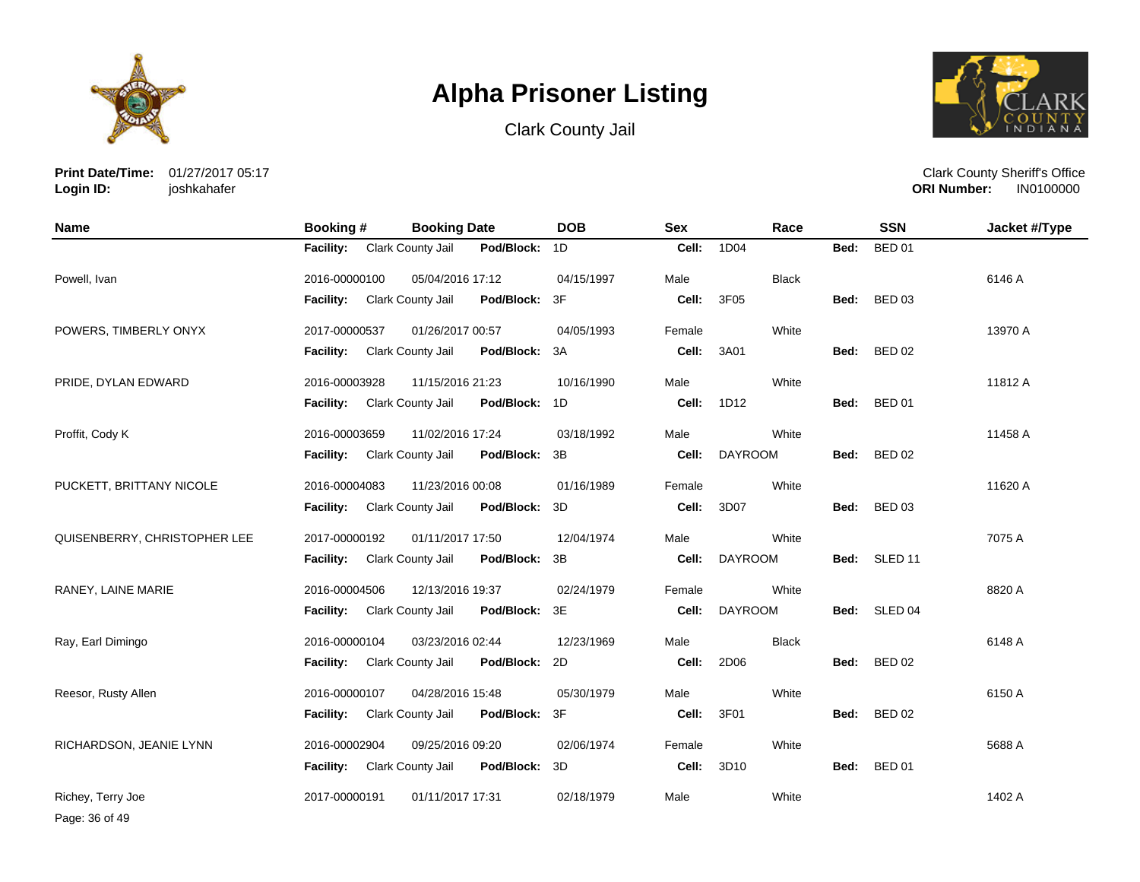

Clark County Jail



**Print Date/Time:** 01/27/2017 05:17 **Login ID:** joshkahafer

Clark County Sheriff's Office **ORI Number:** 

| <b>Name</b>                  | <b>Booking#</b>  | <b>Booking Date</b> |            | <b>DOB</b> | <b>Sex</b> | Race           |      | <b>SSN</b>    | Jacket #/Type |
|------------------------------|------------------|---------------------|------------|------------|------------|----------------|------|---------------|---------------|
|                              | Facility:        | Clark County Jail   | Pod/Block: | 1D         | Cell:      | 1D04           | Bed: | <b>BED 01</b> |               |
| Powell, Ivan                 | 2016-00000100    | 05/04/2016 17:12    |            | 04/15/1997 | Male       | <b>Black</b>   |      |               | 6146 A        |
|                              | <b>Facility:</b> | Clark County Jail   | Pod/Block: | 3F         | Cell:      | 3F05           | Bed: | <b>BED 03</b> |               |
| POWERS, TIMBERLY ONYX        | 2017-00000537    | 01/26/2017 00:57    |            | 04/05/1993 | Female     | White          |      |               | 13970 A       |
|                              | Facility:        | Clark County Jail   | Pod/Block: | 3A         | Cell:      | 3A01           | Bed: | <b>BED 02</b> |               |
| PRIDE, DYLAN EDWARD          | 2016-00003928    | 11/15/2016 21:23    |            | 10/16/1990 | Male       | White          |      |               | 11812 A       |
|                              | <b>Facility:</b> | Clark County Jail   | Pod/Block: | 1D         | Cell:      | 1D12           | Bed: | <b>BED 01</b> |               |
| Proffit, Cody K              | 2016-00003659    | 11/02/2016 17:24    |            | 03/18/1992 | Male       | White          |      |               | 11458 A       |
|                              | <b>Facility:</b> | Clark County Jail   | Pod/Block: | 3B         | Cell:      | <b>DAYROOM</b> | Bed: | <b>BED 02</b> |               |
| PUCKETT, BRITTANY NICOLE     | 2016-00004083    | 11/23/2016 00:08    |            | 01/16/1989 | Female     | White          |      |               | 11620 A       |
|                              | <b>Facility:</b> | Clark County Jail   | Pod/Block: | 3D         | Cell:      | 3D07           | Bed: | <b>BED 03</b> |               |
| QUISENBERRY, CHRISTOPHER LEE | 2017-00000192    | 01/11/2017 17:50    |            | 12/04/1974 | Male       | White          |      |               | 7075 A        |
|                              | <b>Facility:</b> | Clark County Jail   | Pod/Block: | 3B         | Cell:      | <b>DAYROOM</b> |      | Bed: SLED 11  |               |
| RANEY, LAINE MARIE           | 2016-00004506    | 12/13/2016 19:37    |            | 02/24/1979 | Female     | White          |      |               | 8820 A        |
|                              | <b>Facility:</b> | Clark County Jail   | Pod/Block: | 3E         | Cell:      | <b>DAYROOM</b> | Bed: | SLED 04       |               |
| Ray, Earl Dimingo            | 2016-00000104    | 03/23/2016 02:44    |            | 12/23/1969 | Male       | <b>Black</b>   |      |               | 6148 A        |
|                              | <b>Facility:</b> | Clark County Jail   | Pod/Block: | 2D         | Cell:      | 2D06           | Bed: | <b>BED 02</b> |               |
| Reesor, Rusty Allen          | 2016-00000107    | 04/28/2016 15:48    |            | 05/30/1979 | Male       | White          |      |               | 6150 A        |
|                              | <b>Facility:</b> | Clark County Jail   | Pod/Block: | 3F         | Cell:      | 3F01           | Bed: | <b>BED 02</b> |               |
| RICHARDSON, JEANIE LYNN      | 2016-00002904    | 09/25/2016 09:20    |            | 02/06/1974 | Female     | White          |      |               | 5688 A        |
|                              | <b>Facility:</b> | Clark County Jail   | Pod/Block: | 3D         | Cell:      | 3D10           | Bed: | <b>BED 01</b> |               |
| Richey, Terry Joe            | 2017-00000191    | 01/11/2017 17:31    |            | 02/18/1979 | Male       | White          |      |               | 1402 A        |

Page: 36 of 49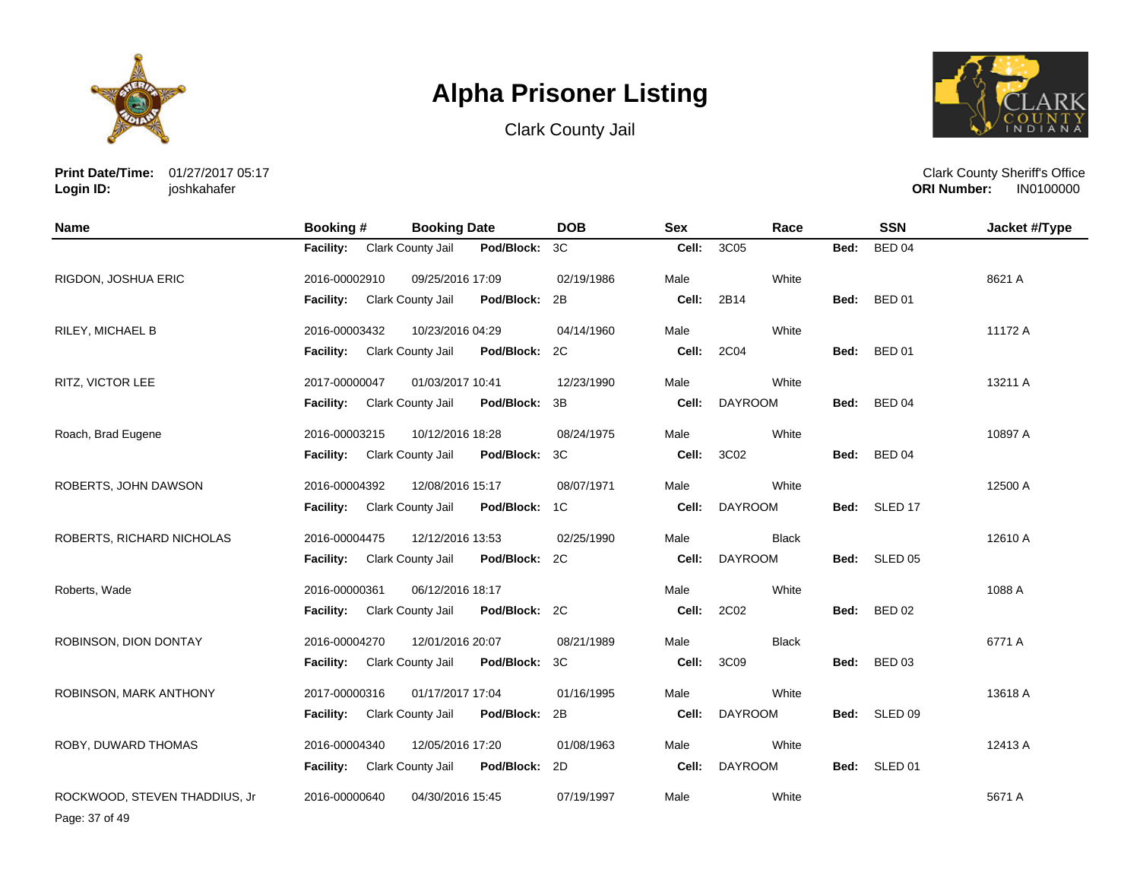





**Print Date/Time:** 01/27/2017 05:17 **Login ID:** joshkahafer

Clark County Sheriff's Office **ORI Number:** 

| <b>Name</b>                   | Booking #        | <b>Booking Date</b> |               | <b>DOB</b> | <b>Sex</b> | Race           |      | <b>SSN</b>    | Jacket #/Type |
|-------------------------------|------------------|---------------------|---------------|------------|------------|----------------|------|---------------|---------------|
|                               | <b>Facility:</b> | Clark County Jail   | Pod/Block:    | 3C         | Cell:      | 3C05           | Bed: | <b>BED 04</b> |               |
| RIGDON, JOSHUA ERIC           | 2016-00002910    | 09/25/2016 17:09    |               | 02/19/1986 | Male       | White          |      |               | 8621 A        |
|                               | <b>Facility:</b> | Clark County Jail   | Pod/Block:    | 2B         | Cell:      | 2B14           | Bed: | <b>BED 01</b> |               |
| <b>RILEY, MICHAEL B</b>       | 2016-00003432    | 10/23/2016 04:29    |               | 04/14/1960 | Male       | White          |      |               | 11172 A       |
|                               | <b>Facility:</b> | Clark County Jail   | Pod/Block:    | 2C         | Cell:      | 2C04           | Bed: | <b>BED 01</b> |               |
| RITZ, VICTOR LEE              | 2017-00000047    | 01/03/2017 10:41    |               | 12/23/1990 | Male       | White          |      |               | 13211 A       |
|                               | <b>Facility:</b> | Clark County Jail   | Pod/Block:    | 3B         | Cell:      | <b>DAYROOM</b> | Bed: | <b>BED 04</b> |               |
| Roach, Brad Eugene            | 2016-00003215    | 10/12/2016 18:28    |               | 08/24/1975 | Male       | White          |      |               | 10897 A       |
|                               | <b>Facility:</b> | Clark County Jail   | Pod/Block:    | 3C         | Cell:      | 3C02           | Bed: | <b>BED 04</b> |               |
| ROBERTS, JOHN DAWSON          | 2016-00004392    | 12/08/2016 15:17    |               | 08/07/1971 | Male       | White          |      |               | 12500 A       |
|                               | <b>Facility:</b> | Clark County Jail   | Pod/Block: 1C |            | Cell:      | <b>DAYROOM</b> | Bed: | SLED 17       |               |
| ROBERTS, RICHARD NICHOLAS     | 2016-00004475    | 12/12/2016 13:53    |               | 02/25/1990 | Male       | <b>Black</b>   |      |               | 12610 A       |
|                               | <b>Facility:</b> | Clark County Jail   | Pod/Block:    | 2C         | Cell:      | <b>DAYROOM</b> |      | Bed: SLED 05  |               |
| Roberts, Wade                 | 2016-00000361    | 06/12/2016 18:17    |               |            | Male       | White          |      |               | 1088 A        |
|                               | <b>Facility:</b> | Clark County Jail   | Pod/Block: 2C |            | Cell:      | 2C02           | Bed: | <b>BED 02</b> |               |
| ROBINSON, DION DONTAY         | 2016-00004270    | 12/01/2016 20:07    |               | 08/21/1989 | Male       | <b>Black</b>   |      |               | 6771 A        |
|                               | <b>Facility:</b> | Clark County Jail   | Pod/Block:    | 3C         | Cell:      | 3C09           | Bed: | <b>BED 03</b> |               |
| ROBINSON, MARK ANTHONY        | 2017-00000316    | 01/17/2017 17:04    |               | 01/16/1995 | Male       | White          |      |               | 13618 A       |
|                               | <b>Facility:</b> | Clark County Jail   | Pod/Block:    | 2B         | Cell:      | <b>DAYROOM</b> | Bed: | SLED 09       |               |
| ROBY, DUWARD THOMAS           | 2016-00004340    | 12/05/2016 17:20    |               | 01/08/1963 | Male       | White          |      |               | 12413 A       |
|                               | <b>Facility:</b> | Clark County Jail   | Pod/Block:    | 2D         | Cell:      | <b>DAYROOM</b> | Bed: | SLED 01       |               |
| ROCKWOOD, STEVEN THADDIUS, Jr | 2016-00000640    | 04/30/2016 15:45    |               | 07/19/1997 | Male       | White          |      |               | 5671 A        |

Page: 37 of 49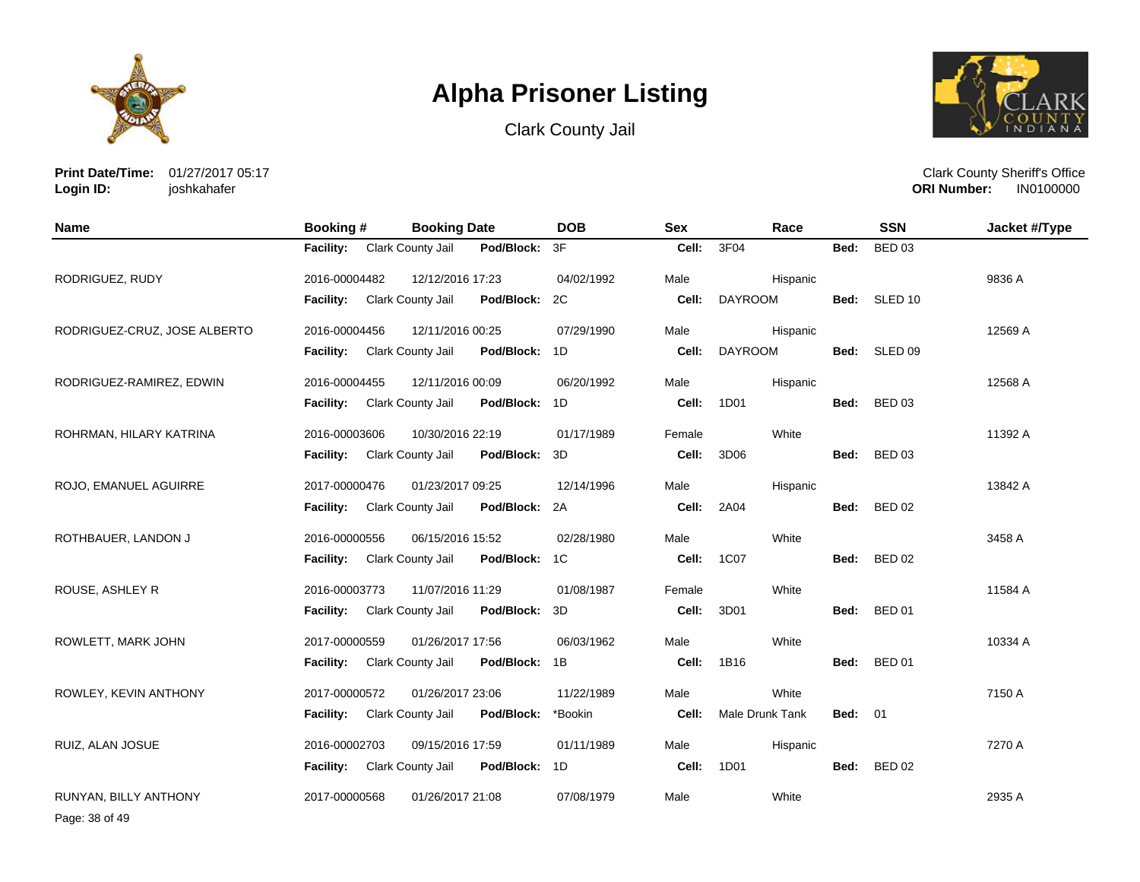

Clark County Jail



**Print Date/Time:** 01/27/2017 05:17 **Login ID:** joshkahafer

Clark County Sheriff's Office **ORI Number:** 

| <b>Name</b>                  | Booking #        | <b>Booking Date</b>      |               | <b>DOB</b> | <b>Sex</b> | Race            |                | <b>SSN</b>    | Jacket #/Type |
|------------------------------|------------------|--------------------------|---------------|------------|------------|-----------------|----------------|---------------|---------------|
|                              | <b>Facility:</b> | Clark County Jail        | Pod/Block:    | 3F         | Cell:      | 3F04            | Bed:           | <b>BED 03</b> |               |
| RODRIGUEZ, RUDY              | 2016-00004482    | 12/12/2016 17:23         |               | 04/02/1992 | Male       | Hispanic        |                |               | 9836 A        |
|                              | Facility:        | Clark County Jail        | Pod/Block:    | 2C         | Cell:      | <b>DAYROOM</b>  |                | Bed: SLED 10  |               |
| RODRIGUEZ-CRUZ, JOSE ALBERTO | 2016-00004456    | 12/11/2016 00:25         |               | 07/29/1990 | Male       | Hispanic        |                |               | 12569 A       |
|                              | <b>Facility:</b> | Clark County Jail        | Pod/Block: 1D |            | Cell:      | <b>DAYROOM</b>  |                | Bed: SLED 09  |               |
| RODRIGUEZ-RAMIREZ, EDWIN     | 2016-00004455    | 12/11/2016 00:09         |               | 06/20/1992 | Male       | Hispanic        |                |               | 12568 A       |
|                              | <b>Facility:</b> | Clark County Jail        | Pod/Block:    | 1D         | Cell:      | 1D01            | Bed:           | <b>BED 03</b> |               |
| ROHRMAN, HILARY KATRINA      | 2016-00003606    | 10/30/2016 22:19         |               | 01/17/1989 | Female     | White           |                |               | 11392 A       |
|                              | <b>Facility:</b> | Clark County Jail        | Pod/Block:    | 3D         | Cell:      | 3D06            | Bed:           | <b>BED 03</b> |               |
| ROJO, EMANUEL AGUIRRE        | 2017-00000476    | 01/23/2017 09:25         |               | 12/14/1996 | Male       | Hispanic        |                |               | 13842 A       |
|                              | <b>Facility:</b> | Clark County Jail        | Pod/Block: 2A |            | Cell:      | 2A04            | Bed:           | <b>BED 02</b> |               |
| ROTHBAUER, LANDON J          | 2016-00000556    | 06/15/2016 15:52         |               | 02/28/1980 | Male       | White           |                |               | 3458 A        |
|                              | <b>Facility:</b> | <b>Clark County Jail</b> | Pod/Block:    | 1C         | Cell:      | 1C07            |                | Bed: BED 02   |               |
| ROUSE, ASHLEY R              | 2016-00003773    | 11/07/2016 11:29         |               | 01/08/1987 | Female     | White           |                |               | 11584 A       |
|                              | <b>Facility:</b> | Clark County Jail        | Pod/Block:    | 3D         | Cell:      | 3D01            | Bed:           | <b>BED 01</b> |               |
| ROWLETT, MARK JOHN           | 2017-00000559    | 01/26/2017 17:56         |               | 06/03/1962 | Male       | White           |                |               | 10334 A       |
|                              | <b>Facility:</b> | Clark County Jail        | Pod/Block: 1B |            | Cell:      | 1B16            | Bed:           | <b>BED 01</b> |               |
| ROWLEY, KEVIN ANTHONY        | 2017-00000572    | 01/26/2017 23:06         |               | 11/22/1989 | Male       | White           |                |               | 7150 A        |
|                              | <b>Facility:</b> | Clark County Jail        | Pod/Block:    | *Bookin    | Cell:      | Male Drunk Tank | <b>Bed: 01</b> |               |               |
| RUIZ, ALAN JOSUE             | 2016-00002703    | 09/15/2016 17:59         |               | 01/11/1989 | Male       | Hispanic        |                |               | 7270 A        |
|                              | <b>Facility:</b> | Clark County Jail        | Pod/Block: 1D |            | Cell:      | 1D01            | Bed:           | <b>BED 02</b> |               |
| <b>RUNYAN, BILLY ANTHONY</b> | 2017-00000568    | 01/26/2017 21:08         |               | 07/08/1979 | Male       | White           |                |               | 2935 A        |

Page: 38 of 49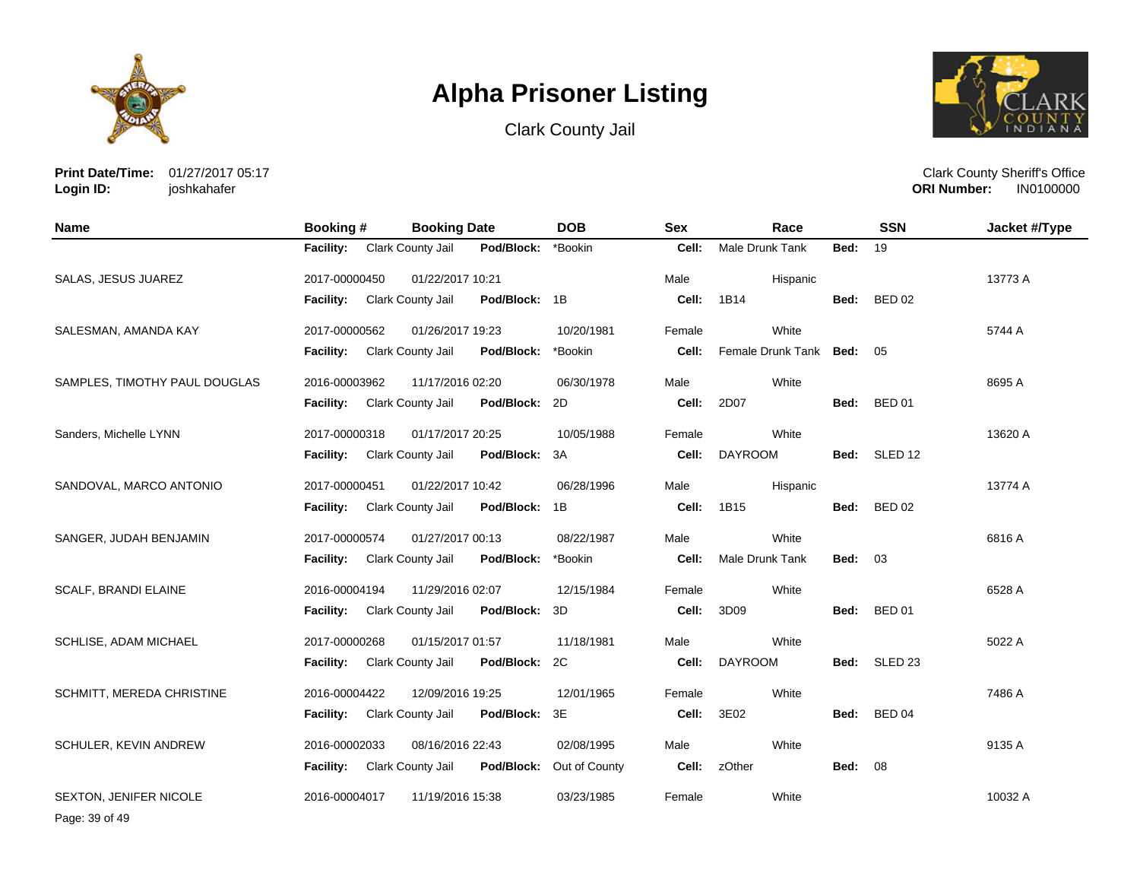

Clark County Jail



**Print Date/Time:** 01/27/2017 05:17 **Login ID:** joshkahafer

Clark County Sheriff's Office **ORI Number:** 

| <b>Name</b>                   | Booking #        | <b>Booking Date</b> |               | <b>DOB</b>    | <b>Sex</b> | Race                      |                | <b>SSN</b>         | Jacket #/Type |
|-------------------------------|------------------|---------------------|---------------|---------------|------------|---------------------------|----------------|--------------------|---------------|
|                               | <b>Facility:</b> | Clark County Jail   | Pod/Block:    | *Bookin       | Cell:      | Male Drunk Tank           | Bed:           | 19                 |               |
| <b>SALAS, JESUS JUAREZ</b>    | 2017-00000450    | 01/22/2017 10:21    |               |               | Male       | Hispanic                  |                |                    | 13773 A       |
|                               | Facility:        | Clark County Jail   | Pod/Block: 1B |               | Cell:      | 1B14                      | Bed:           | <b>BED 02</b>      |               |
| SALESMAN, AMANDA KAY          | 2017-00000562    | 01/26/2017 19:23    |               | 10/20/1981    | Female     | White                     |                |                    | 5744 A        |
|                               | Facility:        | Clark County Jail   | Pod/Block:    | *Bookin       | Cell:      | Female Drunk Tank Bed: 05 |                |                    |               |
| SAMPLES, TIMOTHY PAUL DOUGLAS | 2016-00003962    | 11/17/2016 02:20    |               | 06/30/1978    | Male       | White                     |                |                    | 8695 A        |
|                               | Facility:        | Clark County Jail   | Pod/Block:    | 2D            | Cell:      | 2D07                      | Bed:           | <b>BED 01</b>      |               |
| Sanders, Michelle LYNN        | 2017-00000318    | 01/17/2017 20:25    |               | 10/05/1988    | Female     | White                     |                |                    | 13620 A       |
|                               | <b>Facility:</b> | Clark County Jail   | Pod/Block:    | 3A            | Cell:      | <b>DAYROOM</b>            | Bed:           | SLED 12            |               |
| SANDOVAL, MARCO ANTONIO       | 2017-00000451    | 01/22/2017 10:42    |               | 06/28/1996    | Male       | Hispanic                  |                |                    | 13774 A       |
|                               | <b>Facility:</b> | Clark County Jail   | Pod/Block: 1B |               | Cell:      | 1B15                      | Bed:           | <b>BED 02</b>      |               |
| SANGER, JUDAH BENJAMIN        | 2017-00000574    | 01/27/2017 00:13    |               | 08/22/1987    | Male       | White                     |                |                    | 6816 A        |
|                               | <b>Facility:</b> | Clark County Jail   | Pod/Block:    | *Bookin       | Cell:      | Male Drunk Tank           | <b>Bed: 03</b> |                    |               |
| SCALF, BRANDI ELAINE          | 2016-00004194    | 11/29/2016 02:07    |               | 12/15/1984    | Female     | White                     |                |                    | 6528 A        |
|                               | <b>Facility:</b> | Clark County Jail   | Pod/Block:    | 3D            | Cell:      | 3D09                      | Bed:           | <b>BED 01</b>      |               |
| SCHLISE, ADAM MICHAEL         | 2017-00000268    | 01/15/2017 01:57    |               | 11/18/1981    | Male       | White                     |                |                    | 5022 A        |
|                               | Facility:        | Clark County Jail   | Pod/Block:    | 2C            | Cell:      | <b>DAYROOM</b>            | Bed:           | SLED <sub>23</sub> |               |
| SCHMITT, MEREDA CHRISTINE     | 2016-00004422    | 12/09/2016 19:25    |               | 12/01/1965    | Female     | White                     |                |                    | 7486 A        |
|                               | Facility:        | Clark County Jail   | Pod/Block:    | 3E            | Cell:      | 3E02                      | Bed:           | <b>BED 04</b>      |               |
| SCHULER, KEVIN ANDREW         | 2016-00002033    | 08/16/2016 22:43    |               | 02/08/1995    | Male       | White                     |                |                    | 9135 A        |
|                               | <b>Facility:</b> | Clark County Jail   | Pod/Block:    | Out of County | Cell:      | zOther                    | <b>Bed: 08</b> |                    |               |
| <b>SEXTON, JENIFER NICOLE</b> | 2016-00004017    | 11/19/2016 15:38    |               | 03/23/1985    | Female     | White                     |                |                    | 10032 A       |

Page: 39 of 49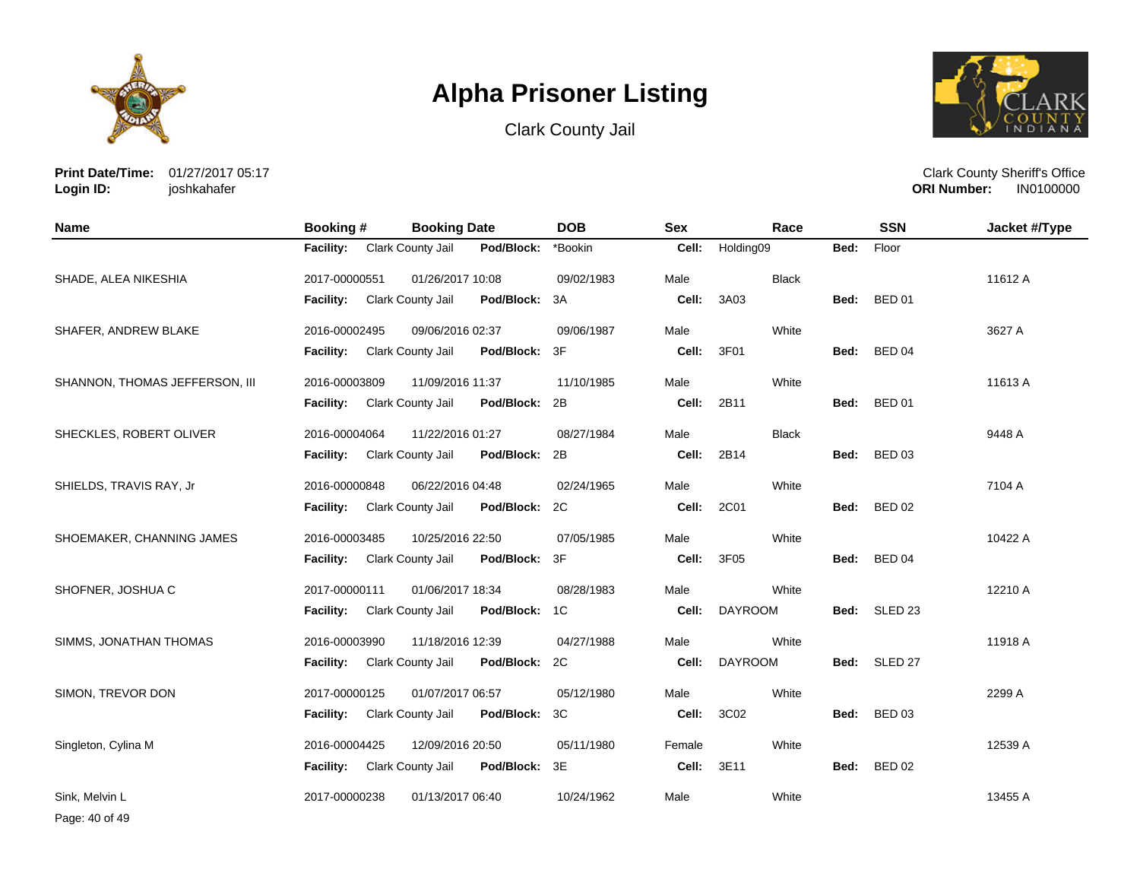





**Print Date/Time:** 01/27/2017 05:17 **Login ID:** joshkahafer

Clark County Sheriff's Office **ORI Number:** 

| Name                           | Booking #        | <b>Booking Date</b>      |               | <b>DOB</b> | <b>Sex</b> | Race           |      | <b>SSN</b>         | Jacket #/Type |
|--------------------------------|------------------|--------------------------|---------------|------------|------------|----------------|------|--------------------|---------------|
|                                | <b>Facility:</b> | Clark County Jail        | Pod/Block:    | *Bookin    | Cell:      | Holding09      | Bed: | Floor              |               |
| SHADE, ALEA NIKESHIA           | 2017-00000551    | 01/26/2017 10:08         |               | 09/02/1983 | Male       | <b>Black</b>   |      |                    | 11612 A       |
|                                | Facility:        | Clark County Jail        | Pod/Block:    | 3A         | Cell:      | 3A03           | Bed: | <b>BED 01</b>      |               |
| SHAFER, ANDREW BLAKE           | 2016-00002495    | 09/06/2016 02:37         |               | 09/06/1987 | Male       | White          |      |                    | 3627 A        |
|                                | <b>Facility:</b> | Clark County Jail        | Pod/Block:    | 3F         | Cell:      | 3F01           | Bed: | <b>BED 04</b>      |               |
| SHANNON, THOMAS JEFFERSON, III | 2016-00003809    | 11/09/2016 11:37         |               | 11/10/1985 | Male       | White          |      |                    | 11613 A       |
|                                | <b>Facility:</b> | <b>Clark County Jail</b> | Pod/Block:    | 2B         | Cell:      | 2B11           | Bed: | <b>BED 01</b>      |               |
| SHECKLES, ROBERT OLIVER        | 2016-00004064    | 11/22/2016 01:27         |               | 08/27/1984 | Male       | <b>Black</b>   |      |                    | 9448 A        |
|                                | <b>Facility:</b> | Clark County Jail        | Pod/Block:    | 2B         | Cell:      | 2B14           | Bed: | <b>BED 03</b>      |               |
| SHIELDS, TRAVIS RAY, Jr        | 2016-00000848    | 06/22/2016 04:48         |               | 02/24/1965 | Male       | White          |      |                    | 7104 A        |
|                                | <b>Facility:</b> | Clark County Jail        | Pod/Block: 2C |            | Cell:      | 2C01           | Bed: | <b>BED 02</b>      |               |
| SHOEMAKER, CHANNING JAMES      | 2016-00003485    | 10/25/2016 22:50         |               | 07/05/1985 | Male       | White          |      |                    | 10422 A       |
|                                | <b>Facility:</b> | Clark County Jail        | Pod/Block:    | 3F         | Cell:      | 3F05           |      | Bed: BED 04        |               |
| SHOFNER, JOSHUA C              | 2017-00000111    | 01/06/2017 18:34         |               | 08/28/1983 | Male       | White          |      |                    | 12210 A       |
|                                | <b>Facility:</b> | Clark County Jail        | Pod/Block:    | 1C         | Cell:      | <b>DAYROOM</b> |      | Bed: SLED 23       |               |
| SIMMS, JONATHAN THOMAS         | 2016-00003990    | 11/18/2016 12:39         |               | 04/27/1988 | Male       | White          |      |                    | 11918 A       |
|                                | <b>Facility:</b> | Clark County Jail        | Pod/Block:    | 2C         | Cell:      | <b>DAYROOM</b> | Bed: | SLED <sub>27</sub> |               |
| SIMON, TREVOR DON              | 2017-00000125    | 01/07/2017 06:57         |               | 05/12/1980 | Male       | White          |      |                    | 2299 A        |
|                                | <b>Facility:</b> | Clark County Jail        | Pod/Block:    | 3C         | Cell:      | 3C02           | Bed: | <b>BED 03</b>      |               |
| Singleton, Cylina M            | 2016-00004425    | 12/09/2016 20:50         |               | 05/11/1980 | Female     | White          |      |                    | 12539 A       |
|                                | <b>Facility:</b> | Clark County Jail        | Pod/Block:    | 3E         | Cell:      | 3E11           | Bed: | <b>BED 02</b>      |               |
| Sink. Melvin L                 | 2017-00000238    | 01/13/2017 06:40         |               | 10/24/1962 | Male       | White          |      |                    | 13455 A       |

Page: 40 of 49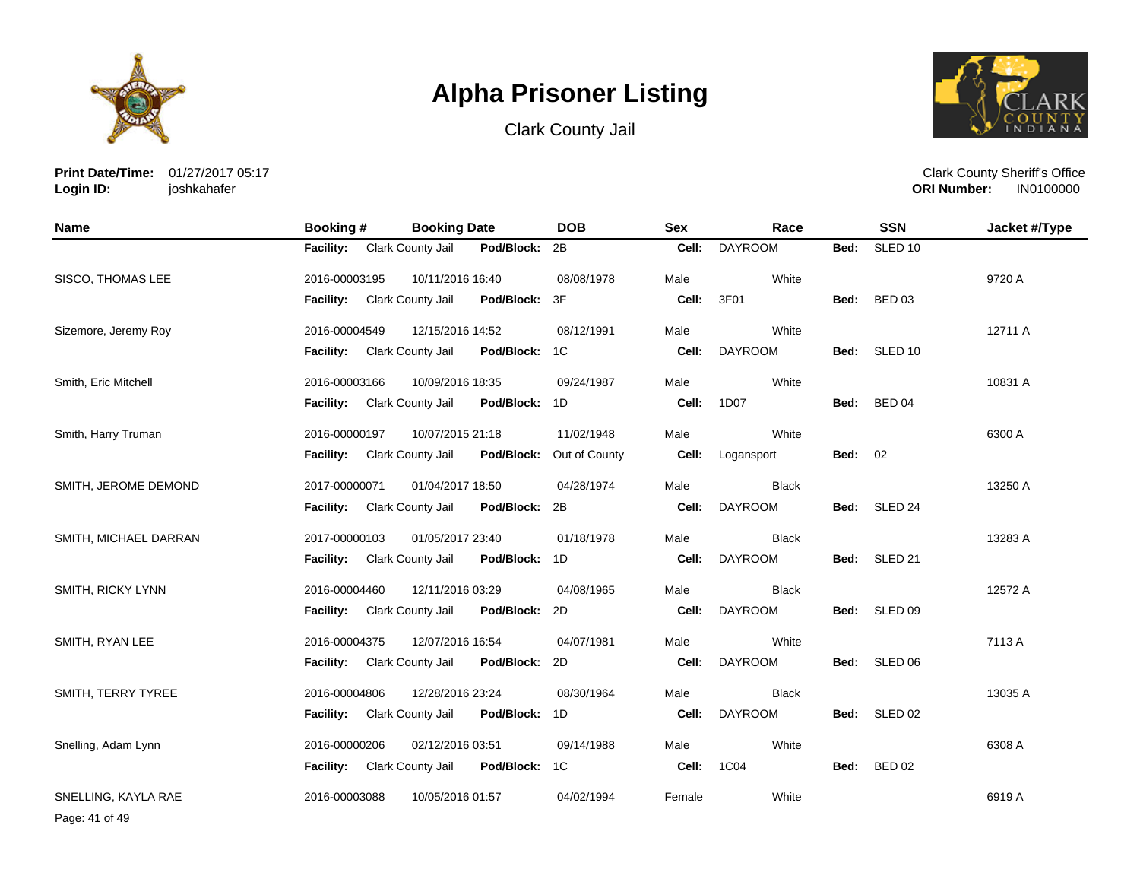





**Print Date/Time:** 01/27/2017 05:17 **Login ID:** joshkahafer

Clark County Sheriff's Office **ORI Number:** 

| <b>Name</b>           | <b>Booking#</b>  | <b>Booking Date</b> |               | <b>DOB</b>    | <b>Sex</b> | Race           |                | <b>SSN</b>         | Jacket #/Type |
|-----------------------|------------------|---------------------|---------------|---------------|------------|----------------|----------------|--------------------|---------------|
|                       | <b>Facility:</b> | Clark County Jail   | Pod/Block:    | 2B            | Cell:      | <b>DAYROOM</b> | Bed:           | SLED <sub>10</sub> |               |
| SISCO, THOMAS LEE     | 2016-00003195    | 10/11/2016 16:40    |               | 08/08/1978    | Male       | White          |                |                    | 9720 A        |
|                       | <b>Facility:</b> | Clark County Jail   | Pod/Block:    | 3F            | Cell:      | 3F01           | Bed:           | BED 03             |               |
| Sizemore, Jeremy Roy  | 2016-00004549    | 12/15/2016 14:52    |               | 08/12/1991    | Male       | White          |                |                    | 12711 A       |
|                       | <b>Facility:</b> | Clark County Jail   | Pod/Block:    | 1C            | Cell:      | <b>DAYROOM</b> | Bed:           | SLED 10            |               |
| Smith, Eric Mitchell  | 2016-00003166    | 10/09/2016 18:35    |               | 09/24/1987    | Male       | White          |                |                    | 10831 A       |
|                       | <b>Facility:</b> | Clark County Jail   | Pod/Block:    | 1D            | Cell:      | 1D07           |                | Bed: BED 04        |               |
| Smith, Harry Truman   | 2016-00000197    | 10/07/2015 21:18    |               | 11/02/1948    | Male       | White          |                |                    | 6300 A        |
|                       | <b>Facility:</b> | Clark County Jail   | Pod/Block:    | Out of County | Cell:      | Logansport     | <b>Bed: 02</b> |                    |               |
| SMITH, JEROME DEMOND  | 2017-00000071    | 01/04/2017 18:50    |               | 04/28/1974    | Male       | <b>Black</b>   |                |                    | 13250 A       |
|                       | <b>Facility:</b> | Clark County Jail   | Pod/Block: 2B |               | Cell:      | <b>DAYROOM</b> |                | Bed: SLED 24       |               |
| SMITH, MICHAEL DARRAN | 2017-00000103    | 01/05/2017 23:40    |               | 01/18/1978    | Male       | <b>Black</b>   |                |                    | 13283 A       |
|                       | <b>Facility:</b> | Clark County Jail   | Pod/Block:    | 1D            | Cell:      | <b>DAYROOM</b> |                | Bed: SLED 21       |               |
| SMITH, RICKY LYNN     | 2016-00004460    | 12/11/2016 03:29    |               | 04/08/1965    | Male       | <b>Black</b>   |                |                    | 12572 A       |
|                       | <b>Facility:</b> | Clark County Jail   | Pod/Block:    | 2D            | Cell:      | <b>DAYROOM</b> | Bed:           | SLED 09            |               |
| SMITH, RYAN LEE       | 2016-00004375    | 12/07/2016 16:54    |               | 04/07/1981    | Male       | White          |                |                    | 7113 A        |
|                       | <b>Facility:</b> | Clark County Jail   | Pod/Block: 2D |               | Cell:      | <b>DAYROOM</b> | Bed:           | SLED 06            |               |
| SMITH, TERRY TYREE    | 2016-00004806    | 12/28/2016 23:24    |               | 08/30/1964    | Male       | <b>Black</b>   |                |                    | 13035 A       |
|                       | <b>Facility:</b> | Clark County Jail   | Pod/Block: 1D |               | Cell:      | <b>DAYROOM</b> |                | Bed: SLED 02       |               |
| Snelling, Adam Lynn   | 2016-00000206    | 02/12/2016 03:51    |               | 09/14/1988    | Male       | White          |                |                    | 6308 A        |
|                       | <b>Facility:</b> | Clark County Jail   | Pod/Block: 1C |               | Cell:      | 1C04           | Bed:           | <b>BED 02</b>      |               |
| SNELLING, KAYLA RAE   | 2016-00003088    | 10/05/2016 01:57    |               | 04/02/1994    | Female     | White          |                |                    | 6919 A        |

Page: 41 of 49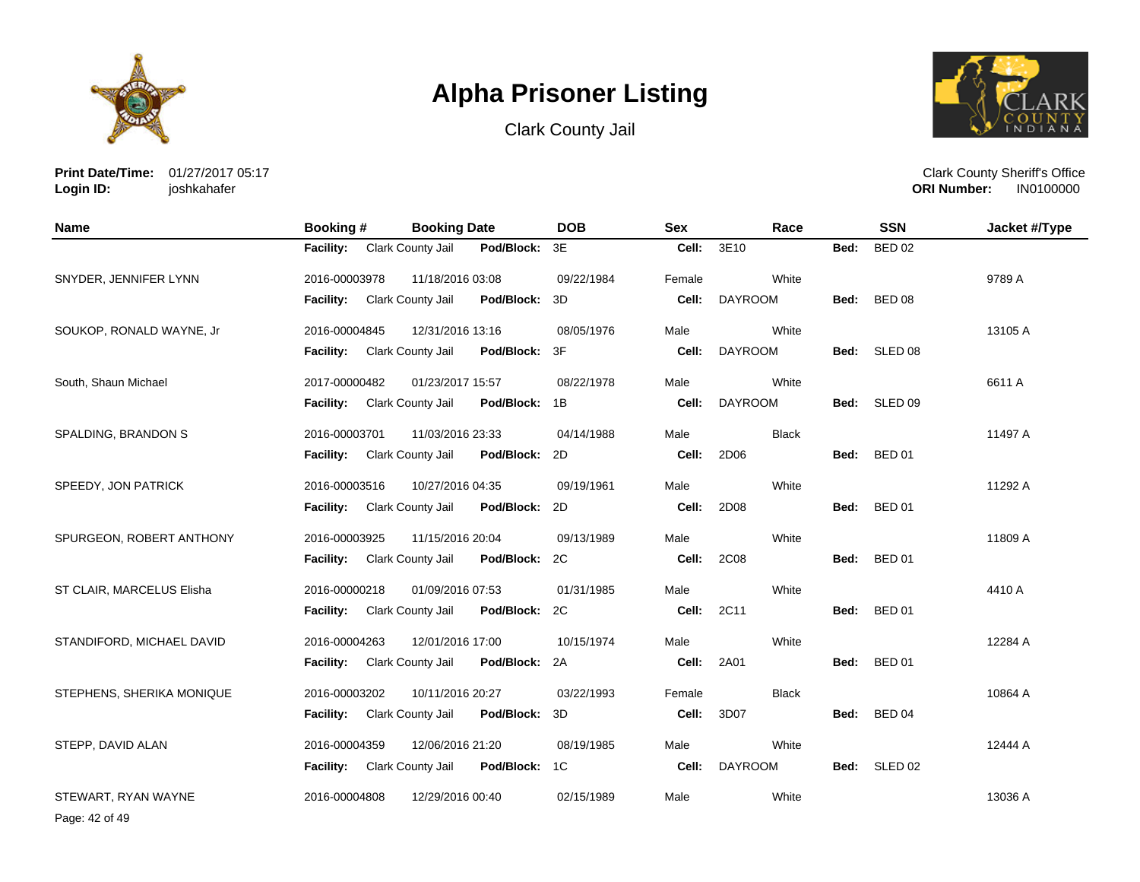





**Print Date/Time:** 01/27/2017 05:17 **Login ID:** joshkahafer

Clark County Sheriff's Office **ORI Number:** 

| <b>Name</b>               | Booking #        | <b>Booking Date</b> |               | <b>DOB</b> | <b>Sex</b> | Race           |      | <b>SSN</b>    | Jacket #/Type |
|---------------------------|------------------|---------------------|---------------|------------|------------|----------------|------|---------------|---------------|
|                           | <b>Facility:</b> | Clark County Jail   | Pod/Block:    | 3E         | Cell:      | 3E10           | Bed: | <b>BED 02</b> |               |
| SNYDER, JENNIFER LYNN     | 2016-00003978    | 11/18/2016 03:08    |               | 09/22/1984 | Female     | White          |      |               | 9789 A        |
|                           | <b>Facility:</b> | Clark County Jail   | Pod/Block:    | 3D         | Cell:      | <b>DAYROOM</b> | Bed: | <b>BED 08</b> |               |
| SOUKOP, RONALD WAYNE, Jr  | 2016-00004845    | 12/31/2016 13:16    |               | 08/05/1976 | Male       | White          |      |               | 13105 A       |
|                           | <b>Facility:</b> | Clark County Jail   | Pod/Block:    | 3F         | Cell:      | <b>DAYROOM</b> |      | Bed: SLED 08  |               |
| South, Shaun Michael      | 2017-00000482    | 01/23/2017 15:57    |               | 08/22/1978 | Male       | White          |      |               | 6611 A        |
|                           | <b>Facility:</b> | Clark County Jail   | Pod/Block:    | 1B         | Cell:      | <b>DAYROOM</b> |      | Bed: SLED 09  |               |
| SPALDING, BRANDON S       | 2016-00003701    | 11/03/2016 23:33    |               | 04/14/1988 | Male       | <b>Black</b>   |      |               | 11497 A       |
|                           | <b>Facility:</b> | Clark County Jail   | Pod/Block:    | 2D         | Cell:      | 2D06           | Bed: | <b>BED 01</b> |               |
| SPEEDY, JON PATRICK       | 2016-00003516    | 10/27/2016 04:35    |               | 09/19/1961 | Male       | White          |      |               | 11292 A       |
|                           | <b>Facility:</b> | Clark County Jail   | Pod/Block:    | 2D         | Cell:      | 2D08           | Bed: | <b>BED 01</b> |               |
| SPURGEON, ROBERT ANTHONY  | 2016-00003925    | 11/15/2016 20:04    |               | 09/13/1989 | Male       | White          |      |               | 11809 A       |
|                           | Facility:        | Clark County Jail   | Pod/Block:    | 2C         | Cell:      | 2C08           |      | Bed: BED 01   |               |
| ST CLAIR, MARCELUS Elisha | 2016-00000218    | 01/09/2016 07:53    |               | 01/31/1985 | Male       | White          |      |               | 4410 A        |
|                           | <b>Facility:</b> | Clark County Jail   | Pod/Block: 2C |            | Cell:      | 2C11           | Bed: | <b>BED 01</b> |               |
| STANDIFORD, MICHAEL DAVID | 2016-00004263    | 12/01/2016 17:00    |               | 10/15/1974 | Male       | White          |      |               | 12284 A       |
|                           | Facility:        | Clark County Jail   | Pod/Block:    | 2A         | Cell:      | 2A01           | Bed: | <b>BED 01</b> |               |
| STEPHENS, SHERIKA MONIQUE | 2016-00003202    | 10/11/2016 20:27    |               | 03/22/1993 | Female     | <b>Black</b>   |      |               | 10864 A       |
|                           | <b>Facility:</b> | Clark County Jail   | Pod/Block:    | 3D         | Cell:      | 3D07           | Bed: | <b>BED 04</b> |               |
| STEPP, DAVID ALAN         | 2016-00004359    | 12/06/2016 21:20    |               | 08/19/1985 | Male       | White          |      |               | 12444 A       |
|                           | <b>Facility:</b> | Clark County Jail   | Pod/Block:    | 1C         | Cell:      | <b>DAYROOM</b> | Bed: | SLED 02       |               |
| STEWART, RYAN WAYNE       | 2016-00004808    | 12/29/2016 00:40    |               | 02/15/1989 | Male       | White          |      |               | 13036 A       |

Page: 42 of 49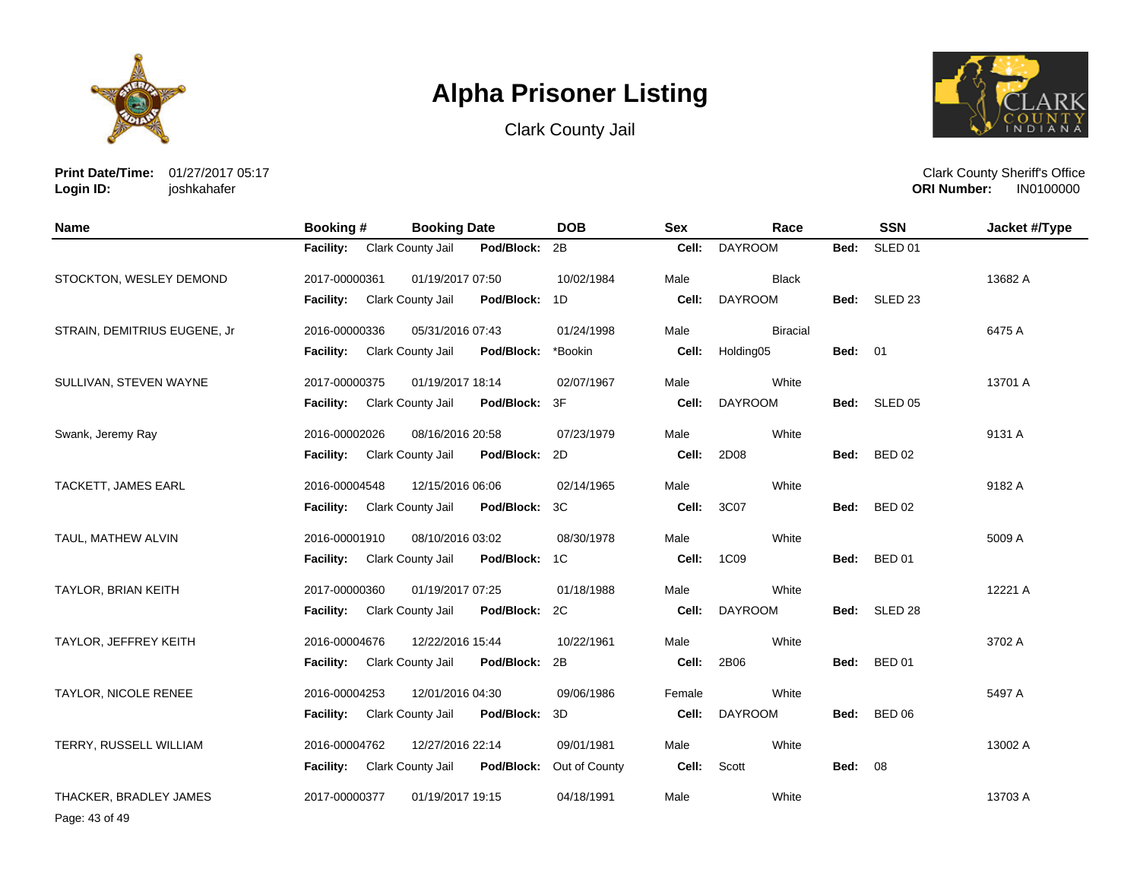





**Print Date/Time:** 01/27/2017 05:17 **Login ID:** joshkahafer

Clark County Sheriff's Office **ORI Number:** 

| Name                         | <b>Booking #</b>            | <b>Booking Date</b> |            | <b>DOB</b>               | <b>Sex</b> | Race            |                | <b>SSN</b>         | Jacket #/Type |
|------------------------------|-----------------------------|---------------------|------------|--------------------------|------------|-----------------|----------------|--------------------|---------------|
|                              | <b>Facility:</b>            | Clark County Jail   | Pod/Block: | 2B                       | Cell:      | <b>DAYROOM</b>  | Bed:           | SLED <sub>01</sub> |               |
| STOCKTON, WESLEY DEMOND      | 2017-00000361               | 01/19/2017 07:50    |            | 10/02/1984               | Male       | <b>Black</b>    |                |                    | 13682 A       |
|                              | <b>Facility:</b>            | Clark County Jail   | Pod/Block: | 1D                       | Cell:      | <b>DAYROOM</b>  |                | Bed: SLED 23       |               |
| STRAIN, DEMITRIUS EUGENE, Jr | 2016-00000336               | 05/31/2016 07:43    |            | 01/24/1998               | Male       | <b>Biracial</b> |                |                    | 6475 A        |
|                              | <b>Facility:</b>            | Clark County Jail   | Pod/Block: | *Bookin                  | Cell:      | Holding05       | <b>Bed: 01</b> |                    |               |
| SULLIVAN, STEVEN WAYNE       | 2017-00000375               | 01/19/2017 18:14    |            | 02/07/1967               | Male       | White           |                |                    | 13701 A       |
|                              | Facility: Clark County Jail |                     | Pod/Block: | 3F                       | Cell:      | <b>DAYROOM</b>  |                | Bed: SLED 05       |               |
| Swank, Jeremy Ray            | 2016-00002026               | 08/16/2016 20:58    |            | 07/23/1979               | Male       | White           |                |                    | 9131 A        |
|                              | <b>Facility:</b>            | Clark County Jail   | Pod/Block: | 2D                       | Cell:      | 2D08            | Bed:           | <b>BED 02</b>      |               |
| TACKETT, JAMES EARL          | 2016-00004548               | 12/15/2016 06:06    |            | 02/14/1965               | Male       | White           |                |                    | 9182 A        |
|                              | <b>Facility:</b>            | Clark County Jail   | Pod/Block: | 3C                       | Cell:      | 3C07            | Bed:           | <b>BED 02</b>      |               |
| TAUL, MATHEW ALVIN           | 2016-00001910               | 08/10/2016 03:02    |            | 08/30/1978               | Male       | White           |                |                    | 5009 A        |
|                              | <b>Facility:</b>            | Clark County Jail   | Pod/Block: | 1C                       | Cell:      | 1C09            |                | Bed: BED 01        |               |
| TAYLOR, BRIAN KEITH          | 2017-00000360               | 01/19/2017 07:25    |            | 01/18/1988               | Male       | White           |                |                    | 12221 A       |
|                              | <b>Facility:</b>            | Clark County Jail   | Pod/Block: | 2C                       | Cell:      | <b>DAYROOM</b>  |                | Bed: SLED 28       |               |
| TAYLOR, JEFFREY KEITH        | 2016-00004676               | 12/22/2016 15:44    |            | 10/22/1961               | Male       | White           |                |                    | 3702 A        |
|                              | <b>Facility:</b>            | Clark County Jail   | Pod/Block: | 2B                       | Cell:      | 2B06            | Bed:           | <b>BED 01</b>      |               |
| TAYLOR, NICOLE RENEE         | 2016-00004253               | 12/01/2016 04:30    |            | 09/06/1986               | Female     | White           |                |                    | 5497 A        |
|                              | <b>Facility:</b>            | Clark County Jail   | Pod/Block: | 3D                       | Cell:      | <b>DAYROOM</b>  |                | Bed: BED 06        |               |
| TERRY, RUSSELL WILLIAM       | 2016-00004762               | 12/27/2016 22:14    |            | 09/01/1981               | Male       | White           |                |                    | 13002 A       |
|                              | <b>Facility:</b>            | Clark County Jail   |            | Pod/Block: Out of County | Cell:      | Scott           | <b>Bed: 08</b> |                    |               |
| THACKER, BRADLEY JAMES       | 2017-00000377               | 01/19/2017 19:15    |            | 04/18/1991               | Male       | White           |                |                    | 13703 A       |

Page: 43 of 49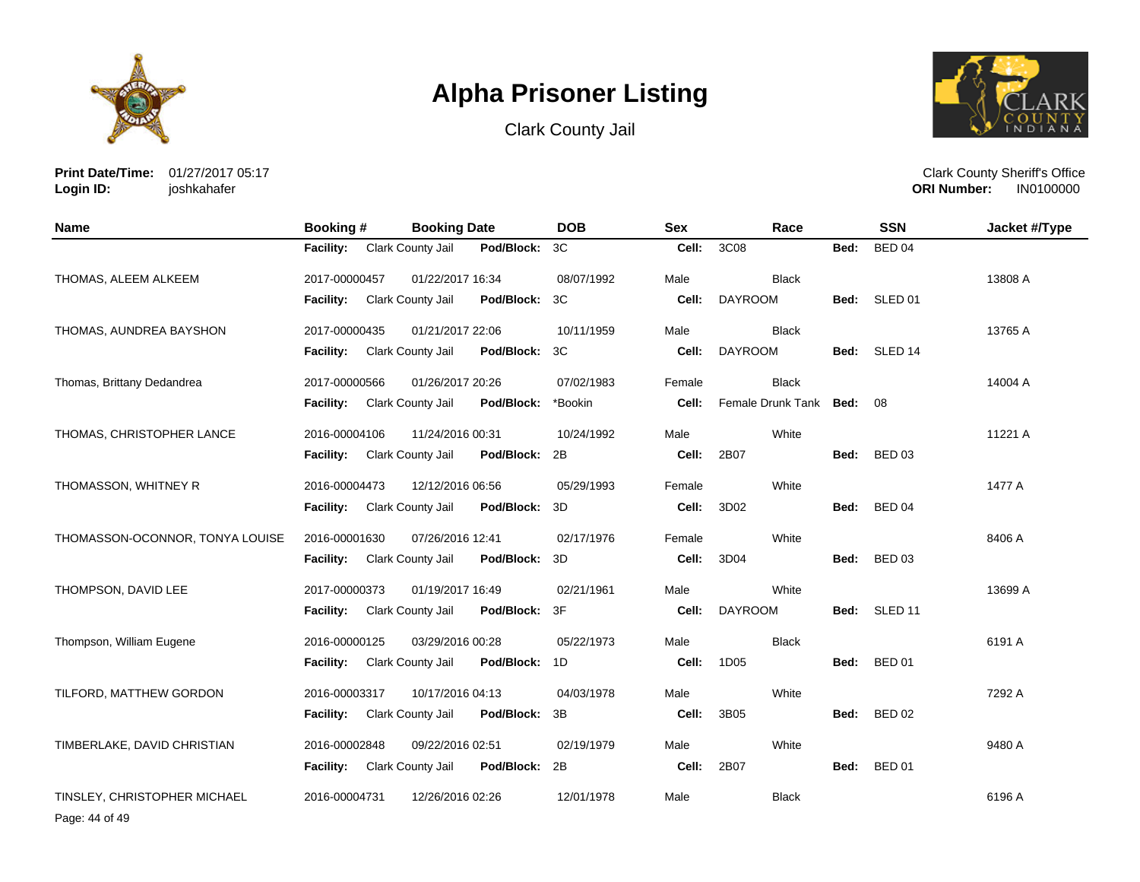





**Print Date/Time:** 01/27/2017 05:17 **Login ID:** joshkahafer

| <b>Name</b>                     | Booking #        | <b>Booking Date</b>                    | <b>DOB</b> | <b>Sex</b> | Race                   |      | <b>SSN</b>         | Jacket #/Type |
|---------------------------------|------------------|----------------------------------------|------------|------------|------------------------|------|--------------------|---------------|
|                                 | Facility:        | Clark County Jail<br>Pod/Block: 3C     |            | Cell:      | 3C08                   | Bed: | <b>BED 04</b>      |               |
| THOMAS, ALEEM ALKEEM            | 2017-00000457    | 01/22/2017 16:34                       | 08/07/1992 | Male       | <b>Black</b>           |      |                    | 13808 A       |
|                                 | Facility:        | Clark County Jail<br>Pod/Block:        | 3C         | Cell:      | <b>DAYROOM</b>         | Bed: | SLED 01            |               |
| THOMAS, AUNDREA BAYSHON         | 2017-00000435    | 01/21/2017 22:06                       | 10/11/1959 | Male       | <b>Black</b>           |      |                    | 13765 A       |
|                                 | Facility:        | Clark County Jail<br>Pod/Block:        | 3C         | Cell:      | <b>DAYROOM</b>         | Bed: | SLED 14            |               |
| Thomas, Brittany Dedandrea      | 2017-00000566    | 01/26/2017 20:26                       | 07/02/1983 | Female     | <b>Black</b>           |      |                    | 14004 A       |
|                                 | Facility:        | Clark County Jail<br>Pod/Block:        | *Bookin    | Cell:      | Female Drunk Tank Bed: |      | 08                 |               |
| THOMAS, CHRISTOPHER LANCE       | 2016-00004106    | 11/24/2016 00:31                       | 10/24/1992 | Male       | White                  |      |                    | 11221 A       |
|                                 | Facility:        | Clark County Jail<br>Pod/Block:        | 2B         | Cell:      | 2B07                   | Bed: | <b>BED 03</b>      |               |
| THOMASSON, WHITNEY R            | 2016-00004473    | 12/12/2016 06:56                       | 05/29/1993 | Female     | White                  |      |                    | 1477 A        |
|                                 | <b>Facility:</b> | Pod/Block:<br><b>Clark County Jail</b> | 3D         | Cell:      | 3D02                   | Bed: | <b>BED 04</b>      |               |
| THOMASSON-OCONNOR, TONYA LOUISE | 2016-00001630    | 07/26/2016 12:41                       | 02/17/1976 | Female     | White                  |      |                    | 8406 A        |
|                                 | Facility:        | Clark County Jail<br>Pod/Block:        | 3D         | Cell:      | 3D04                   | Bed: | <b>BED 03</b>      |               |
| THOMPSON, DAVID LEE             | 2017-00000373    | 01/19/2017 16:49                       | 02/21/1961 | Male       | White                  |      |                    | 13699 A       |
|                                 | Facility:        | Clark County Jail<br>Pod/Block: 3F     |            | Cell:      | <b>DAYROOM</b>         | Bed: | SLED <sub>11</sub> |               |
| Thompson, William Eugene        | 2016-00000125    | 03/29/2016 00:28                       | 05/22/1973 | Male       | <b>Black</b>           |      |                    | 6191 A        |
|                                 | <b>Facility:</b> | Clark County Jail<br>Pod/Block: 1D     |            | Cell:      | 1D05                   | Bed: | <b>BED 01</b>      |               |
| TILFORD, MATTHEW GORDON         | 2016-00003317    | 10/17/2016 04:13                       | 04/03/1978 | Male       | White                  |      |                    | 7292 A        |
|                                 | <b>Facility:</b> | Pod/Block:<br>Clark County Jail        | 3B         | Cell:      | 3B05                   | Bed: | <b>BED 02</b>      |               |
| TIMBERLAKE, DAVID CHRISTIAN     | 2016-00002848    | 09/22/2016 02:51                       | 02/19/1979 | Male       | White                  |      |                    | 9480 A        |
|                                 | Facility:        | Clark County Jail<br>Pod/Block:        | 2B         | Cell:      | 2B07                   | Bed: | <b>BED 01</b>      |               |
| TINSLEY, CHRISTOPHER MICHAEL    | 2016-00004731    | 12/26/2016 02:26                       | 12/01/1978 | Male       | <b>Black</b>           |      |                    | 6196 A        |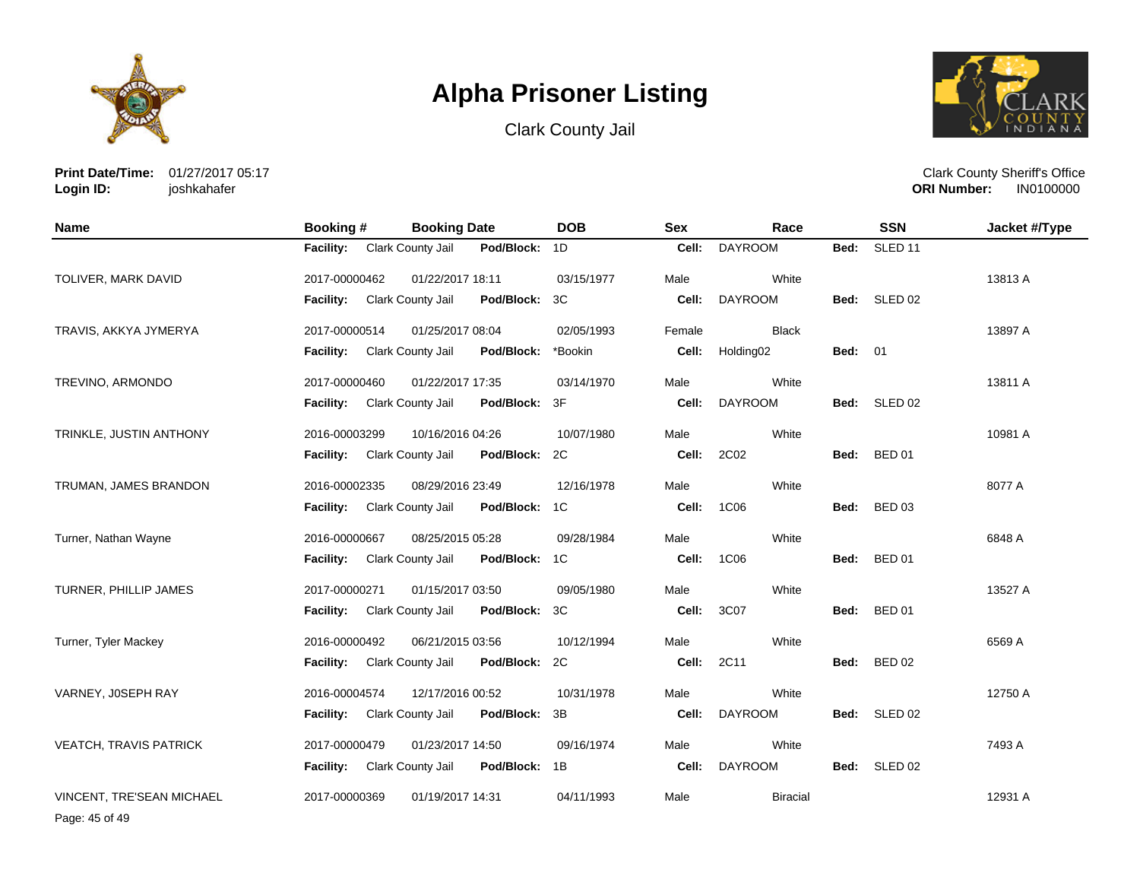





**Print Date/Time:** 01/27/2017 05:17 **Login ID:** joshkahafer

Clark County Sheriff's Office **ORI Number:** 

| <b>Name</b>               | Booking #        | <b>Booking Date</b>      |               | <b>DOB</b> | <b>Sex</b> | Race                  |                | <b>SSN</b>         | Jacket #/Type |
|---------------------------|------------------|--------------------------|---------------|------------|------------|-----------------------|----------------|--------------------|---------------|
|                           | <b>Facility:</b> | Clark County Jail        | Pod/Block:    | 1D         | Cell:      | <b>DAYROOM</b>        | Bed:           | SLED <sub>11</sub> |               |
| TOLIVER, MARK DAVID       | 2017-00000462    | 01/22/2017 18:11         |               | 03/15/1977 | Male       | White                 |                |                    | 13813 A       |
|                           | <b>Facility:</b> | Clark County Jail        | Pod/Block:    | 3C         | Cell:      | <b>DAYROOM</b>        |                | Bed: SLED 02       |               |
| TRAVIS, AKKYA JYMERYA     | 2017-00000514    | 01/25/2017 08:04         |               | 02/05/1993 | Female     | <b>Black</b>          |                |                    | 13897 A       |
|                           | <b>Facility:</b> | Clark County Jail        | Pod/Block:    | *Bookin    | Cell:      | Holding <sub>02</sub> | <b>Bed: 01</b> |                    |               |
| TREVINO, ARMONDO          | 2017-00000460    | 01/22/2017 17:35         |               | 03/14/1970 | Male       | White                 |                |                    | 13811 A       |
|                           | <b>Facility:</b> | Clark County Jail        | Pod/Block:    | 3F         | Cell:      | <b>DAYROOM</b>        |                | Bed: SLED 02       |               |
| TRINKLE, JUSTIN ANTHONY   | 2016-00003299    | 10/16/2016 04:26         |               | 10/07/1980 | Male       | White                 |                |                    | 10981 A       |
|                           | <b>Facility:</b> | Clark County Jail        | Pod/Block:    | 2C         | Cell:      | 2C02                  | Bed:           | <b>BED 01</b>      |               |
| TRUMAN, JAMES BRANDON     | 2016-00002335    | 08/29/2016 23:49         |               | 12/16/1978 | Male       | White                 |                |                    | 8077 A        |
|                           | <b>Facility:</b> | Clark County Jail        | Pod/Block: 1C |            | Cell:      | 1C06                  | Bed:           | <b>BED 03</b>      |               |
| Turner, Nathan Wayne      | 2016-00000667    | 08/25/2015 05:28         |               | 09/28/1984 | Male       | White                 |                |                    | 6848 A        |
|                           | <b>Facility:</b> | Clark County Jail        | Pod/Block:    | 1C         | Cell:      | 1C06                  |                | Bed: BED 01        |               |
| TURNER, PHILLIP JAMES     | 2017-00000271    | 01/15/2017 03:50         |               | 09/05/1980 | Male       | White                 |                |                    | 13527 A       |
|                           | <b>Facility:</b> | <b>Clark County Jail</b> | Pod/Block:    | 3C         | Cell:      | 3C07                  | Bed:           | <b>BED 01</b>      |               |
| Turner, Tyler Mackey      | 2016-00000492    | 06/21/2015 03:56         |               | 10/12/1994 | Male       | White                 |                |                    | 6569 A        |
|                           | <b>Facility:</b> | Clark County Jail        | Pod/Block:    | 2C         | Cell:      | 2C11                  | Bed:           | <b>BED 02</b>      |               |
| VARNEY, JOSEPH RAY        | 2016-00004574    | 12/17/2016 00:52         |               | 10/31/1978 | Male       | White                 |                |                    | 12750 A       |
|                           | <b>Facility:</b> | Clark County Jail        | Pod/Block:    | 3B         | Cell:      | <b>DAYROOM</b>        |                | Bed: SLED 02       |               |
| VEATCH, TRAVIS PATRICK    | 2017-00000479    | 01/23/2017 14:50         |               | 09/16/1974 | Male       | White                 |                |                    | 7493 A        |
|                           | <b>Facility:</b> | Clark County Jail        | Pod/Block:    | 1B         | Cell:      | <b>DAYROOM</b>        | Bed:           | SLED 02            |               |
| VINCENT, TRE'SEAN MICHAEL | 2017-00000369    | 01/19/2017 14:31         |               | 04/11/1993 | Male       | <b>Biracial</b>       |                |                    | 12931 A       |

Page: 45 of 49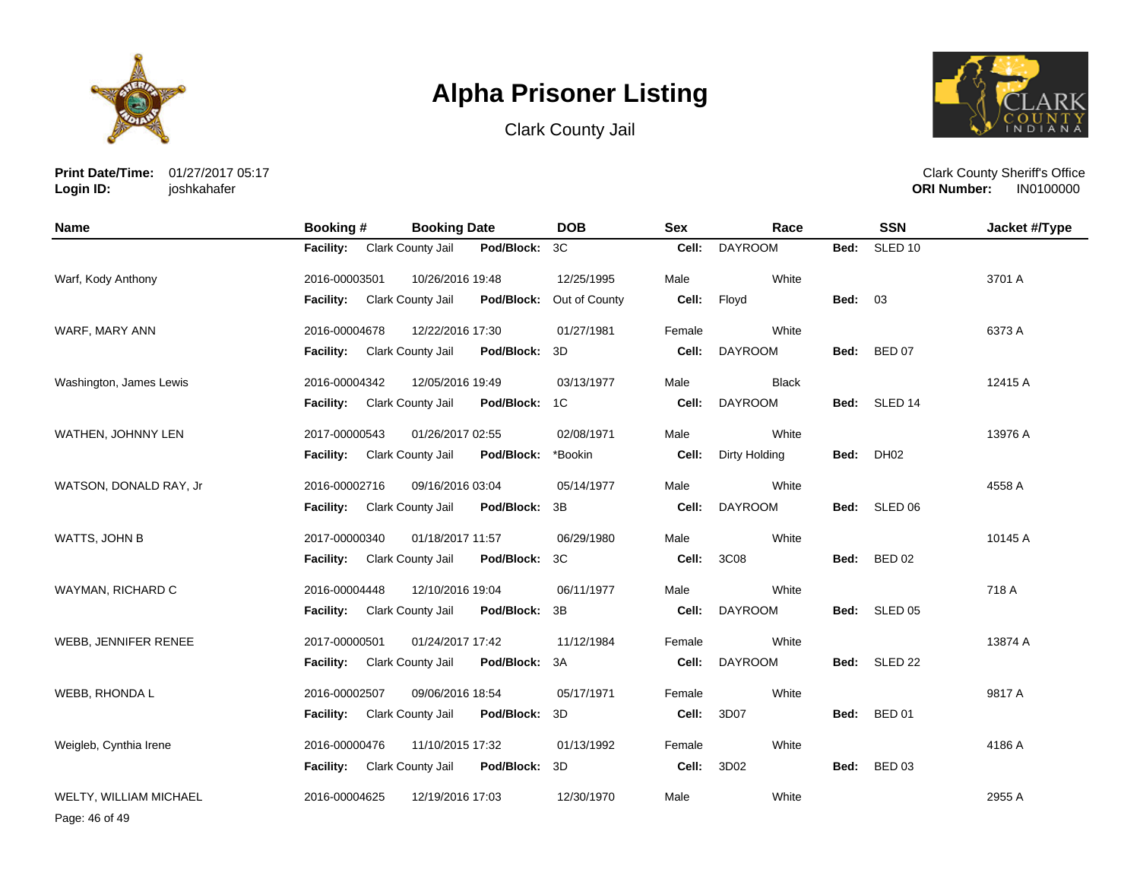





**Print Date/Time:** 01/27/2017 05:17 **Login ID:** joshkahafer

Clark County Sheriff's Office **ORI Number:** 

| <b>Name</b>                   | <b>Booking#</b>  | <b>Booking Date</b>      |            | <b>DOB</b>    | <b>Sex</b> | Race           |                | <b>SSN</b>    | Jacket #/Type |
|-------------------------------|------------------|--------------------------|------------|---------------|------------|----------------|----------------|---------------|---------------|
|                               | <b>Facility:</b> | Clark County Jail        | Pod/Block: | 3C            | Cell:      | <b>DAYROOM</b> | Bed:           | SLED 10       |               |
| Warf, Kody Anthony            | 2016-00003501    | 10/26/2016 19:48         |            | 12/25/1995    | Male       | White          |                |               | 3701 A        |
|                               | <b>Facility:</b> | Clark County Jail        | Pod/Block: | Out of County | Cell:      | Floyd          | <b>Bed: 03</b> |               |               |
| WARF, MARY ANN                | 2016-00004678    | 12/22/2016 17:30         |            | 01/27/1981    | Female     | White          |                |               | 6373 A        |
|                               | <b>Facility:</b> | Clark County Jail        | Pod/Block: | 3D            | Cell:      | <b>DAYROOM</b> | Bed:           | <b>BED 07</b> |               |
| Washington, James Lewis       | 2016-00004342    | 12/05/2016 19:49         |            | 03/13/1977    | Male       | <b>Black</b>   |                |               | 12415 A       |
|                               | <b>Facility:</b> | Clark County Jail        | Pod/Block: | 1C            | Cell:      | <b>DAYROOM</b> |                | Bed: SLED 14  |               |
| WATHEN, JOHNNY LEN            | 2017-00000543    | 01/26/2017 02:55         |            | 02/08/1971    | Male       | White          |                |               | 13976 A       |
|                               | <b>Facility:</b> | Clark County Jail        | Pod/Block: | *Bookin       | Cell:      | Dirty Holding  | Bed:           | DH02          |               |
| WATSON, DONALD RAY, Jr        | 2016-00002716    | 09/16/2016 03:04         |            | 05/14/1977    | Male       | White          |                |               | 4558 A        |
|                               | <b>Facility:</b> | Clark County Jail        | Pod/Block: | 3B            | Cell:      | <b>DAYROOM</b> | Bed:           | SLED 06       |               |
| WATTS, JOHN B                 | 2017-00000340    | 01/18/2017 11:57         |            | 06/29/1980    | Male       | White          |                |               | 10145 A       |
|                               | <b>Facility:</b> | <b>Clark County Jail</b> | Pod/Block: | 3C            | Cell:      | 3C08           | Bed:           | <b>BED 02</b> |               |
| WAYMAN, RICHARD C             | 2016-00004448    | 12/10/2016 19:04         |            | 06/11/1977    | Male       | White          |                |               | 718 A         |
|                               | <b>Facility:</b> | Clark County Jail        | Pod/Block: | 3B            | Cell:      | <b>DAYROOM</b> | Bed:           | SLED 05       |               |
| WEBB, JENNIFER RENEE          | 2017-00000501    | 01/24/2017 17:42         |            | 11/12/1984    | Female     | White          |                |               | 13874 A       |
|                               | <b>Facility:</b> | Clark County Jail        | Pod/Block: | 3A            | Cell:      | <b>DAYROOM</b> | Bed:           | SLED 22       |               |
| WEBB, RHONDA L                | 2016-00002507    | 09/06/2016 18:54         |            | 05/17/1971    | Female     | White          |                |               | 9817 A        |
|                               | <b>Facility:</b> | Clark County Jail        | Pod/Block: | 3D            | Cell:      | 3D07           | Bed:           | <b>BED 01</b> |               |
| Weigleb, Cynthia Irene        | 2016-00000476    | 11/10/2015 17:32         |            | 01/13/1992    | Female     | White          |                |               | 4186 A        |
|                               | <b>Facility:</b> | Clark County Jail        | Pod/Block: | 3D            | Cell:      | 3D02           | Bed:           | <b>BED 03</b> |               |
| <b>WELTY, WILLIAM MICHAEL</b> | 2016-00004625    | 12/19/2016 17:03         |            | 12/30/1970    | Male       | White          |                |               | 2955 A        |

Page: 46 of 49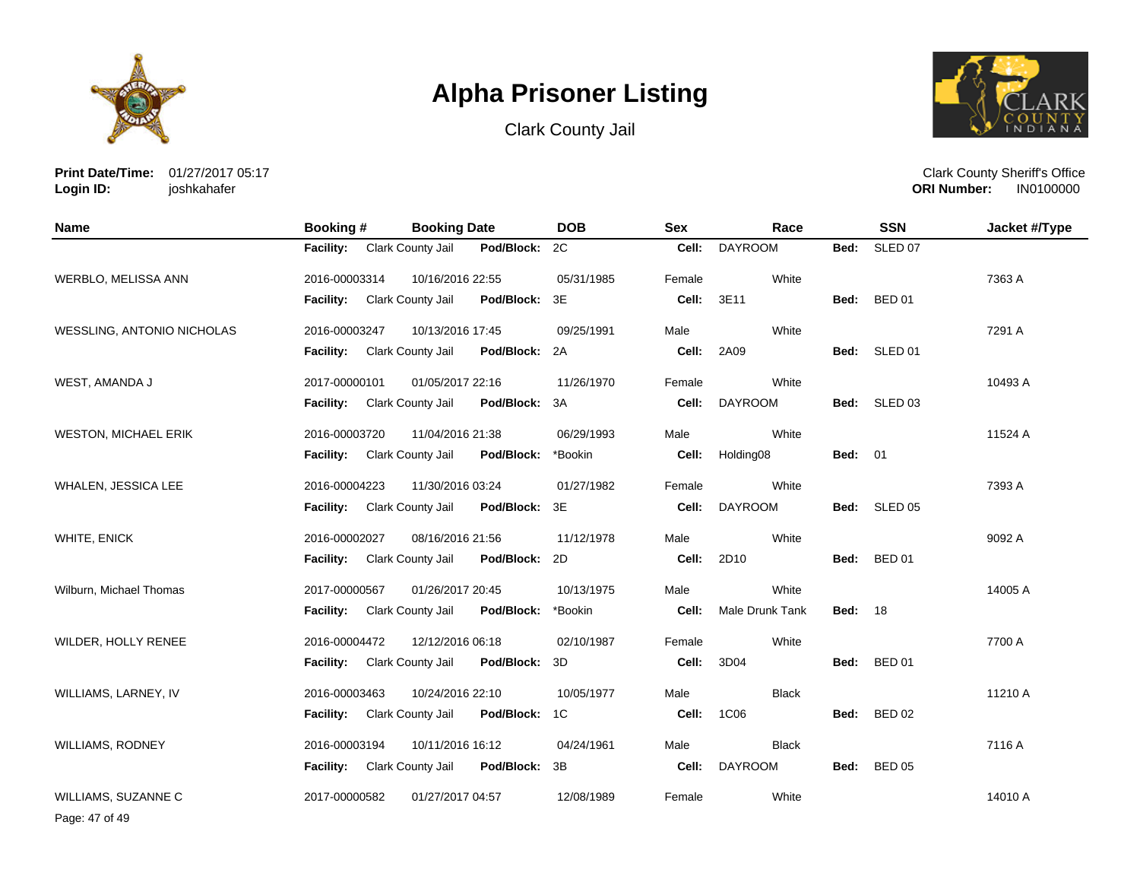





**Print Date/Time:** 01/27/2017 05:17 **Login ID:** joshkahafer

Clark County Sheriff's Office **ORI Number:** 

| <b>Name</b>                 | Booking #        | <b>Booking Date</b>      |               | <b>DOB</b> | <b>Sex</b> | Race            |                | <b>SSN</b>    | Jacket #/Type |
|-----------------------------|------------------|--------------------------|---------------|------------|------------|-----------------|----------------|---------------|---------------|
|                             | <b>Facility:</b> | Clark County Jail        | Pod/Block:    | 2C         | Cell:      | <b>DAYROOM</b>  | Bed:           | SLED 07       |               |
| <b>WERBLO, MELISSA ANN</b>  | 2016-00003314    | 10/16/2016 22:55         |               | 05/31/1985 | Female     | White           |                |               | 7363 A        |
|                             | Facility:        | Clark County Jail        | Pod/Block:    | 3E         | Cell:      | 3E11            | Bed:           | <b>BED 01</b> |               |
| WESSLING, ANTONIO NICHOLAS  | 2016-00003247    | 10/13/2016 17:45         |               | 09/25/1991 | Male       | White           |                |               | 7291 A        |
|                             | <b>Facility:</b> | Clark County Jail        | Pod/Block: 2A |            | Cell:      | 2A09            |                | Bed: SLED 01  |               |
| WEST, AMANDA J              | 2017-00000101    | 01/05/2017 22:16         |               | 11/26/1970 | Female     | White           |                |               | 10493 A       |
|                             | <b>Facility:</b> | Clark County Jail        | Pod/Block:    | 3A         | Cell:      | <b>DAYROOM</b>  |                | Bed: SLED 03  |               |
| <b>WESTON, MICHAEL ERIK</b> | 2016-00003720    | 11/04/2016 21:38         |               | 06/29/1993 | Male       | White           |                |               | 11524 A       |
|                             | <b>Facility:</b> | Clark County Jail        | Pod/Block:    | *Bookin    | Cell:      | Holding08       | <b>Bed: 01</b> |               |               |
| WHALEN, JESSICA LEE         | 2016-00004223    | 11/30/2016 03:24         |               | 01/27/1982 | Female     | White           |                |               | 7393 A        |
|                             | <b>Facility:</b> | Clark County Jail        | Pod/Block:    | 3E         | Cell:      | <b>DAYROOM</b>  |                | Bed: SLED 05  |               |
| WHITE, ENICK                | 2016-00002027    | 08/16/2016 21:56         |               | 11/12/1978 | Male       | White           |                |               | 9092 A        |
|                             | <b>Facility:</b> | <b>Clark County Jail</b> | Pod/Block:    | 2D         | Cell:      | 2D10            |                | Bed: BED 01   |               |
| Wilburn, Michael Thomas     | 2017-00000567    | 01/26/2017 20:45         |               | 10/13/1975 | Male       | White           |                |               | 14005 A       |
|                             | <b>Facility:</b> | Clark County Jail        | Pod/Block:    | *Bookin    | Cell:      | Male Drunk Tank | <b>Bed: 18</b> |               |               |
| WILDER, HOLLY RENEE         | 2016-00004472    | 12/12/2016 06:18         |               | 02/10/1987 | Female     | White           |                |               | 7700 A        |
|                             | <b>Facility:</b> | Clark County Jail        | Pod/Block:    | 3D         | Cell:      | 3D04            | Bed:           | <b>BED 01</b> |               |
| WILLIAMS, LARNEY, IV        | 2016-00003463    | 10/24/2016 22:10         |               | 10/05/1977 | Male       | <b>Black</b>    |                |               | 11210 A       |
|                             | <b>Facility:</b> | Clark County Jail        | Pod/Block:    | 1C         | Cell:      | 1C06            | Bed:           | <b>BED 02</b> |               |
| <b>WILLIAMS, RODNEY</b>     | 2016-00003194    | 10/11/2016 16:12         |               | 04/24/1961 | Male       | <b>Black</b>    |                |               | 7116 A        |
|                             | <b>Facility:</b> | Clark County Jail        | Pod/Block:    | 3B         | Cell:      | <b>DAYROOM</b>  | Bed:           | <b>BED 05</b> |               |
| WILLIAMS, SUZANNE C         | 2017-00000582    | 01/27/2017 04:57         |               | 12/08/1989 | Female     | White           |                |               | 14010 A       |

Page: 47 of 49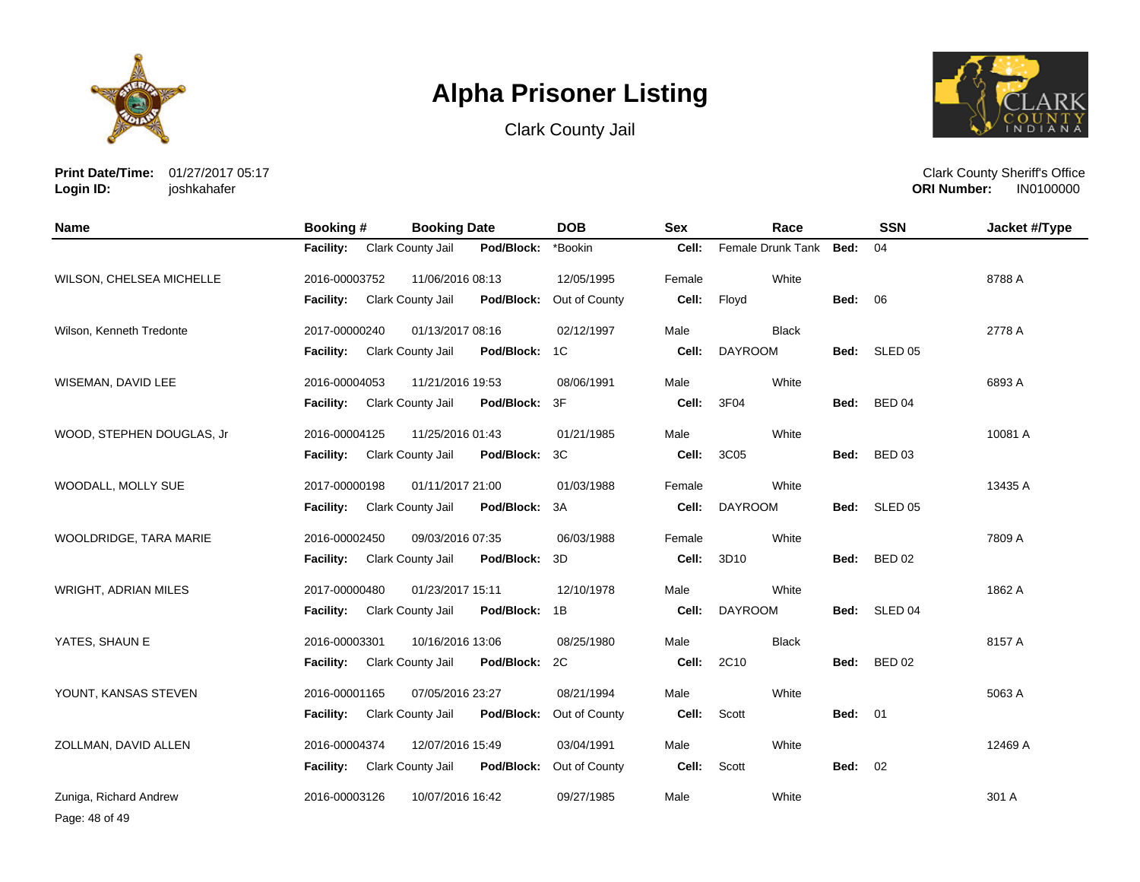





**Print Date/Time:** 01/27/2017 05:17 **Login ID:** joshkahafer

Clark County Sheriff's Office **ORI Number:** 

| <b>Name</b>                 | Booking #        | <b>Booking Date</b> |               | <b>DOB</b>    | <b>Sex</b> | Race              |                | <b>SSN</b>    | Jacket #/Type |
|-----------------------------|------------------|---------------------|---------------|---------------|------------|-------------------|----------------|---------------|---------------|
|                             | <b>Facility:</b> | Clark County Jail   | Pod/Block:    | *Bookin       | Cell:      | Female Drunk Tank | Bed:           | 04            |               |
| WILSON, CHELSEA MICHELLE    | 2016-00003752    | 11/06/2016 08:13    |               | 12/05/1995    | Female     | White             |                |               | 8788 A        |
|                             | Facility:        | Clark County Jail   | Pod/Block:    | Out of County | Cell:      | Floyd             | <b>Bed: 06</b> |               |               |
| Wilson, Kenneth Tredonte    | 2017-00000240    | 01/13/2017 08:16    |               | 02/12/1997    | Male       | <b>Black</b>      |                |               | 2778 A        |
|                             | <b>Facility:</b> | Clark County Jail   | Pod/Block:    | 1C            | Cell:      | <b>DAYROOM</b>    |                | Bed: SLED 05  |               |
| WISEMAN, DAVID LEE          | 2016-00004053    | 11/21/2016 19:53    |               | 08/06/1991    | Male       | White             |                |               | 6893 A        |
|                             | <b>Facility:</b> | Clark County Jail   | Pod/Block:    | 3F            | Cell:      | 3F04              | Bed:           | <b>BED 04</b> |               |
| WOOD, STEPHEN DOUGLAS, Jr   | 2016-00004125    | 11/25/2016 01:43    |               | 01/21/1985    | Male       | White             |                |               | 10081 A       |
|                             | <b>Facility:</b> | Clark County Jail   | Pod/Block:    | 3C            | Cell:      | 3C05              | Bed:           | <b>BED 03</b> |               |
| WOODALL, MOLLY SUE          | 2017-00000198    | 01/11/2017 21:00    |               | 01/03/1988    | Female     | White             |                |               | 13435 A       |
|                             | <b>Facility:</b> | Clark County Jail   | Pod/Block:    | 3A            | Cell:      | <b>DAYROOM</b>    | Bed:           | SLED 05       |               |
| WOOLDRIDGE, TARA MARIE      | 2016-00002450    | 09/03/2016 07:35    |               | 06/03/1988    | Female     | White             |                |               | 7809 A        |
|                             | Facility:        | Clark County Jail   | Pod/Block:    | 3D            | Cell:      | 3D10              | Bed:           | <b>BED 02</b> |               |
| <b>WRIGHT, ADRIAN MILES</b> | 2017-00000480    | 01/23/2017 15:11    |               | 12/10/1978    | Male       | White             |                |               | 1862 A        |
|                             | <b>Facility:</b> | Clark County Jail   | Pod/Block: 1B |               | Cell:      | <b>DAYROOM</b>    | Bed:           | SLED 04       |               |
| YATES, SHAUN E              | 2016-00003301    | 10/16/2016 13:06    |               | 08/25/1980    | Male       | <b>Black</b>      |                |               | 8157 A        |
|                             | <b>Facility:</b> | Clark County Jail   | Pod/Block:    | 2C            | Cell:      | 2C10              | Bed:           | <b>BED 02</b> |               |
| YOUNT, KANSAS STEVEN        | 2016-00001165    | 07/05/2016 23:27    |               | 08/21/1994    | Male       | White             |                |               | 5063 A        |
|                             | <b>Facility:</b> | Clark County Jail   | Pod/Block:    | Out of County | Cell:      | Scott             | <b>Bed: 01</b> |               |               |
| ZOLLMAN, DAVID ALLEN        | 2016-00004374    | 12/07/2016 15:49    |               | 03/04/1991    | Male       | White             |                |               | 12469 A       |
|                             | <b>Facility:</b> | Clark County Jail   | Pod/Block:    | Out of County | Cell:      | Scott             | <b>Bed: 02</b> |               |               |
| Zuniga, Richard Andrew      | 2016-00003126    | 10/07/2016 16:42    |               | 09/27/1985    | Male       | White             |                |               | 301 A         |

Page: 48 of 49